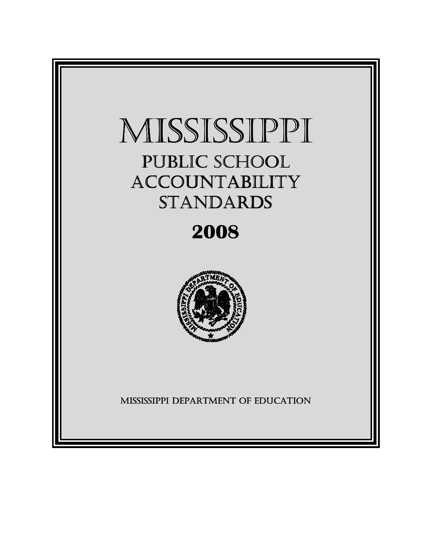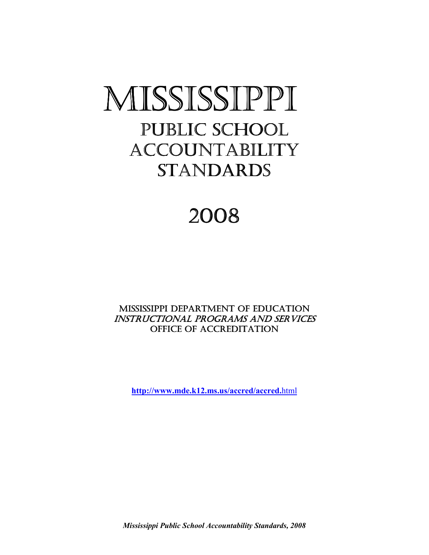# MISSISSIPPI PUBLIC SCHOOL **ACCOUNTABILITY** STANDARDS

# 2008

MISSISSIPPI DEPARTMENT OF EDUCATION INSTRUCTIONAL PROGRAMS AND SERVICES OFFICE OF ACCREDITATION

**http://www.mde.k12.ms.us/accred/accred.**html

*Mississippi Public School Accountability Standards, 2008*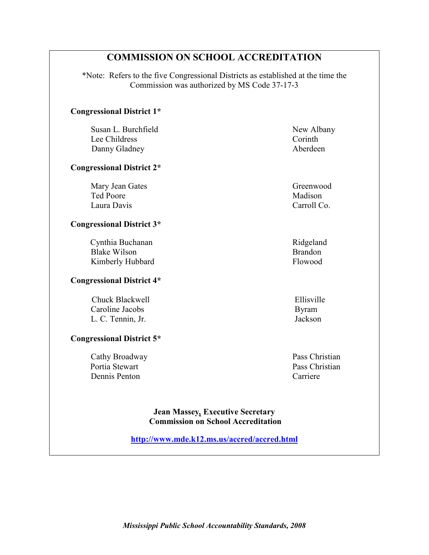### **COMMISSION ON SCHOOL ACCREDITATION**

\*Note: Refers to the five Congressional Districts as established at the time the Commission was authorized by MS Code 37-17-3

#### **Congressional District 1\***

**Susan L. Burchfield New Albany** Lee Childress Corinth Danny Gladney **Aberdeen** 

#### **Congressional District 2\***

Mary Jean Gates Greenwood Ted Poore Madison Laura DavisCarroll Co.

#### **Congressional District 3\***

Cynthia Buchanan Ridgeland Blake Wilson Brandon Kimberly Hubbard Flowood

#### **Congressional District 4\***

Chuck Blackwell **Ellisville**  Caroline Jacobs Byram L. C. Tennin, Jr. Jackson

#### **Congressional District 5\***

 Cathy Broadway Pass Christian Portia Stewart Pass Christian Dennis Penton Carriere

**Jean Massey***,* **Executive Secretary Commission on School Accreditation**

**http://www.mde.k12.ms.us/accred/accred.html**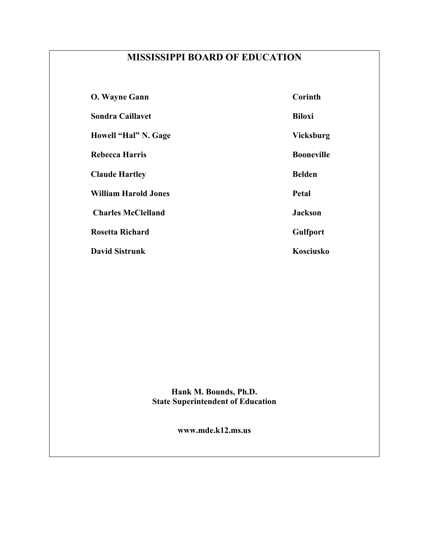# **MISSISSIPPI BOARD OF EDUCATION**

| <b>O. Wayne Gann</b>        | Corinth           |
|-----------------------------|-------------------|
| <b>Sondra Caillavet</b>     | <b>Biloxi</b>     |
| Howell "Hal" N. Gage        | <b>Vicksburg</b>  |
| Rebecca Harris              | <b>Booneville</b> |
| <b>Claude Hartley</b>       | <b>Belden</b>     |
| <b>William Harold Jones</b> | Petal             |
| <b>Charles McClelland</b>   | <b>Jackson</b>    |
| <b>Rosetta Richard</b>      | <b>Gulfport</b>   |
| <b>David Sistrunk</b>       | Kosciusko         |

**Hank M. Bounds, Ph.D. State Superintendent of Education**

**www.mde.k12.ms.us**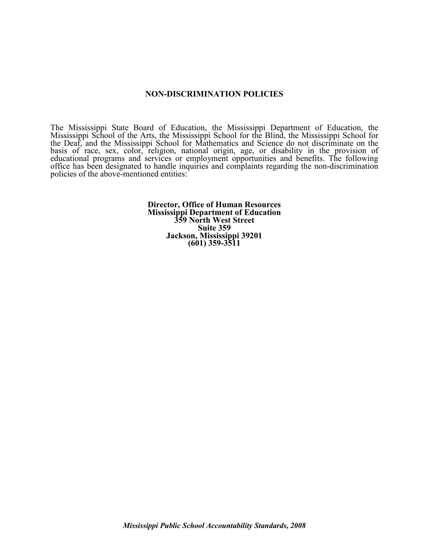#### **NON-DISCRIMINATION POLICIES**

The Mississippi State Board of Education, the Mississippi Department of Education, the Mississippi School of the Arts, the Mississippi School for the Blind, the Mississippi School for the Deaf, and the Mississippi School for Mathematics and Science do not discriminate on the basis of race, sex, color, religion, national origin, age, or disability in the provision of educational programs and services or employment opportunities and benefits. The following office has been designated to handle inquiries and complaints regarding the non-discrimination policies of the above-mentioned entities:

> **Director, Office of Human Resources Mississippi Department of Education 359 North West Street Suite 359 Jackson, Mississippi 39201 (601) 359-3511**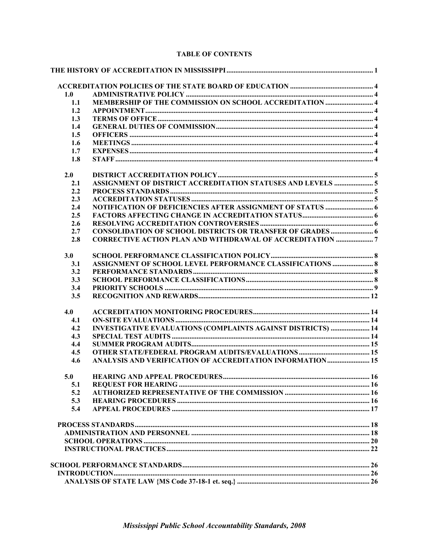| 1.0 |                                                                     |  |
|-----|---------------------------------------------------------------------|--|
| 1.1 |                                                                     |  |
| 1.2 |                                                                     |  |
| 1.3 |                                                                     |  |
| 1.4 |                                                                     |  |
| 1.5 |                                                                     |  |
| 1.6 |                                                                     |  |
| 1.7 |                                                                     |  |
| 1.8 |                                                                     |  |
|     |                                                                     |  |
| 2.0 |                                                                     |  |
| 2.1 |                                                                     |  |
| 2.2 |                                                                     |  |
| 2.3 |                                                                     |  |
| 2.4 |                                                                     |  |
| 2.5 |                                                                     |  |
| 2.6 |                                                                     |  |
| 2.7 |                                                                     |  |
| 2.8 | <b>CORRECTIVE ACTION PLAN AND WITHDRAWAL OF ACCREDITATION  7</b>    |  |
| 3.0 |                                                                     |  |
| 3.1 | ASSIGNMENT OF SCHOOL LEVEL PERFORMANCE CLASSIFICATIONS  8           |  |
| 3.2 |                                                                     |  |
| 3.3 |                                                                     |  |
| 3.4 |                                                                     |  |
| 3.5 |                                                                     |  |
| 4.0 |                                                                     |  |
| 4.1 |                                                                     |  |
| 4.2 | <b>INVESTIGATIVE EVALUATIONS (COMPLAINTS AGAINST DISTRICTS)  14</b> |  |
| 4.3 |                                                                     |  |
| 4.4 |                                                                     |  |
| 4.5 |                                                                     |  |
| 4.6 | ANALYSIS AND VERIFICATION OF ACCREDITATION INFORMATION 15           |  |
| 5.0 |                                                                     |  |
| 5.1 |                                                                     |  |
| 5.2 |                                                                     |  |
| 5.3 |                                                                     |  |
| 5.4 |                                                                     |  |
|     |                                                                     |  |
|     |                                                                     |  |
|     |                                                                     |  |
|     |                                                                     |  |
|     |                                                                     |  |
|     |                                                                     |  |
|     |                                                                     |  |
|     |                                                                     |  |

#### **TABLE OF CONTENTS**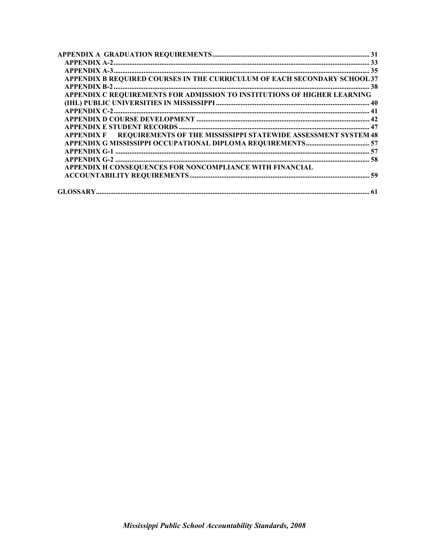| APPENDIX B REQUIRED COURSES IN THE CURRICULUM OF EACH SECONDARY SCHOOL 37 |  |
|---------------------------------------------------------------------------|--|
|                                                                           |  |
| APPENDIX C REQUIREMENTS FOR ADMISSION TO INSTITUTIONS OF HIGHER LEARNING  |  |
|                                                                           |  |
|                                                                           |  |
|                                                                           |  |
|                                                                           |  |
| APPENDIX F REQUIREMENTS OF THE MISSISSIPPI STATEWIDE ASSESSMENT SYSTEM 48 |  |
|                                                                           |  |
|                                                                           |  |
|                                                                           |  |
| APPENDIX H CONSEQUENCES FOR NONCOMPLIANCE WITH FINANCIAL                  |  |
|                                                                           |  |
|                                                                           |  |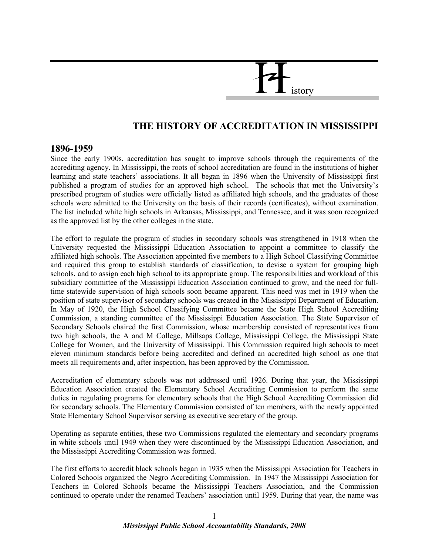# istory

## **THE HISTORY OF ACCREDITATION IN MISSISSIPPI**

#### **1896-1959**

Since the early 1900s, accreditation has sought to improve schools through the requirements of the accrediting agency. In Mississippi, the roots of school accreditation are found in the institutions of higher learning and state teachers' associations. It all began in 1896 when the University of Mississippi first published a program of studies for an approved high school. The schools that met the University's prescribed program of studies were officially listed as affiliated high schools, and the graduates of those schools were admitted to the University on the basis of their records (certificates), without examination. The list included white high schools in Arkansas, Mississippi, and Tennessee, and it was soon recognized as the approved list by the other colleges in the state.

The effort to regulate the program of studies in secondary schools was strengthened in 1918 when the University requested the Mississippi Education Association to appoint a committee to classify the affiliated high schools. The Association appointed five members to a High School Classifying Committee and required this group to establish standards of classification, to devise a system for grouping high schools, and to assign each high school to its appropriate group. The responsibilities and workload of this subsidiary committee of the Mississippi Education Association continued to grow, and the need for fulltime statewide supervision of high schools soon became apparent. This need was met in 1919 when the position of state supervisor of secondary schools was created in the Mississippi Department of Education. In May of 1920, the High School Classifying Committee became the State High School Accrediting Commission, a standing committee of the Mississippi Education Association. The State Supervisor of Secondary Schools chaired the first Commission, whose membership consisted of representatives from two high schools, the A and M College, Millsaps College, Mississippi College, the Mississippi State College for Women, and the University of Mississippi. This Commission required high schools to meet eleven minimum standards before being accredited and defined an accredited high school as one that meets all requirements and, after inspection, has been approved by the Commission.

Accreditation of elementary schools was not addressed until 1926. During that year, the Mississippi Education Association created the Elementary School Accrediting Commission to perform the same duties in regulating programs for elementary schools that the High School Accrediting Commission did for secondary schools. The Elementary Commission consisted of ten members, with the newly appointed State Elementary School Supervisor serving as executive secretary of the group.

Operating as separate entities, these two Commissions regulated the elementary and secondary programs in white schools until 1949 when they were discontinued by the Mississippi Education Association, and the Mississippi Accrediting Commission was formed.

The first efforts to accredit black schools began in 1935 when the Mississippi Association for Teachers in Colored Schools organized the Negro Accrediting Commission. In 1947 the Mississippi Association for Teachers in Colored Schools became the Mississippi Teachers Association, and the Commission continued to operate under the renamed Teachers' association until 1959. During that year, the name was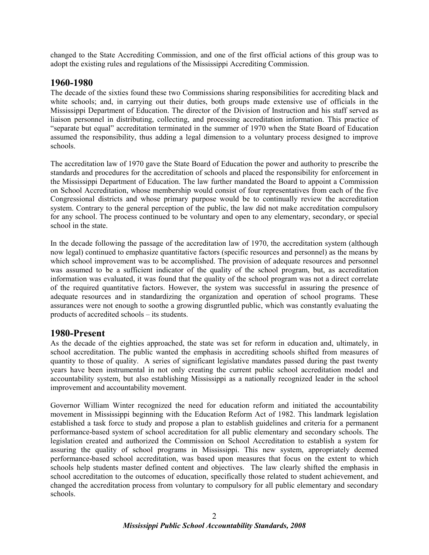changed to the State Accrediting Commission, and one of the first official actions of this group was to adopt the existing rules and regulations of the Mississippi Accrediting Commission.

#### **1960-1980**

The decade of the sixties found these two Commissions sharing responsibilities for accrediting black and white schools; and, in carrying out their duties, both groups made extensive use of officials in the Mississippi Department of Education. The director of the Division of Instruction and his staff served as liaison personnel in distributing, collecting, and processing accreditation information. This practice of "separate but equal" accreditation terminated in the summer of 1970 when the State Board of Education assumed the responsibility, thus adding a legal dimension to a voluntary process designed to improve schools.

The accreditation law of 1970 gave the State Board of Education the power and authority to prescribe the standards and procedures for the accreditation of schools and placed the responsibility for enforcement in the Mississippi Department of Education. The law further mandated the Board to appoint a Commission on School Accreditation, whose membership would consist of four representatives from each of the five Congressional districts and whose primary purpose would be to continually review the accreditation system. Contrary to the general perception of the public, the law did not make accreditation compulsory for any school. The process continued to be voluntary and open to any elementary, secondary, or special school in the state.

In the decade following the passage of the accreditation law of 1970, the accreditation system (although now legal) continued to emphasize quantitative factors (specific resources and personnel) as the means by which school improvement was to be accomplished. The provision of adequate resources and personnel was assumed to be a sufficient indicator of the quality of the school program, but, as accreditation information was evaluated, it was found that the quality of the school program was not a direct correlate of the required quantitative factors. However, the system was successful in assuring the presence of adequate resources and in standardizing the organization and operation of school programs. These assurances were not enough to soothe a growing disgruntled public, which was constantly evaluating the products of accredited schools – its students.

#### **1980-Present**

As the decade of the eighties approached, the state was set for reform in education and, ultimately, in school accreditation. The public wanted the emphasis in accrediting schools shifted from measures of quantity to those of quality. A series of significant legislative mandates passed during the past twenty years have been instrumental in not only creating the current public school accreditation model and accountability system, but also establishing Mississippi as a nationally recognized leader in the school improvement and accountability movement.

Governor William Winter recognized the need for education reform and initiated the accountability movement in Mississippi beginning with the Education Reform Act of 1982. This landmark legislation established a task force to study and propose a plan to establish guidelines and criteria for a permanent performance-based system of school accreditation for all public elementary and secondary schools. The legislation created and authorized the Commission on School Accreditation to establish a system for assuring the quality of school programs in Mississippi. This new system, appropriately deemed performance-based school accreditation, was based upon measures that focus on the extent to which schools help students master defined content and objectives. The law clearly shifted the emphasis in school accreditation to the outcomes of education, specifically those related to student achievement, and changed the accreditation process from voluntary to compulsory for all public elementary and secondary schools.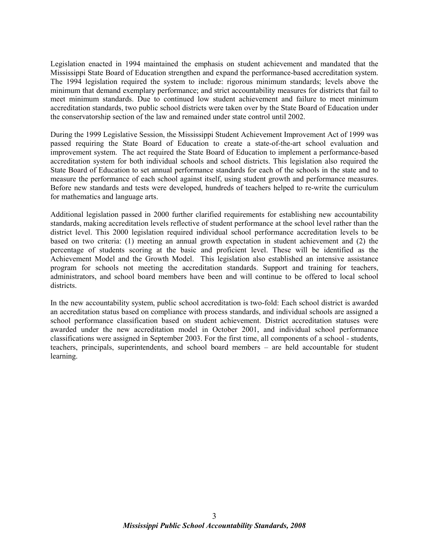Legislation enacted in 1994 maintained the emphasis on student achievement and mandated that the Mississippi State Board of Education strengthen and expand the performance-based accreditation system. The 1994 legislation required the system to include: rigorous minimum standards; levels above the minimum that demand exemplary performance; and strict accountability measures for districts that fail to meet minimum standards. Due to continued low student achievement and failure to meet minimum accreditation standards, two public school districts were taken over by the State Board of Education under the conservatorship section of the law and remained under state control until 2002.

During the 1999 Legislative Session, the Mississippi Student Achievement Improvement Act of 1999 was passed requiring the State Board of Education to create a state-of-the-art school evaluation and improvement system. The act required the State Board of Education to implement a performance-based accreditation system for both individual schools and school districts. This legislation also required the State Board of Education to set annual performance standards for each of the schools in the state and to measure the performance of each school against itself, using student growth and performance measures. Before new standards and tests were developed, hundreds of teachers helped to re-write the curriculum for mathematics and language arts.

Additional legislation passed in 2000 further clarified requirements for establishing new accountability standards, making accreditation levels reflective of student performance at the school level rather than the district level. This 2000 legislation required individual school performance accreditation levels to be based on two criteria: (1) meeting an annual growth expectation in student achievement and (2) the percentage of students scoring at the basic and proficient level. These will be identified as the Achievement Model and the Growth Model. This legislation also established an intensive assistance program for schools not meeting the accreditation standards. Support and training for teachers, administrators, and school board members have been and will continue to be offered to local school districts.

In the new accountability system, public school accreditation is two-fold: Each school district is awarded an accreditation status based on compliance with process standards, and individual schools are assigned a school performance classification based on student achievement. District accreditation statuses were awarded under the new accreditation model in October 2001, and individual school performance classifications were assigned in September 2003. For the first time, all components of a school - students, teachers, principals, superintendents, and school board members – are held accountable for student learning.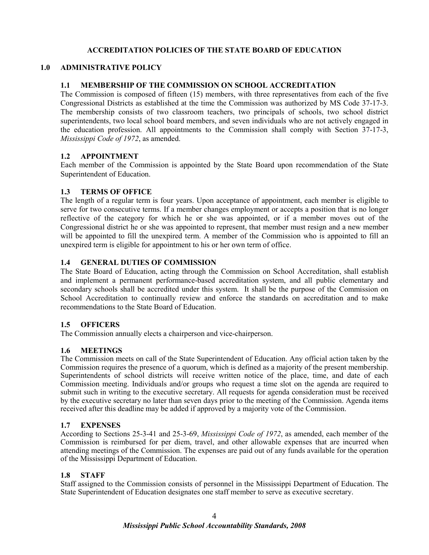#### **ACCREDITATION POLICIES OF THE STATE BOARD OF EDUCATION**

#### **1.0 ADMINISTRATIVE POLICY**

#### **1.1 MEMBERSHIP OF THE COMMISSION ON SCHOOL ACCREDITATION**

The Commission is composed of fifteen (15) members, with three representatives from each of the five Congressional Districts as established at the time the Commission was authorized by MS Code 37-17-3. The membership consists of two classroom teachers, two principals of schools, two school district superintendents, two local school board members, and seven individuals who are not actively engaged in the education profession. All appointments to the Commission shall comply with Section 37-17-3, *Mississippi Code of 1972*, as amended.

#### **1.2 APPOINTMENT**

Each member of the Commission is appointed by the State Board upon recommendation of the State Superintendent of Education.

#### **1.3 TERMS OF OFFICE**

The length of a regular term is four years. Upon acceptance of appointment, each member is eligible to serve for two consecutive terms. If a member changes employment or accepts a position that is no longer reflective of the category for which he or she was appointed, or if a member moves out of the Congressional district he or she was appointed to represent, that member must resign and a new member will be appointed to fill the unexpired term. A member of the Commission who is appointed to fill an unexpired term is eligible for appointment to his or her own term of office.

#### **1.4 GENERAL DUTIES OF COMMISSION**

The State Board of Education, acting through the Commission on School Accreditation, shall establish and implement a permanent performance-based accreditation system, and all public elementary and secondary schools shall be accredited under this system. It shall be the purpose of the Commission on School Accreditation to continually review and enforce the standards on accreditation and to make recommendations to the State Board of Education.

#### **1.5 OFFICERS**

The Commission annually elects a chairperson and vice-chairperson.

#### **1.6 MEETINGS**

The Commission meets on call of the State Superintendent of Education. Any official action taken by the Commission requires the presence of a quorum, which is defined as a majority of the present membership. Superintendents of school districts will receive written notice of the place, time, and date of each Commission meeting. Individuals and/or groups who request a time slot on the agenda are required to submit such in writing to the executive secretary. All requests for agenda consideration must be received by the executive secretary no later than seven days prior to the meeting of the Commission. Agenda items received after this deadline may be added if approved by a majority vote of the Commission.

#### **1.7 EXPENSES**

According to Sections 25-3-41 and 25-3-69, *Mississippi Code of 1972*, as amended, each member of the Commission is reimbursed for per diem, travel, and other allowable expenses that are incurred when attending meetings of the Commission. The expenses are paid out of any funds available for the operation of the Mississippi Department of Education.

#### **1.8 STAFF**

Staff assigned to the Commission consists of personnel in the Mississippi Department of Education. The State Superintendent of Education designates one staff member to serve as executive secretary.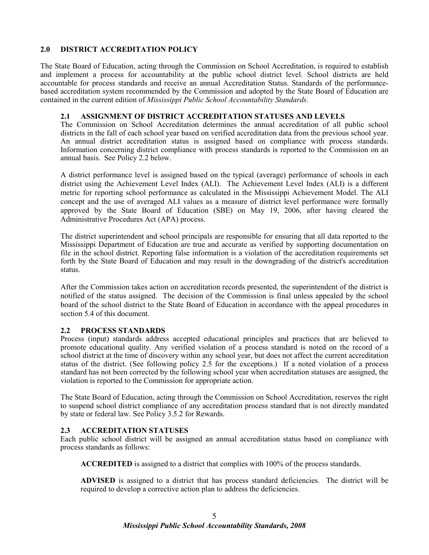#### **2.0 DISTRICT ACCREDITATION POLICY**

The State Board of Education, acting through the Commission on School Accreditation, is required to establish and implement a process for accountability at the public school district level. School districts are held accountable for process standards and receive an annual Accreditation Status. Standards of the performancebased accreditation system recommended by the Commission and adopted by the State Board of Education are contained in the current edition of *Mississippi Public School Accountability Standards.*

#### **2.1 ASSIGNMENT OF DISTRICT ACCREDITATION STATUSES AND LEVELS**

The Commission on School Accreditation determines the annual accreditation of all public school districts in the fall of each school year based on verified accreditation data from the previous school year. An annual district accreditation status is assigned based on compliance with process standards. Information concerning district compliance with process standards is reported to the Commission on an annual basis. See Policy 2.2 below.

A district performance level is assigned based on the typical (average) performance of schools in each district using the Achievement Level Index (ALI). The Achievement Level Index (ALI) is a different metric for reporting school performance as calculated in the Mississippi Achievement Model. The ALI concept and the use of averaged ALI values as a measure of district level performance were formally approved by the State Board of Education (SBE) on May 19, 2006, after having cleared the Administrative Procedures Act (APA) process.

The district superintendent and school principals are responsible for ensuring that all data reported to the Mississippi Department of Education are true and accurate as verified by supporting documentation on file in the school district. Reporting false information is a violation of the accreditation requirements set forth by the State Board of Education and may result in the downgrading of the district's accreditation status.

After the Commission takes action on accreditation records presented, the superintendent of the district is notified of the status assigned. The decision of the Commission is final unless appealed by the school board of the school district to the State Board of Education in accordance with the appeal procedures in section 5.4 of this document.

#### **2.2 PROCESS STANDARDS**

Process (input) standards address accepted educational principles and practices that are believed to promote educational quality. Any verified violation of a process standard is noted on the record of a school district at the time of discovery within any school year, but does not affect the current accreditation status of the district. (See following policy 2.5 for the exceptions.) If a noted violation of a process standard has not been corrected by the following school year when accreditation statuses are assigned, the violation is reported to the Commission for appropriate action.

The State Board of Education, acting through the Commission on School Accreditation, reserves the right to suspend school district compliance of any accreditation process standard that is not directly mandated by state or federal law. See Policy 3.5.2 for Rewards.

#### **2.3 ACCREDITATION STATUSES**

Each public school district will be assigned an annual accreditation status based on compliance with process standards as follows:

**ACCREDITED** is assigned to a district that complies with 100% of the process standards.

**ADVISED** is assigned to a district that has process standard deficiencies. The district will be required to develop a corrective action plan to address the deficiencies.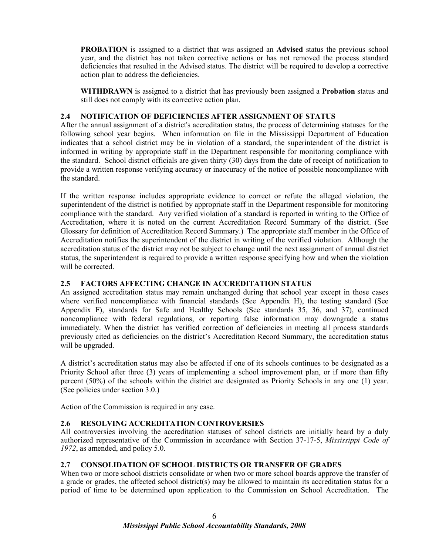**PROBATION** is assigned to a district that was assigned an **Advised** status the previous school year, and the district has not taken corrective actions or has not removed the process standard deficiencies that resulted in the Advised status. The district will be required to develop a corrective action plan to address the deficiencies.

**WITHDRAWN** is assigned to a district that has previously been assigned a **Probation** status and still does not comply with its corrective action plan.

#### **2.4 NOTIFICATION OF DEFICIENCIES AFTER ASSIGNMENT OF STATUS**

After the annual assignment of a district's accreditation status, the process of determining statuses for the following school year begins. When information on file in the Mississippi Department of Education indicates that a school district may be in violation of a standard, the superintendent of the district is informed in writing by appropriate staff in the Department responsible for monitoring compliance with the standard. School district officials are given thirty (30) days from the date of receipt of notification to provide a written response verifying accuracy or inaccuracy of the notice of possible noncompliance with the standard.

If the written response includes appropriate evidence to correct or refute the alleged violation, the superintendent of the district is notified by appropriate staff in the Department responsible for monitoring compliance with the standard. Any verified violation of a standard is reported in writing to the Office of Accreditation, where it is noted on the current Accreditation Record Summary of the district. (See Glossary for definition of Accreditation Record Summary.) The appropriate staff member in the Office of Accreditation notifies the superintendent of the district in writing of the verified violation. Although the accreditation status of the district may not be subject to change until the next assignment of annual district status, the superintendent is required to provide a written response specifying how and when the violation will be corrected.

#### **2.5 FACTORS AFFECTING CHANGE IN ACCREDITATION STATUS**

An assigned accreditation status may remain unchanged during that school year except in those cases where verified noncompliance with financial standards (See Appendix H), the testing standard (See Appendix F), standards for Safe and Healthy Schools (See standards 35, 36, and 37), continued noncompliance with federal regulations, or reporting false information may downgrade a status immediately. When the district has verified correction of deficiencies in meeting all process standards previously cited as deficiencies on the district's Accreditation Record Summary, the accreditation status will be upgraded.

A district's accreditation status may also be affected if one of its schools continues to be designated as a Priority School after three (3) years of implementing a school improvement plan, or if more than fifty percent (50%) of the schools within the district are designated as Priority Schools in any one (1) year. (See policies under section 3.0.)

Action of the Commission is required in any case.

#### **2.6 RESOLVING ACCREDITATION CONTROVERSIES**

All controversies involving the accreditation statuses of school districts are initially heard by a duly authorized representative of the Commission in accordance with Section 37-17-5, *Mississippi Code of 1972*, as amended, and policy 5.0.

#### **2.7 CONSOLIDATION OF SCHOOL DISTRICTS OR TRANSFER OF GRADES**

When two or more school districts consolidate or when two or more school boards approve the transfer of a grade or grades, the affected school district(s) may be allowed to maintain its accreditation status for a period of time to be determined upon application to the Commission on School Accreditation. The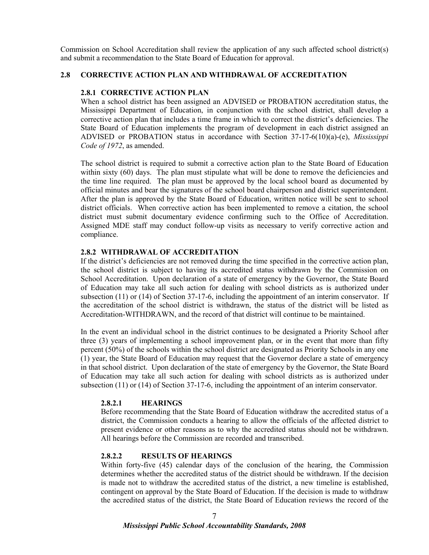Commission on School Accreditation shall review the application of any such affected school district(s) and submit a recommendation to the State Board of Education for approval.

#### **2.8 CORRECTIVE ACTION PLAN AND WITHDRAWAL OF ACCREDITATION**

#### **2.8.1 CORRECTIVE ACTION PLAN**

When a school district has been assigned an ADVISED or PROBATION accreditation status, the Mississippi Department of Education, in conjunction with the school district, shall develop a corrective action plan that includes a time frame in which to correct the district's deficiencies. The State Board of Education implements the program of development in each district assigned an ADVISED or PROBATION status in accordance with Section 37-17-6(10)(a)-(e), *Mississippi Code of 1972*, as amended.

The school district is required to submit a corrective action plan to the State Board of Education within sixty (60) days. The plan must stipulate what will be done to remove the deficiencies and the time line required. The plan must be approved by the local school board as documented by official minutes and bear the signatures of the school board chairperson and district superintendent. After the plan is approved by the State Board of Education, written notice will be sent to school district officials. When corrective action has been implemented to remove a citation, the school district must submit documentary evidence confirming such to the Office of Accreditation. Assigned MDE staff may conduct follow-up visits as necessary to verify corrective action and compliance.

#### **2.8.2 WITHDRAWAL OF ACCREDITATION**

If the district's deficiencies are not removed during the time specified in the corrective action plan, the school district is subject to having its accredited status withdrawn by the Commission on School Accreditation. Upon declaration of a state of emergency by the Governor, the State Board of Education may take all such action for dealing with school districts as is authorized under subsection (11) or (14) of Section 37-17-6, including the appointment of an interim conservator. If the accreditation of the school district is withdrawn, the status of the district will be listed as Accreditation-WITHDRAWN, and the record of that district will continue to be maintained.

In the event an individual school in the district continues to be designated a Priority School after three (3) years of implementing a school improvement plan, or in the event that more than fifty percent (50%) of the schools within the school district are designated as Priority Schools in any one (1) year, the State Board of Education may request that the Governor declare a state of emergency in that school district. Upon declaration of the state of emergency by the Governor, the State Board of Education may take all such action for dealing with school districts as is authorized under subsection (11) or (14) of Section 37-17-6, including the appointment of an interim conservator.

#### **2.8.2.1 HEARINGS**

Before recommending that the State Board of Education withdraw the accredited status of a district, the Commission conducts a hearing to allow the officials of the affected district to present evidence or other reasons as to why the accredited status should not be withdrawn. All hearings before the Commission are recorded and transcribed.

#### **2.8.2.2 RESULTS OF HEARINGS**

Within forty-five (45) calendar days of the conclusion of the hearing, the Commission determines whether the accredited status of the district should be withdrawn. If the decision is made not to withdraw the accredited status of the district, a new timeline is established, contingent on approval by the State Board of Education. If the decision is made to withdraw the accredited status of the district, the State Board of Education reviews the record of the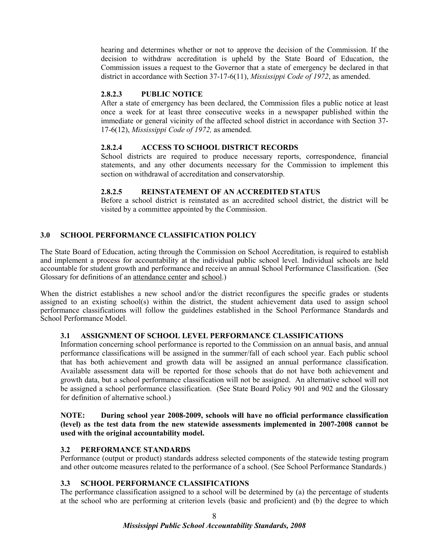hearing and determines whether or not to approve the decision of the Commission. If the decision to withdraw accreditation is upheld by the State Board of Education, the Commission issues a request to the Governor that a state of emergency be declared in that district in accordance with Section 37-17-6(11), *Mississippi Code of 1972*, as amended.

#### **2.8.2.3 PUBLIC NOTICE**

After a state of emergency has been declared, the Commission files a public notice at least once a week for at least three consecutive weeks in a newspaper published within the immediate or general vicinity of the affected school district in accordance with Section 37- 17-6(12), *Mississippi Code of 1972,* as amended.

#### **2.8.2.4 ACCESS TO SCHOOL DISTRICT RECORDS**

School districts are required to produce necessary reports, correspondence, financial statements, and any other documents necessary for the Commission to implement this section on withdrawal of accreditation and conservatorship.

#### **2.8.2.5 REINSTATEMENT OF AN ACCREDITED STATUS**

Before a school district is reinstated as an accredited school district, the district will be visited by a committee appointed by the Commission.

#### **3.0 SCHOOL PERFORMANCE CLASSIFICATION POLICY**

The State Board of Education, acting through the Commission on School Accreditation, is required to establish and implement a process for accountability at the individual public school level. Individual schools are held accountable for student growth and performance and receive an annual School Performance Classification. (See Glossary for definitions of an attendance center and school.)

When the district establishes a new school and/or the district reconfigures the specific grades or students assigned to an existing school(s) within the district, the student achievement data used to assign school performance classifications will follow the guidelines established in the School Performance Standards and School Performance Model.

#### **3.1 ASSIGNMENT OF SCHOOL LEVEL PERFORMANCE CLASSIFICATIONS**

Information concerning school performance is reported to the Commission on an annual basis, and annual performance classifications will be assigned in the summer/fall of each school year. Each public school that has both achievement and growth data will be assigned an annual performance classification. Available assessment data will be reported for those schools that do not have both achievement and growth data, but a school performance classification will not be assigned. An alternative school will not be assigned a school performance classification. (See State Board Policy 901 and 902 and the Glossary for definition of alternative school.)

#### **NOTE: During school year 2008-2009, schools will have no official performance classification (level) as the test data from the new statewide assessments implemented in 2007-2008 cannot be used with the original accountability model.**

#### **3.2 PERFORMANCE STANDARDS**

Performance (output or product) standards address selected components of the statewide testing program and other outcome measures related to the performance of a school. (See School Performance Standards.)

#### **3.3 SCHOOL PERFORMANCE CLASSIFICATIONS**

The performance classification assigned to a school will be determined by (a) the percentage of students at the school who are performing at criterion levels (basic and proficient) and (b) the degree to which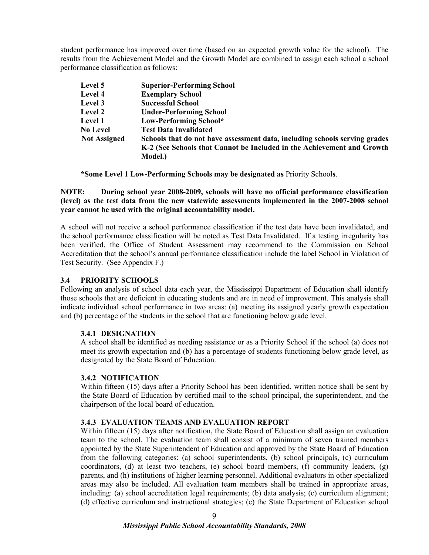student performance has improved over time (based on an expected growth value for the school). The results from the Achievement Model and the Growth Model are combined to assign each school a school performance classification as follows:

| Level 5             | <b>Superior-Performing School</b>                                          |
|---------------------|----------------------------------------------------------------------------|
| Level 4             | <b>Exemplary School</b>                                                    |
| Level 3             | <b>Successful School</b>                                                   |
| Level 2             | <b>Under-Performing School</b>                                             |
| Level 1             | Low-Performing School*                                                     |
| <b>No Level</b>     | <b>Test Data Invalidated</b>                                               |
| <b>Not Assigned</b> | Schools that do not have assessment data, including schools serving grades |
|                     | K-2 (See Schools that Cannot be Included in the Achievement and Growth     |
|                     | Model.)                                                                    |

**\*Some Level 1 Low-Performing Schools may be designated as** Priority School**s**.

#### **NOTE: During school year 2008-2009, schools will have no official performance classification (level) as the test data from the new statewide assessments implemented in the 2007-2008 school year cannot be used with the original accountability model.**

A school will not receive a school performance classification if the test data have been invalidated, and the school performance classification will be noted as Test Data Invalidated. If a testing irregularity has been verified, the Office of Student Assessment may recommend to the Commission on School Accreditation that the school's annual performance classification include the label School in Violation of Test Security. (See Appendix F.)

#### **3.4 PRIORITY SCHOOLS**

Following an analysis of school data each year, the Mississippi Department of Education shall identify those schools that are deficient in educating students and are in need of improvement. This analysis shall indicate individual school performance in two areas: (a) meeting its assigned yearly growth expectation and (b) percentage of the students in the school that are functioning below grade level.

#### **3.4.1 DESIGNATION**

A school shall be identified as needing assistance or as a Priority School if the school (a) does not meet its growth expectation and (b) has a percentage of students functioning below grade level, as designated by the State Board of Education.

#### **3.4.2 NOTIFICATION**

Within fifteen (15) days after a Priority School has been identified, written notice shall be sent by the State Board of Education by certified mail to the school principal, the superintendent, and the chairperson of the local board of education.

#### **3.4.3 EVALUATION TEAMS AND EVALUATION REPORT**

Within fifteen (15) days after notification, the State Board of Education shall assign an evaluation team to the school. The evaluation team shall consist of a minimum of seven trained members appointed by the State Superintendent of Education and approved by the State Board of Education from the following categories: (a) school superintendents, (b) school principals, (c) curriculum coordinators, (d) at least two teachers, (e) school board members, (f) community leaders, (g) parents, and (h) institutions of higher learning personnel. Additional evaluators in other specialized areas may also be included. All evaluation team members shall be trained in appropriate areas, including: (a) school accreditation legal requirements; (b) data analysis; (c) curriculum alignment; (d) effective curriculum and instructional strategies; (e) the State Department of Education school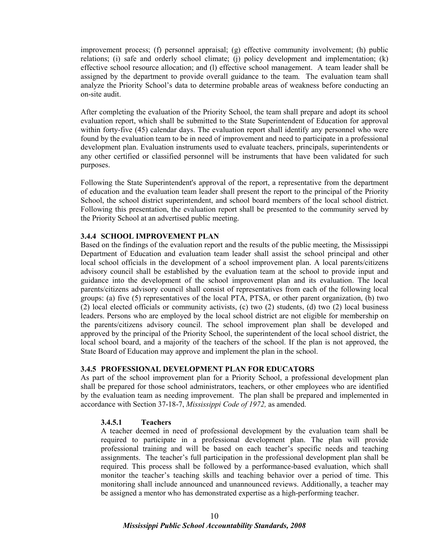improvement process; (f) personnel appraisal; (g) effective community involvement; (h) public relations; (i) safe and orderly school climate; (j) policy development and implementation; (k) effective school resource allocation; and (l) effective school management. A team leader shall be assigned by the department to provide overall guidance to the team. The evaluation team shall analyze the Priority School's data to determine probable areas of weakness before conducting an on-site audit.

After completing the evaluation of the Priority School, the team shall prepare and adopt its school evaluation report, which shall be submitted to the State Superintendent of Education for approval within forty-five (45) calendar days. The evaluation report shall identify any personnel who were found by the evaluation team to be in need of improvement and need to participate in a professional development plan. Evaluation instruments used to evaluate teachers, principals, superintendents or any other certified or classified personnel will be instruments that have been validated for such purposes.

Following the State Superintendent's approval of the report, a representative from the department of education and the evaluation team leader shall present the report to the principal of the Priority School, the school district superintendent, and school board members of the local school district. Following this presentation, the evaluation report shall be presented to the community served by the Priority School at an advertised public meeting.

#### **3.4.4 SCHOOL IMPROVEMENT PLAN**

Based on the findings of the evaluation report and the results of the public meeting, the Mississippi Department of Education and evaluation team leader shall assist the school principal and other local school officials in the development of a school improvement plan. A local parents/citizens advisory council shall be established by the evaluation team at the school to provide input and guidance into the development of the school improvement plan and its evaluation. The local parents/citizens advisory council shall consist of representatives from each of the following local groups: (a) five (5) representatives of the local PTA, PTSA, or other parent organization, (b) two (2) local elected officials or community activists, (c) two (2) students, (d) two (2) local business leaders. Persons who are employed by the local school district are not eligible for membership on the parents/citizens advisory council. The school improvement plan shall be developed and approved by the principal of the Priority School, the superintendent of the local school district, the local school board, and a majority of the teachers of the school. If the plan is not approved, the State Board of Education may approve and implement the plan in the school.

#### **3.4.5 PROFESSIONAL DEVELOPMENT PLAN FOR EDUCATORS**

As part of the school improvement plan for a Priority School, a professional development plan shall be prepared for those school administrators, teachers, or other employees who are identified by the evaluation team as needing improvement. The plan shall be prepared and implemented in accordance with Section 37-18-7, *Mississippi Code of 1972,* as amended.

#### **3.4.5.1 Teachers**

A teacher deemed in need of professional development by the evaluation team shall be required to participate in a professional development plan. The plan will provide professional training and will be based on each teacher's specific needs and teaching assignments. The teacher's full participation in the professional development plan shall be required. This process shall be followed by a performance-based evaluation, which shall monitor the teacher's teaching skills and teaching behavior over a period of time. This monitoring shall include announced and unannounced reviews. Additionally, a teacher may be assigned a mentor who has demonstrated expertise as a high-performing teacher.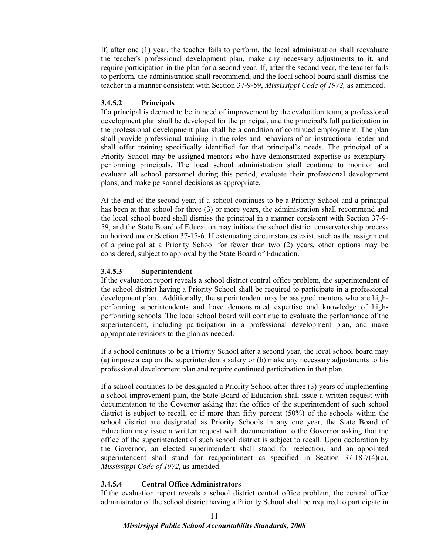If, after one (1) year, the teacher fails to perform, the local administration shall reevaluate the teacher's professional development plan, make any necessary adjustments to it, and require participation in the plan for a second year. If, after the second year, the teacher fails to perform, the administration shall recommend, and the local school board shall dismiss the teacher in a manner consistent with Section 37-9-59, *Mississippi Code of 1972,* as amended.

#### **3.4.5.2 Principals**

If a principal is deemed to be in need of improvement by the evaluation team, a professional development plan shall be developed for the principal, and the principal's full participation in the professional development plan shall be a condition of continued employment. The plan shall provide professional training in the roles and behaviors of an instructional leader and shall offer training specifically identified for that principal's needs. The principal of a Priority School may be assigned mentors who have demonstrated expertise as exemplaryperforming principals. The local school administration shall continue to monitor and evaluate all school personnel during this period, evaluate their professional development plans, and make personnel decisions as appropriate.

At the end of the second year, if a school continues to be a Priority School and a principal has been at that school for three (3) or more years, the administration shall recommend and the local school board shall dismiss the principal in a manner consistent with Section 37-9- 59, and the State Board of Education may initiate the school district conservatorship process authorized under Section 37-17-6. If extenuating circumstances exist, such as the assignment of a principal at a Priority School for fewer than two (2) years, other options may be considered, subject to approval by the State Board of Education.

#### **3.4.5.3 Superintendent**

If the evaluation report reveals a school district central office problem, the superintendent of the school district having a Priority School shall be required to participate in a professional development plan. Additionally, the superintendent may be assigned mentors who are highperforming superintendents and have demonstrated expertise and knowledge of highperforming schools. The local school board will continue to evaluate the performance of the superintendent, including participation in a professional development plan, and make appropriate revisions to the plan as needed.

If a school continues to be a Priority School after a second year, the local school board may (a) impose a cap on the superintendent's salary or (b) make any necessary adjustments to his professional development plan and require continued participation in that plan.

If a school continues to be designated a Priority School after three (3) years of implementing a school improvement plan, the State Board of Education shall issue a written request with documentation to the Governor asking that the office of the superintendent of such school district is subject to recall, or if more than fifty percent (50%) of the schools within the school district are designated as Priority Schools in any one year, the State Board of Education may issue a written request with documentation to the Governor asking that the office of the superintendent of such school district is subject to recall. Upon declaration by the Governor, an elected superintendent shall stand for reelection, and an appointed superintendent shall stand for reappointment as specified in Section  $37-18-7(4)(c)$ , *Mississippi Code of 1972,* as amended.

#### **3.4.5.4 Central Office Administrators**

If the evaluation report reveals a school district central office problem, the central office administrator of the school district having a Priority School shall be required to participate in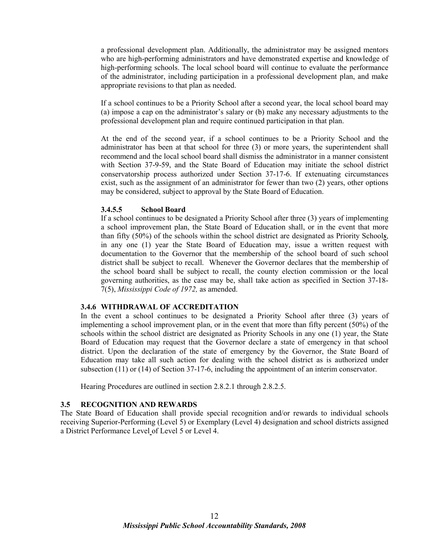a professional development plan. Additionally, the administrator may be assigned mentors who are high-performing administrators and have demonstrated expertise and knowledge of high-performing schools. The local school board will continue to evaluate the performance of the administrator, including participation in a professional development plan, and make appropriate revisions to that plan as needed.

If a school continues to be a Priority School after a second year, the local school board may (a) impose a cap on the administrator's salary or (b) make any necessary adjustments to the professional development plan and require continued participation in that plan.

At the end of the second year, if a school continues to be a Priority School and the administrator has been at that school for three (3) or more years, the superintendent shall recommend and the local school board shall dismiss the administrator in a manner consistent with Section 37-9-59, and the State Board of Education may initiate the school district conservatorship process authorized under Section 37-17-6. If extenuating circumstances exist, such as the assignment of an administrator for fewer than two (2) years, other options may be considered, subject to approval by the State Board of Education.

#### **3.4.5.5 School Board**

If a school continues to be designated a Priority School after three (3) years of implementing a school improvement plan, the State Board of Education shall, or in the event that more than fifty (50%) of the schools within the school district are designated as Priority School*s*, in any one (1) year the State Board of Education may, issue a written request with documentation to the Governor that the membership of the school board of such school district shall be subject to recall. Whenever the Governor declares that the membership of the school board shall be subject to recall, the county election commission or the local governing authorities, as the case may be, shall take action as specified in Section 37-18- 7(5), *Mississippi Code of 1972,* as amended.

#### **3.4.6 WITHDRAWAL OF ACCREDITATION**

In the event a school continues to be designated a Priority School after three (3) years of implementing a school improvement plan, or in the event that more than fifty percent (50%) of the schools within the school district are designated as Priority Schools in any one (1) year, the State Board of Education may request that the Governor declare a state of emergency in that school district. Upon the declaration of the state of emergency by the Governor, the State Board of Education may take all such action for dealing with the school district as is authorized under subsection (11) or (14) of Section 37-17-6, including the appointment of an interim conservator.

Hearing Procedures are outlined in section 2.8.2.1 through 2.8.2.5.

#### **3.5 RECOGNITION AND REWARDS**

The State Board of Education shall provide special recognition and/or rewards to individual schools receiving Superior-Performing (Level 5) or Exemplary (Level 4) designation and school districts assigned a District Performance Level of Level 5 or Level 4.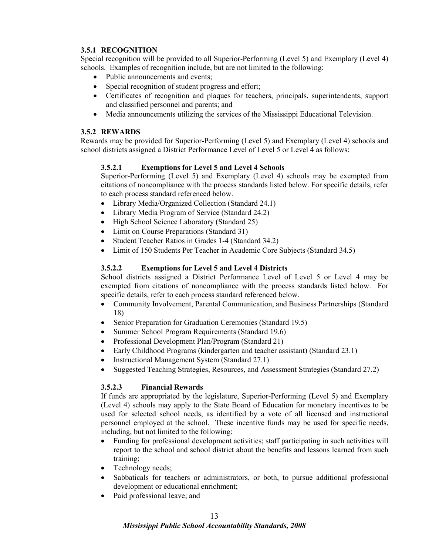#### **3.5.1 RECOGNITION**

Special recognition will be provided to all Superior-Performing (Level 5) and Exemplary (Level 4) schools. Examples of recognition include, but are not limited to the following:

- Public announcements and events;
- Special recognition of student progress and effort;
- Certificates of recognition and plaques for teachers, principals, superintendents, support and classified personnel and parents; and
- Media announcements utilizing the services of the Mississippi Educational Television.

#### **3.5.2 REWARDS**

Rewards may be provided for Superior-Performing (Level 5) and Exemplary (Level 4) schools and school districts assigned a District Performance Level of Level 5 or Level 4 as follows:

#### **3.5.2.1 Exemptions for Level 5 and Level 4 Schools**

Superior-Performing (Level 5) and Exemplary (Level 4) schools may be exempted from citations of noncompliance with the process standards listed below. For specific details, refer to each process standard referenced below.

- Library Media/Organized Collection (Standard 24.1)
- Library Media Program of Service (Standard 24.2)
- High School Science Laboratory (Standard 25)
- Limit on Course Preparations (Standard 31)
- Student Teacher Ratios in Grades 1-4 (Standard 34.2)
- Limit of 150 Students Per Teacher in Academic Core Subjects (Standard 34.5)

#### **3.5.2.2 Exemptions for Level 5 and Level 4 Districts**

School districts assigned a District Performance Level of Level 5 or Level 4 may be exempted from citations of noncompliance with the process standards listed below. For specific details, refer to each process standard referenced below.

- Community Involvement, Parental Communication, and Business Partnerships (Standard 18)
- Senior Preparation for Graduation Ceremonies (Standard 19.5)
- Summer School Program Requirements (Standard 19.6)
- Professional Development Plan/Program (Standard 21)
- Early Childhood Programs (kindergarten and teacher assistant) (Standard 23.1)
- Instructional Management System (Standard 27.1)
- Suggested Teaching Strategies, Resources, and Assessment Strategies (Standard 27.2)

#### **3.5.2.3 Financial Rewards**

If funds are appropriated by the legislature, Superior-Performing (Level 5) and Exemplary (Level 4) schools may apply to the State Board of Education for monetary incentives to be used for selected school needs, as identified by a vote of all licensed and instructional personnel employed at the school. These incentive funds may be used for specific needs, including, but not limited to the following:

- Funding for professional development activities; staff participating in such activities will report to the school and school district about the benefits and lessons learned from such training;
- Technology needs;
- Sabbaticals for teachers or administrators, or both, to pursue additional professional development or educational enrichment;
- Paid professional leave; and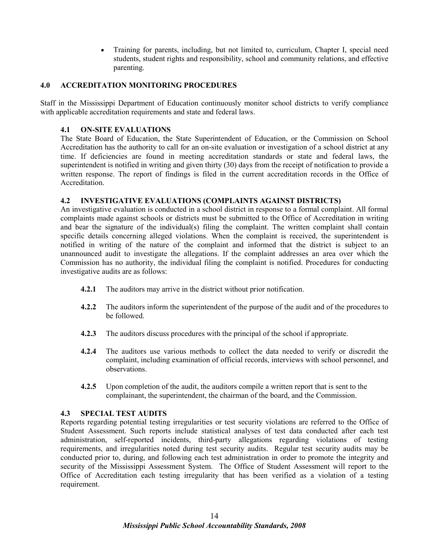• Training for parents, including, but not limited to, curriculum, Chapter I, special need students, student rights and responsibility, school and community relations, and effective parenting.

#### **4.0 ACCREDITATION MONITORING PROCEDURES**

Staff in the Mississippi Department of Education continuously monitor school districts to verify compliance with applicable accreditation requirements and state and federal laws.

#### **4.1 ON-SITE EVALUATIONS**

The State Board of Education, the State Superintendent of Education, or the Commission on School Accreditation has the authority to call for an on-site evaluation or investigation of a school district at any time. If deficiencies are found in meeting accreditation standards or state and federal laws, the superintendent is notified in writing and given thirty (30) days from the receipt of notification to provide a written response. The report of findings is filed in the current accreditation records in the Office of Accreditation.

#### **4.2 INVESTIGATIVE EVALUATIONS (COMPLAINTS AGAINST DISTRICTS)**

An investigative evaluation is conducted in a school district in response to a formal complaint. All formal complaints made against schools or districts must be submitted to the Office of Accreditation in writing and bear the signature of the individual(s) filing the complaint. The written complaint shall contain specific details concerning alleged violations. When the complaint is received, the superintendent is notified in writing of the nature of the complaint and informed that the district is subject to an unannounced audit to investigate the allegations. If the complaint addresses an area over which the Commission has no authority, the individual filing the complaint is notified. Procedures for conducting investigative audits are as follows:

- **4.2.1** The auditors may arrive in the district without prior notification.
- **4.2.2** The auditors inform the superintendent of the purpose of the audit and of the procedures to be followed.
- **4.2.3** The auditors discuss procedures with the principal of the school if appropriate.
- **4.2.4** The auditors use various methods to collect the data needed to verify or discredit the complaint, including examination of official records, interviews with school personnel, and observations.
- **4.2.5** Upon completion of the audit, the auditors compile a written report that is sent to the complainant, the superintendent, the chairman of the board, and the Commission.

#### **4.3 SPECIAL TEST AUDITS**

Reports regarding potential testing irregularities or test security violations are referred to the Office of Student Assessment. Such reports include statistical analyses of test data conducted after each test administration, self-reported incidents, third-party allegations regarding violations of testing requirements, and irregularities noted during test security audits. Regular test security audits may be conducted prior to, during, and following each test administration in order to promote the integrity and security of the Mississippi Assessment System. The Office of Student Assessment will report to the Office of Accreditation each testing irregularity that has been verified as a violation of a testing requirement.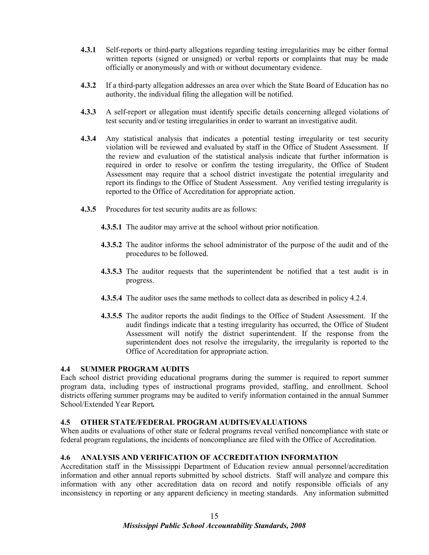- **4.3.1** Self-reports or third-party allegations regarding testing irregularities may be either formal written reports (signed or unsigned) or verbal reports or complaints that may be made officially or anonymously and with or without documentary evidence.
- **4.3.2** If a third-party allegation addresses an area over which the State Board of Education has no authority, the individual filing the allegation will be notified.
- **4.3.3** A self-report or allegation must identify specific details concerning alleged violations of test security and/or testing irregularities in order to warrant an investigative audit.
- **4.3.4** Any statistical analysis that indicates a potential testing irregularity or test security violation will be reviewed and evaluated by staff in the Office of Student Assessment. If the review and evaluation of the statistical analysis indicate that further information is required in order to resolve or confirm the testing irregularity, the Office of Student Assessment may require that a school district investigate the potential irregularity and report its findings to the Office of Student Assessment. Any verified testing irregularity is reported to the Office of Accreditation for appropriate action.
- **4.3.5** Procedures for test security audits are as follows:
	- **4.3.5.1** The auditor may arrive at the school without prior notification.
	- **4.3.5.2** The auditor informs the school administrator of the purpose of the audit and of the procedures to be followed.
	- **4.3.5.3** The auditor requests that the superintendent be notified that a test audit is in progress.
	- **4.3.5.4** The auditor uses the same methods to collect data as described in policy 4.2.4.
	- **4.3.5.5** The auditor reports the audit findings to the Office of Student Assessment. If the audit findings indicate that a testing irregularity has occurred, the Office of Student Assessment will notify the district superintendent. If the response from the superintendent does not resolve the irregularity, the irregularity is reported to the Office of Accreditation for appropriate action.

#### **4.4 SUMMER PROGRAM AUDITS**

Each school district providing educational programs during the summer is required to report summer program data, including types of instructional programs provided, staffing, and enrollment. School districts offering summer programs may be audited to verify information contained in the annual Summer School/Extended Year Report*.* 

#### **4.5 OTHER STATE/FEDERAL PROGRAM AUDITS/EVALUATIONS**

When audits or evaluations of other state or federal programs reveal verified noncompliance with state or federal program regulations, the incidents of noncompliance are filed with the Office of Accreditation.

#### **4.6 ANALYSIS AND VERIFICATION OF ACCREDITATION INFORMATION**

Accreditation staff in the Mississippi Department of Education review annual personnel/accreditation information and other annual reports submitted by school districts. Staff will analyze and compare this information with any other accreditation data on record and notify responsible officials of any inconsistency in reporting or any apparent deficiency in meeting standards. Any information submitted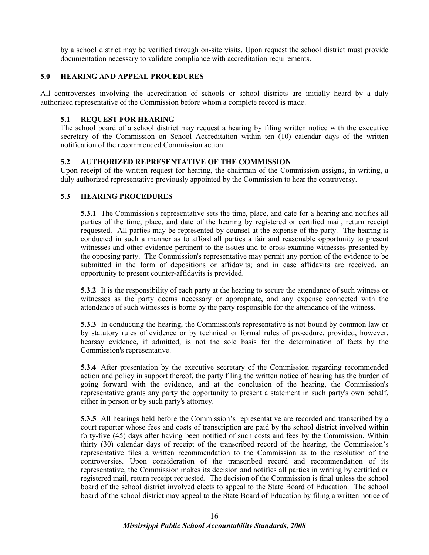by a school district may be verified through on-site visits. Upon request the school district must provide documentation necessary to validate compliance with accreditation requirements.

#### **5.0 HEARING AND APPEAL PROCEDURES**

All controversies involving the accreditation of schools or school districts are initially heard by a duly authorized representative of the Commission before whom a complete record is made.

#### **5.1 REQUEST FOR HEARING**

The school board of a school district may request a hearing by filing written notice with the executive secretary of the Commission on School Accreditation within ten (10) calendar days of the written notification of the recommended Commission action.

#### **5.2 AUTHORIZED REPRESENTATIVE OF THE COMMISSION**

Upon receipt of the written request for hearing, the chairman of the Commission assigns, in writing, a duly authorized representative previously appointed by the Commission to hear the controversy.

#### **5.3 HEARING PROCEDURES**

**5.3.1** The Commission's representative sets the time, place, and date for a hearing and notifies all parties of the time, place, and date of the hearing by registered or certified mail, return receipt requested. All parties may be represented by counsel at the expense of the party. The hearing is conducted in such a manner as to afford all parties a fair and reasonable opportunity to present witnesses and other evidence pertinent to the issues and to cross-examine witnesses presented by the opposing party. The Commission's representative may permit any portion of the evidence to be submitted in the form of depositions or affidavits; and in case affidavits are received, an opportunity to present counter-affidavits is provided.

**5.3.2** It is the responsibility of each party at the hearing to secure the attendance of such witness or witnesses as the party deems necessary or appropriate, and any expense connected with the attendance of such witnesses is borne by the party responsible for the attendance of the witness.

 **5.3.3** In conducting the hearing, the Commission's representative is not bound by common law or by statutory rules of evidence or by technical or formal rules of procedure, provided, however, hearsay evidence, if admitted, is not the sole basis for the determination of facts by the Commission's representative.

 **5.3.4** After presentation by the executive secretary of the Commission regarding recommended action and policy in support thereof, the party filing the written notice of hearing has the burden of going forward with the evidence, and at the conclusion of the hearing, the Commission's representative grants any party the opportunity to present a statement in such party's own behalf, either in person or by such party's attorney.

**5.3.5** All hearings held before the Commission's representative are recorded and transcribed by a court reporter whose fees and costs of transcription are paid by the school district involved within forty-five (45) days after having been notified of such costs and fees by the Commission. Within thirty (30) calendar days of receipt of the transcribed record of the hearing, the Commission's representative files a written recommendation to the Commission as to the resolution of the controversies. Upon consideration of the transcribed record and recommendation of its representative, the Commission makes its decision and notifies all parties in writing by certified or registered mail, return receipt requested. The decision of the Commission is final unless the school board of the school district involved elects to appeal to the State Board of Education. The school board of the school district may appeal to the State Board of Education by filing a written notice of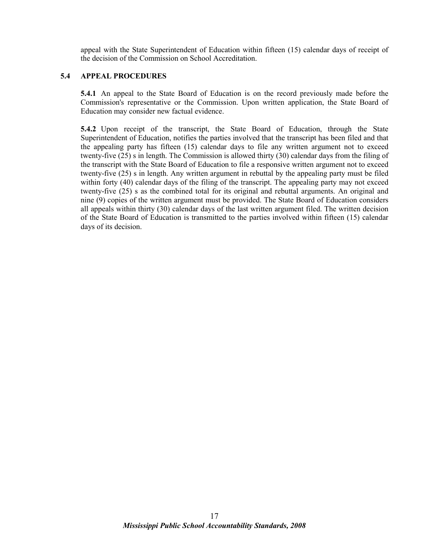appeal with the State Superintendent of Education within fifteen (15) calendar days of receipt of the decision of the Commission on School Accreditation.

#### **5.4 APPEAL PROCEDURES**

**5.4.1** An appeal to the State Board of Education is on the record previously made before the Commission's representative or the Commission. Upon written application, the State Board of Education may consider new factual evidence.

**5.4.2** Upon receipt of the transcript, the State Board of Education, through the State Superintendent of Education, notifies the parties involved that the transcript has been filed and that the appealing party has fifteen (15) calendar days to file any written argument not to exceed twenty-five (25) s in length. The Commission is allowed thirty (30) calendar days from the filing of the transcript with the State Board of Education to file a responsive written argument not to exceed twenty-five (25) s in length. Any written argument in rebuttal by the appealing party must be filed within forty (40) calendar days of the filing of the transcript. The appealing party may not exceed twenty-five (25) s as the combined total for its original and rebuttal arguments. An original and nine (9) copies of the written argument must be provided. The State Board of Education considers all appeals within thirty (30) calendar days of the last written argument filed. The written decision of the State Board of Education is transmitted to the parties involved within fifteen (15) calendar days of its decision.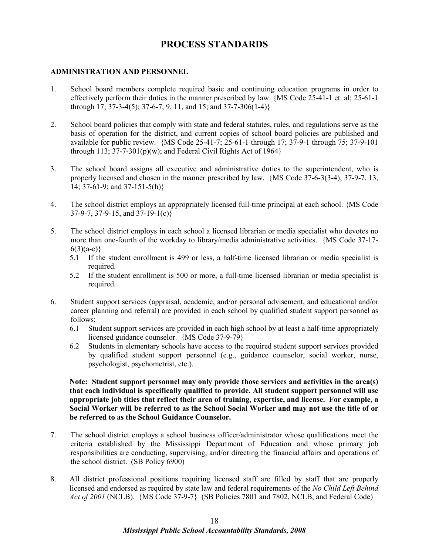## **PROCESS STANDARDS**

#### **ADMINISTRATION AND PERSONNEL**

- 1. School board members complete required basic and continuing education programs in order to effectively perform their duties in the manner prescribed by law. {MS Code 25-41-1 et. al; 25-61-1 through 17; 37-3-4(5); 37-6-7, 9, 11, and 15; and 37-7-306(1-4)}
- 2. School board policies that comply with state and federal statutes, rules, and regulations serve as the basis of operation for the district, and current copies of school board policies are published and available for public review. {MS Code 25-41-7; 25-61-1 through 17; 37-9-1 through 75; 37-9-101 through 113;  $37-7-301(p)(w)$ ; and Federal Civil Rights Act of 1964}
- 3. The school board assigns all executive and administrative duties to the superintendent, who is properly licensed and chosen in the manner prescribed by law. {MS Code 37-6-3(3-4); 37-9-7, 13, 14; 37-61-9; and 37-151-5(h)}
- 4. The school district employs an appropriately licensed full-time principal at each school. {MS Code 37-9-7, 37-9-15, and 37-19-1(c)}
- 5. The school district employs in each school a licensed librarian or media specialist who devotes no more than one-fourth of the workday to library/media administrative activities. {MS Code 37-17-  $6(3)(a-e)$ }
	- 5.1 If the student enrollment is 499 or less, a half-time licensed librarian or media specialist is required.
	- 5.2 If the student enrollment is 500 or more, a full-time licensed librarian or media specialist is required.
- 6. Student support services (appraisal, academic, and/or personal advisement, and educational and/or career planning and referral) are provided in each school by qualified student support personnel as follows:
	- 6.1 Student support services are provided in each high school by at least a half-time appropriately licensed guidance counselor. {MS Code 37-9-79}
	- 6.2 Students in elementary schools have access to the required student support services provided by qualified student support personnel (e.g., guidance counselor, social worker, nurse, psychologist, psychometrist, etc.).

**Note: Student support personnel may only provide those services and activities in the area(s) that each individual is specifically qualified to provide. All student support personnel will use appropriate job titles that reflect their area of training, expertise, and license. For example, a Social Worker will be referred to as the School Social Worker and may not use the title of or be referred to as the School Guidance Counselor.** 

- 7. The school district employs a school business officer/administrator whose qualifications meet the criteria established by the Mississippi Department of Education and whose primary job responsibilities are conducting, supervising, and/or directing the financial affairs and operations of the school district. (SB Policy 6900)
- 8. All district professional positions requiring licensed staff are filled by staff that are properly licensed and endorsed as required by state law and federal requirements of the *No Child Left Behind Act of 2001* (NCLB). {MS Code 37-9-7} (SB Policies 7801 and 7802, NCLB, and Federal Code)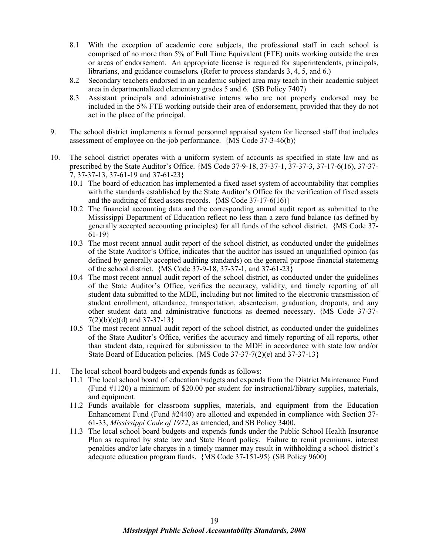- 8.1 With the exception of academic core subjects, the professional staff in each school is comprised of no more than 5% of Full Time Equivalent (FTE) units working outside the area or areas of endorsement. An appropriate license is required for superintendents, principals, librarians, and guidance counselors. (Refer to process standards 3, 4, 5, and 6.)
- 8.2 Secondary teachers endorsed in an academic subject area may teach in their academic subject area in departmentalized elementary grades 5 and 6. (SB Policy 7407)
- 8.3 Assistant principals and administrative interns who are not properly endorsed may be included in the 5% FTE working outside their area of endorsement, provided that they do not act in the place of the principal.
- 9. The school district implements a formal personnel appraisal system for licensed staff that includes assessment of employee on-the-job performance. {MS Code 37-3-46(b)}
- 10. The school district operates with a uniform system of accounts as specified in state law and as prescribed by the State Auditor's Office. {MS Code 37-9-18, 37-37-1, 37-37-3, 37-17-6(16), 37-37- 7, 37-37-13, 37-61-19 and 37-61-23}
	- 10.1 The board of education has implemented a fixed asset system of accountability that complies with the standards established by the State Auditor's Office for the verification of fixed assets and the auditing of fixed assets records. {MS Code 37-17-6(16)}
	- 10.2 The financial accounting data and the corresponding annual audit report as submitted to the Mississippi Department of Education reflect no less than a zero fund balance (as defined by generally accepted accounting principles) for all funds of the school district. {MS Code 37- 61-19}
	- 10.3 The most recent annual audit report of the school district, as conducted under the guidelines of the State Auditor's Office, indicates that the auditor has issued an unqualified opinion (as defined by generally accepted auditing standards) on the general purpose financial statement*s* of the school district. {MS Code 37-9-18, 37-37-1, and 37-61-23}
	- 10.4 The most recent annual audit report of the school district, as conducted under the guidelines of the State Auditor's Office, verifies the accuracy, validity, and timely reporting of all student data submitted to the MDE, including but not limited to the electronic transmission of student enrollment, attendance, transportation, absenteeism, graduation, dropouts, and any other student data and administrative functions as deemed necessary. {MS Code 37-37-  $7(2)(b)(c)(d)$  and  $37-37-13$
	- 10.5 The most recent annual audit report of the school district, as conducted under the guidelines of the State Auditor's Office, verifies the accuracy and timely reporting of all reports, other than student data, required for submission to the MDE in accordance with state law and/or State Board of Education policies. {MS Code 37-37-7(2)(e) and 37-37-13}
- 11. The local school board budgets and expends funds as follows:
	- 11.1 The local school board of education budgets and expends from the District Maintenance Fund (Fund #1120) a minimum of \$20.00 per student for instructional/library supplies, materials, and equipment.
	- 11.2 Funds available for classroom supplies, materials, and equipment from the Education Enhancement Fund (Fund #2440) are allotted and expended in compliance with Section 37- 61-33, *Mississippi Code of 1972*, as amended, and SB Policy 3400.
	- 11.3 The local school board budgets and expends funds under the Public School Health Insurance Plan as required by state law and State Board policy. Failure to remit premiums, interest penalties and/or late charges in a timely manner may result in withholding a school district's adequate education program funds. {MS Code 37-151-95} (SB Policy 9600)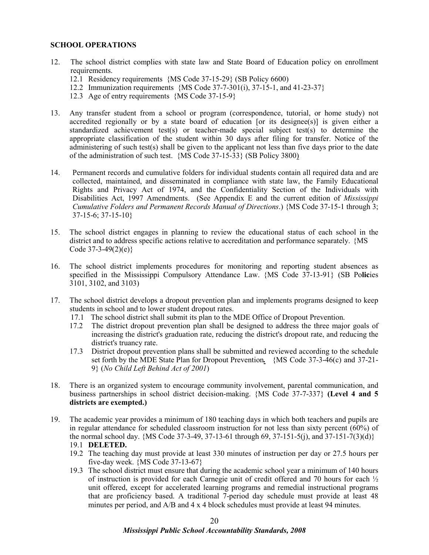#### **SCHOOL OPERATIONS**

- 12. The school district complies with state law and State Board of Education policy on enrollment requirements.
	- 12.1 Residency requirements {MS Code 37-15-29} (SB Policy 6600)
	- 12.2 Immunization requirements {MS Code 37-7-301(i), 37-15-1, and 41-23-37}
	- 12.3 Age of entry requirements {MS Code 37-15-9}
- 13. Any transfer student from a school or program (correspondence, tutorial, or home study) not accredited regionally or by a state board of education [or its designee(s)] is given either a standardized achievement test(s) or teacher-made special subject test(s) to determine the appropriate classification of the student within 30 days after filing for transfer. Notice of the administering of such test(s) shall be given to the applicant not less than five days prior to the date of the administration of such test. {MS Code 37-15-33} (SB Policy 3800)
- 14. Permanent records and cumulative folders for individual students contain all required data and are collected, maintained, and disseminated in compliance with state law, the Family Educational Rights and Privacy Act of 1974, and the Confidentiality Section of the Individuals with Disabilities Act, 1997 Amendments. (See Appendix E and the current edition of *Mississippi Cumulative Folders and Permanent Records Manual of Directions*.) {MS Code 37-15-1 through 3; 37-15-6; 37-15-10}
- 15. The school district engages in planning to review the educational status of each school in the district and to address specific actions relative to accreditation and performance separately. {MS Code 37-3-49(2)(e)}
- 16. The school district implements procedures for monitoring and reporting student absences as specified in the Mississippi Compulsory Attendance Law. {MS Code 37-13-91} (SB Po**lic**ies 3101, 3102, and 3103)
- 17. The school district develops a dropout prevention plan and implements programs designed to keep students in school and to lower student dropout rates.
	- 17.1 The school district shall submit its plan to the MDE Office of Dropout Prevention.
	- 17.2 The district dropout prevention plan shall be designed to address the three major goals of increasing the district's graduation rate, reducing the district's dropout rate, and reducing the district's truancy rate.
	- 17.3 District dropout prevention plans shall be submitted and reviewed according to the schedule set forth by the MDE State Plan for Dropout Prevention*.* {MS Code 37-3-46(c) and 37-21- 9} (*No Child Left Behind Act of 2001*)
- 18. There is an organized system to encourage community involvement, parental communication, and business partnerships in school district decision-making. {MS Code 37-7-337} **(Level 4 and 5 districts are exempted.)**
- 19. The academic year provides a minimum of 180 teaching days in which both teachers and pupils are in regular attendance for scheduled classroom instruction for not less than sixty percent (60%) of the normal school day.  $\{MS\ Code\ 37-3-49, 37-13-61 \ through\ 69, 37-151-5(i), \ and\ 37-151-7(3)(d)\}$ 19.1 **DELETED.**
	- 19.2 The teaching day must provide at least 330 minutes of instruction per day or 27.5 hours per five-day week. {MS Code 37-13-67}
	- 19.3 The school district must ensure that during the academic school year a minimum of 140 hours of instruction is provided for each Carnegie unit of credit offered and 70 hours for each  $\frac{1}{2}$ unit offered, except for accelerated learning programs and remedial instructional programs that are proficiency based. A traditional 7-period day schedule must provide at least 48 minutes per period, and A/B and 4 x 4 block schedules must provide at least 94 minutes.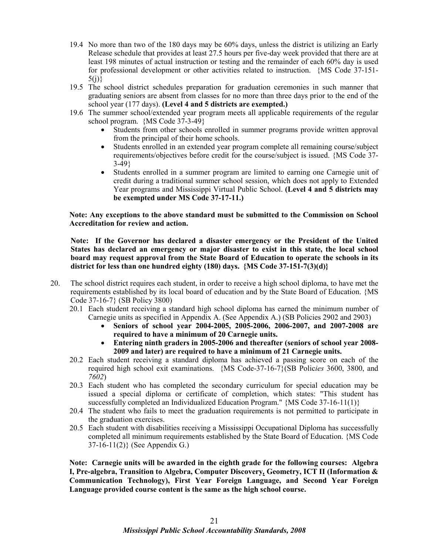- 19.4 No more than two of the 180 days may be 60% days, unless the district is utilizing an Early Release schedule that provides at least 27.5 hours per five-day week provided that there are at least 198 minutes of actual instruction or testing and the remainder of each 60% day is used for professional development or other activities related to instruction. {MS Code 37-151-  $5(i)$
- 19.5 The school district schedules preparation for graduation ceremonies in such manner that graduating seniors are absent from classes for no more than three days prior to the end of the school year (177 days). **(Level 4 and 5 districts are exempted.)**
- 19.6 The summer school/extended year program meets all applicable requirements of the regular school program. {MS Code 37-3-49}
	- Students from other schools enrolled in summer programs provide written approval from the principal of their home schools.
	- Students enrolled in an extended year program complete all remaining course/subject requirements/objectives before credit for the course/subject is issued. {MS Code 37- 3-49}
	- Students enrolled in a summer program are limited to earning one Carnegie unit of credit during a traditional summer school session, which does not apply to Extended Year programs and Mississippi Virtual Public School. **(Level 4 and 5 districts may be exempted under MS Code 37-17-11.)**

**Note: Any exceptions to the above standard must be submitted to the Commission on School Accreditation for review and action.** 

**Note: If the Governor has declared a disaster emergency or the President of the United States has declared an emergency or major disaster to exist in this state, the local school board may request approval from the State Board of Education to operate the schools in its district for less than one hundred eighty (180) days. {MS Code 37-151-7(3)(d)}**

- 20. The school district requires each student, in order to receive a high school diploma, to have met the requirements established by its local board of education and by the State Board of Education. {MS Code 37-16-7} (SB Policy 3800)
	- 20.1 Each student receiving a standard high school diploma has earned the minimum number of Carnegie units as specified in Appendix A. (See Appendix A.) (SB Policies 2902 and 2903)
		- **Seniors of school year 2004-2005, 2005-2006, 2006-2007, and 2007-2008 are required to have a minimum of 20 Carnegie units.**
		- **Entering ninth graders in 2005-2006 and thereafter (seniors of school year 2008- 2009 and later) are required to have a minimum of 21 Carnegie units.**
	- 20.2 Each student receiving a standard diploma has achieved a passing score on each of the required high school exit examinations. {MS Code-37-16-7}(SB Polic*ies* 3600, 3800, and *7602*)
	- 20.3 Each student who has completed the secondary curriculum for special education may be issued a special diploma or certificate of completion, which states: "This student has successfully completed an Individualized Education Program."  ${MS Code 37-16-11(1)}$
	- 20.4 The student who fails to meet the graduation requirements is not permitted to participate in the graduation exercises.
	- 20.5 Each student with disabilities receiving a Mississippi Occupational Diploma has successfully completed all minimum requirements established by the State Board of Education. {MS Code 37-16-11(2)} (See Appendix G.)

**Note: Carnegie units will be awarded in the eighth grade for the following courses: Algebra I, Pre-algebra, Transition to Algebra, Computer Discovery***,* **Geometry, ICT II (Information & Communication Technology), First Year Foreign Language, and Second Year Foreign Language provided course content is the same as the high school course.**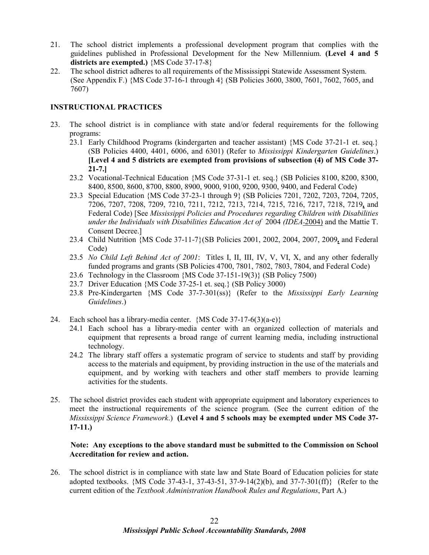- 21. The school district implements a professional development program that complies with the guidelines published in Professional Development for the New Millennium. **(Level 4 and 5 districts are exempted.)** {MS Code 37-17-8}
- 22. The school district adheres to all requirements of the Mississippi Statewide Assessment System. (See Appendix F.) {MS Code 37-16-1 through 4} (SB Policies 3600, 3800, 7601, 7602, 7605, and 7607)

#### **INSTRUCTIONAL PRACTICES**

- 23. The school district is in compliance with state and/or federal requirements for the following programs:
	- 23.1 Early Childhood Programs (kindergarten and teacher assistant) {MS Code 37-21-1 et. seq.} (SB Policies 4400, 4401, 6006, and 6301) (Refer to *Mississippi Kindergarten Guidelines*.) **[Level 4 and 5 districts are exempted from provisions of subsection (4) of MS Code 37- 21-7.]**
	- 23.2 Vocational-Technical Education {MS Code 37-31-1 et. seq.} (SB Policies 8100, 8200, 8300, 8400, 8500, 8600, 8700, 8800, 8900, 9000, 9100, 9200, 9300, 9400, and Federal Code)
	- 23.3 Special Education {MS Code 37-23-1 through 9} (SB Policies 7201, 7202, 7203, 7204, 7205, 7206, 7207, 7208, 7209, 7210, 7211, 7212, 7213, 7214, 7215, 7216, 7217, 7218, 7219*,* and Federal Code) [See *Mississippi Policies and Procedures regarding Children with Disabilities under the Individuals with Disabilities Education Act of* 2004 *(IDEA* 2004) and the Mattie T. Consent Decree.]
	- 23.4 Child Nutrition {MS Code 37-11-7}(SB Policies 2001, 2002, 2004, 2007, 2009*,* and Federal Code)
	- 23.5 *No Child Left Behind Act of 2001*: Titles I, II, III, IV, V, VI, X, and any other federally funded programs and grants (SB Policies 4700, 7801, 7802, 7803, 7804, and Federal Code)
	- 23.6 Technology in the Classroom {MS Code 37-151-19(3)} (SB Policy 7500)
	- 23.7 Driver Education {MS Code 37-25-1 et. seq.} (SB Policy 3000)
	- 23.8 Pre-Kindergarten {MS Code 37-7-301(ss)} (Refer to the *Mississippi Early Learning Guidelines*.)
- 24. Each school has a library-media center.  ${MS Code 37-17-6(3)(a-e)}$ 
	- 24.1 Each school has a library-media center with an organized collection of materials and equipment that represents a broad range of current learning media, including instructional technology.
	- 24.2 The library staff offers a systematic program of service to students and staff by providing access to the materials and equipment, by providing instruction in the use of the materials and equipment, and by working with teachers and other staff members to provide learning activities for the students.
- 25. The school district provides each student with appropriate equipment and laboratory experiences to meet the instructional requirements of the science program. (See the current edition of the *Mississippi Science Framework*.) **(Level 4 and 5 schools may be exempted under MS Code 37- 17-11.)**

#### **Note: Any exceptions to the above standard must be submitted to the Commission on School Accreditation for review and action.**

26. The school district is in compliance with state law and State Board of Education policies for state adopted textbooks. {MS Code 37-43-1, 37-43-51, 37-9-14(2)(b), and 37-7-301(ff)} (Refer to the current edition of the *Textbook Administration Handbook Rules and Regulations*, Part A.)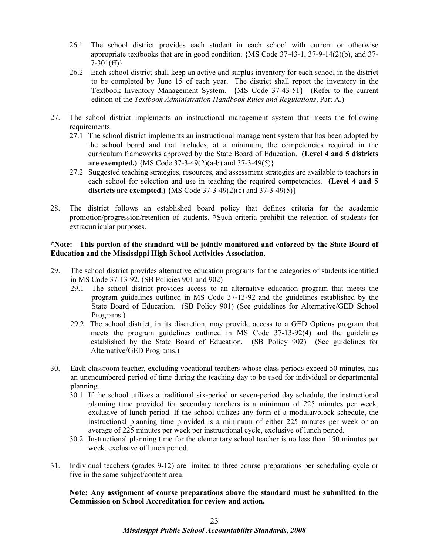- 26.1 The school district provides each student in each school with current or otherwise appropriate textbooks that are in good condition. {MS Code 37-43-1, 37-9-14(2)(b), and 37-  $7-301(ff)$
- 26.2 Each school district shall keep an active and surplus inventory for each school in the district to be completed by June 15 of each year. The district shall report the inventory in the Textbook Inventory Management System. {MS Code 37-43-51} (Refer to the current edition of the *Textbook Administration Handbook Rules and Regulations*, Part A.)
- 27. The school district implements an instructional management system that meets the following requirements:
	- 27.1 The school district implements an instructional management system that has been adopted by the school board and that includes, at a minimum, the competencies required in the curriculum frameworks approved by the State Board of Education. **(Level 4 and 5 districts are exempted.)** {MS Code 37-3-49(2)(a-b) and 37-3-49(5)}
	- 27.2 Suggested teaching strategies, resources, and assessment strategies are available to teachers in each school for selection and use in teaching the required competencies. **(Level 4 and 5 districts are exempted.)** {MS Code 37-3-49(2)(c) and 37-3-49(5)}
- 28. The district follows an established board policy that defines criteria for the academic promotion/progression/retention of students. **\***Such criteria prohibit the retention of students for extracurricular purposes.

#### **\*Note: This portion of the standard will be jointly monitored and enforced by the State Board of Education and the Mississippi High School Activities Association.**

- 29. The school district provides alternative education programs for the categories of students identified in MS Code 37-13-92. (SB Policies 901 and 902)
	- 29.1 The school district provides access to an alternative education program that meets the program guidelines outlined in MS Code 37-13-92 and the guidelines established by the State Board of Education. (SB Policy 901) (See guidelines for Alternative/GED School Programs.)
	- 29.2 The school district, in its discretion, may provide access to a GED Options program that meets the program guidelines outlined in MS Code 37-13-92(4) and the guidelines established by the State Board of Education. (SB Policy 902) (See guidelines for Alternative/GED Programs.)
- 30. Each classroom teacher, excluding vocational teachers whose class periods exceed 50 minutes, has an unencumbered period of time during the teaching day to be used for individual or departmental planning.
	- 30.1 If the school utilizes a traditional six-period or seven-period day schedule, the instructional planning time provided for secondary teachers is a minimum of 225 minutes per week, exclusive of lunch period. If the school utilizes any form of a modular/block schedule, the instructional planning time provided is a minimum of either 225 minutes per week or an average of 225 minutes per week per instructional cycle, exclusive of lunch period.
	- 30.2 Instructional planning time for the elementary school teacher is no less than 150 minutes per week, exclusive of lunch period.
- 31. Individual teachers (grades 9-12) are limited to three course preparations per scheduling cycle or five in the same subject/content area.

**Note: Any assignment of course preparations above the standard must be submitted to the Commission on School Accreditation for review and action.**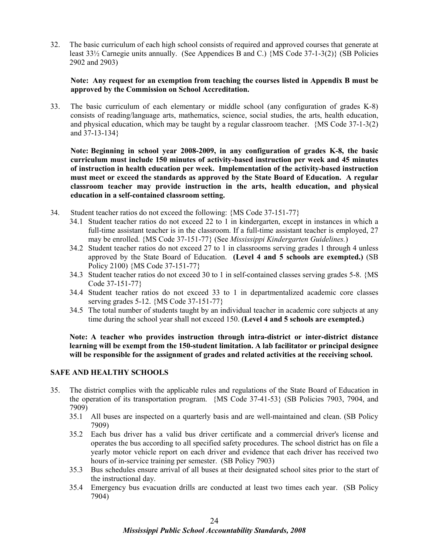32. The basic curriculum of each high school consists of required and approved courses that generate at least 33½ Carnegie units annually. (See Appendices B and C.) {MS Code 37-1-3(2)} (SB Policies 2902 and 2903)

#### **Note: Any request for an exemption from teaching the courses listed in Appendix B must be approved by the Commission on School Accreditation.**

33. The basic curriculum of each elementary or middle school (any configuration of grades K-8) consists of reading/language arts, mathematics, science, social studies, the arts, health education, and physical education, which may be taught by a regular classroom teacher. {MS Code 37-1-3(2) and 37-13-134}

**Note: Beginning in school year 2008-2009, in any configuration of grades K-8, the basic curriculum must include 150 minutes of activity-based instruction per week and 45 minutes of instruction in health education per week. Implementation of the activity-based instruction must meet or exceed the standards as approved by the State Board of Education. A regular classroom teacher may provide instruction in the arts, health education, and physical education in a self-contained classroom setting.** 

- 34. Student teacher ratios do not exceed the following: {MS Code 37-151-77}
	- 34.1 Student teacher ratios do not exceed 22 to 1 in kindergarten, except in instances in which a full-time assistant teacher is in the classroom. If a full-time assistant teacher is employed, 27 may be enrolled. {MS Code 37-151-77} (See *Mississippi Kindergarten Guidelines.*)
	- 34.2 Student teacher ratios do not exceed 27 to 1 in classrooms serving grades 1 through 4 unless approved by the State Board of Education. **(Level 4 and 5 schools are exempted.)** (SB Policy 2100) {MS Code 37-151-77}
	- 34.3 Student teacher ratios do not exceed 30 to 1 in self-contained classes serving grades 5-8. {MS Code 37-151-77}
	- 34.4 Student teacher ratios do not exceed 33 to 1 in departmentalized academic core classes serving grades 5-12. {MS Code 37-151-77}
	- 34.5 The total number of students taught by an individual teacher in academic core subjects at any time during the school year shall not exceed 150. **(Level 4 and 5 schools are exempted.)**

**Note: A teacher who provides instruction through intra-district or inter-district distance learning will be exempt from the 150-student limitation. A lab facilitator or principal designee will be responsible for the assignment of grades and related activities at the receiving school.**

#### **SAFE AND HEALTHY SCHOOLS**

- 35. The district complies with the applicable rules and regulations of the State Board of Education in the operation of its transportation program. {MS Code 37-41-53} (SB Policies 7903, 7904, and 7909)
	- 35.1 All buses are inspected on a quarterly basis and are well-maintained and clean. (SB Policy 7909)
	- 35.2 Each bus driver has a valid bus driver certificate and a commercial driver's license and operates the bus according to all specified safety procedures. The school district has on file a yearly motor vehicle report on each driver and evidence that each driver has received two hours of in-service training per semester. (SB Policy 7903)
	- 35.3 Bus schedules ensure arrival of all buses at their designated school sites prior to the start of the instructional day.
	- 35.4 Emergency bus evacuation drills are conducted at least two times each year. (SB Policy 7904)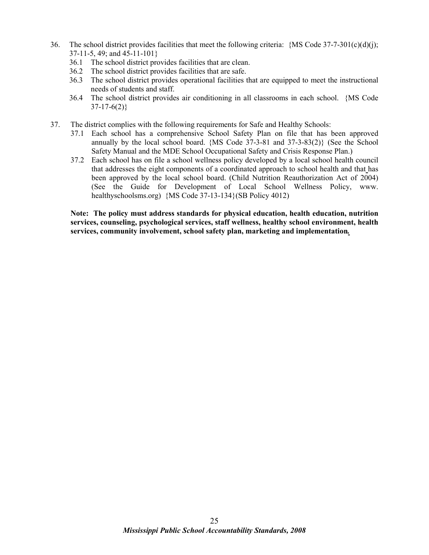- 36. The school district provides facilities that meet the following criteria:  ${MS Code 37-7-301(c)(d)(i)}$ ; 37-11-5, 49; and 45-11-101}
	- 36.1 The school district provides facilities that are clean.
	- 36.2 The school district provides facilities that are safe.
	- 36.3 The school district provides operational facilities that are equipped to meet the instructional needs of students and staff.
	- 36.4 The school district provides air conditioning in all classrooms in each school. {MS Code  $37-17-6(2)$
- 37. The district complies with the following requirements for Safe and Healthy Schools:
	- 37.1 Each school has a comprehensive School Safety Plan on file that has been approved annually by the local school board. {MS Code 37-3-81 and 37-3-83(2)} (See the School Safety Manual and the MDE School Occupational Safety and Crisis Response Plan.)
	- 37.2 Each school has on file a school wellness policy developed by a local school health council that addresses the eight components of a coordinated approach to school health and that has been approved by the local school board. (Child Nutrition Reauthorization Act of 2004) (See the Guide for Development of Local School Wellness Policy, www. healthyschoolsms.org) {MS Code 37-13-134}(SB Policy 4012)

**Note: The policy must address standards for physical education, health education, nutrition services, counseling, psychological services, staff wellness, healthy school environment, health services, community involvement, school safety plan, marketing and implementation***.*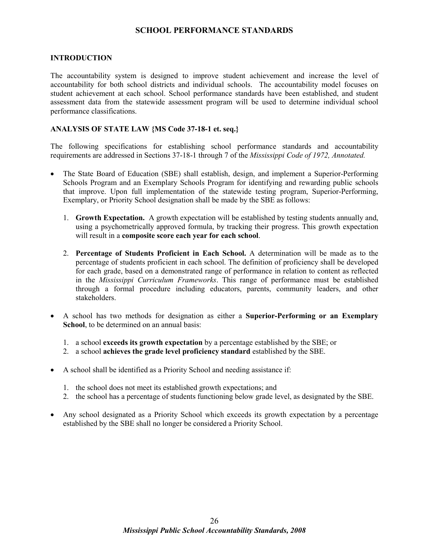#### **SCHOOL PERFORMANCE STANDARDS**

#### **INTRODUCTION**

The accountability system is designed to improve student achievement and increase the level of accountability for both school districts and individual schools. The accountability model focuses on student achievement at each school. School performance standards have been established, and student assessment data from the statewide assessment program will be used to determine individual school performance classifications.

#### **ANALYSIS OF STATE LAW {MS Code 37-18-1 et. seq.}**

The following specifications for establishing school performance standards and accountability requirements are addressed in Sections 37-18-1 through 7 of the *Mississippi Code of 1972, Annotated.*

- The State Board of Education (SBE) shall establish, design, and implement a Superior-Performing Schools Program and an Exemplary Schools Program for identifying and rewarding public schools that improve. Upon full implementation of the statewide testing program, Superior-Performing, Exemplary, or Priority School designation shall be made by the SBE as follows:
	- 1. **Growth Expectation.** A growth expectation will be established by testing students annually and, using a psychometrically approved formula, by tracking their progress. This growth expectation will result in a **composite score each year for each school**.
	- 2. **Percentage of Students Proficient in Each School.** A determination will be made as to the percentage of students proficient in each school. The definition of proficiency shall be developed for each grade, based on a demonstrated range of performance in relation to content as reflected in the *Mississippi Curriculum Frameworks*. This range of performance must be established through a formal procedure including educators, parents, community leaders, and other stakeholders.
- A school has two methods for designation as either a **Superior-Performing or an Exemplary School**, to be determined on an annual basis:
	- 1. a school **exceeds its growth expectation** by a percentage established by the SBE; or
	- 2. a school **achieves the grade level proficiency standard** established by the SBE.
- A school shall be identified as a Priority School and needing assistance if:
	- 1. the school does not meet its established growth expectations; and
	- 2. the school has a percentage of students functioning below grade level, as designated by the SBE.
- Any school designated as a Priority School which exceeds its growth expectation by a percentage established by the SBE shall no longer be considered a Priority School.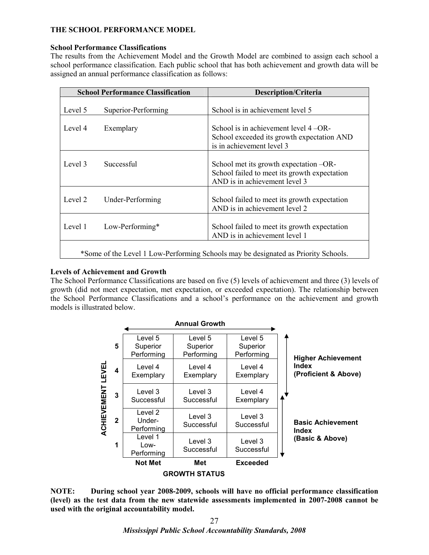#### **THE SCHOOL PERFORMANCE MODEL**

#### **School Performance Classifications**

The results from the Achievement Model and the Growth Model are combined to assign each school a school performance classification. Each public school that has both achievement and growth data will be assigned an annual performance classification as follows:

| <b>School Performance Classification</b>                                           |                     | <b>Description/Criteria</b>                                                                                             |  |
|------------------------------------------------------------------------------------|---------------------|-------------------------------------------------------------------------------------------------------------------------|--|
| Level 5                                                                            | Superior-Performing | School is in achievement level 5                                                                                        |  |
| Level 4                                                                            | Exemplary           | School is in achievement level $4 - OR -$<br>School exceeded its growth expectation AND<br>is in achievement level 3    |  |
| Level 3                                                                            | Successful          | School met its growth expectation -OR-<br>School failed to meet its growth expectation<br>AND is in achievement level 3 |  |
| Level 2                                                                            | Under-Performing    | School failed to meet its growth expectation<br>AND is in achievement level 2                                           |  |
| Level 1                                                                            | Low-Performing*     | School failed to meet its growth expectation<br>AND is in achievement level 1                                           |  |
| *Some of the Level 1 Low-Performing Schools may be designated as Priority Schools. |                     |                                                                                                                         |  |

#### **Levels of Achievement and Growth**

The School Performance Classifications are based on five (5) levels of achievement and three (3) levels of growth (did not meet expectation, met expectation, or exceeded expectation). The relationship between the School Performance Classifications and a school's performance on the achievement and growth models is illustrated below.



**NOTE: During school year 2008-2009, schools will have no official performance classification (level) as the test data from the new statewide assessments implemented in 2007-2008 cannot be used with the original accountability model.**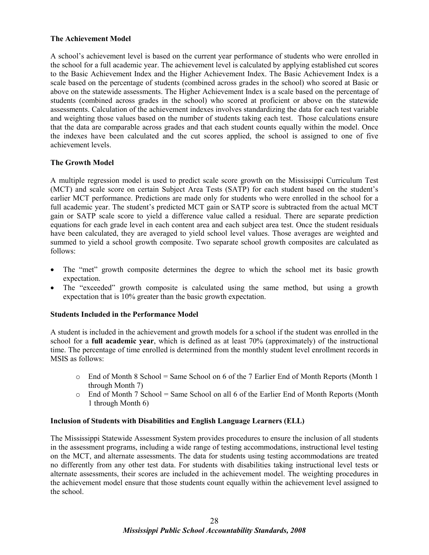#### **The Achievement Model**

A school's achievement level is based on the current year performance of students who were enrolled in the school for a full academic year. The achievement level is calculated by applying established cut scores to the Basic Achievement Index and the Higher Achievement Index. The Basic Achievement Index is a scale based on the percentage of students (combined across grades in the school) who scored at Basic or above on the statewide assessments. The Higher Achievement Index is a scale based on the percentage of students (combined across grades in the school) who scored at proficient or above on the statewide assessments. Calculation of the achievement indexes involves standardizing the data for each test variable and weighting those values based on the number of students taking each test. Those calculations ensure that the data are comparable across grades and that each student counts equally within the model. Once the indexes have been calculated and the cut scores applied, the school is assigned to one of five achievement levels.

#### **The Growth Model**

A multiple regression model is used to predict scale score growth on the Mississippi Curriculum Test (MCT) and scale score on certain Subject Area Tests (SATP) for each student based on the student's earlier MCT performance. Predictions are made only for students who were enrolled in the school for a full academic year. The student's predicted MCT gain or SATP score is subtracted from the actual MCT gain or SATP scale score to yield a difference value called a residual. There are separate prediction equations for each grade level in each content area and each subject area test. Once the student residuals have been calculated, they are averaged to yield school level values. Those averages are weighted and summed to yield a school growth composite. Two separate school growth composites are calculated as follows:

- The "met" growth composite determines the degree to which the school met its basic growth expectation.
- The "exceeded" growth composite is calculated using the same method, but using a growth expectation that is 10% greater than the basic growth expectation.

#### **Students Included in the Performance Model**

A student is included in the achievement and growth models for a school if the student was enrolled in the school for a **full academic year**, which is defined as at least 70% (approximately) of the instructional time. The percentage of time enrolled is determined from the monthly student level enrollment records in MSIS as follows:

- $\circ$  End of Month 8 School = Same School on 6 of the 7 Earlier End of Month Reports (Month 1) through Month 7)
- $\circ$  End of Month 7 School = Same School on all 6 of the Earlier End of Month Reports (Month 1 through Month 6)

#### **Inclusion of Students with Disabilities and English Language Learners (ELL)**

The Mississippi Statewide Assessment System provides procedures to ensure the inclusion of all students in the assessment programs, including a wide range of testing accommodations, instructional level testing on the MCT, and alternate assessments. The data for students using testing accommodations are treated no differently from any other test data. For students with disabilities taking instructional level tests or alternate assessments, their scores are included in the achievement model. The weighting procedures in the achievement model ensure that those students count equally within the achievement level assigned to the school.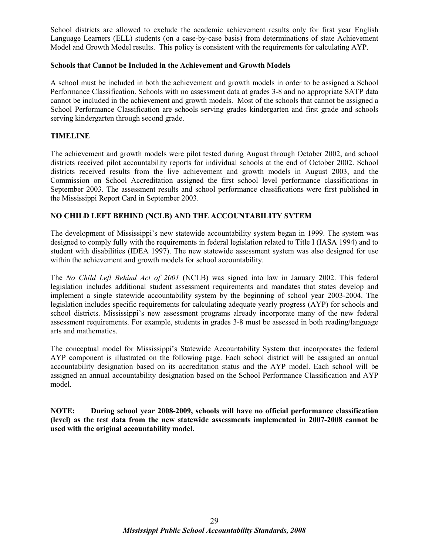School districts are allowed to exclude the academic achievement results only for first year English Language Learners (ELL) students (on a case-by-case basis) from determinations of state Achievement Model and Growth Model results. This policy is consistent with the requirements for calculating AYP.

#### **Schools that Cannot be Included in the Achievement and Growth Models**

A school must be included in both the achievement and growth models in order to be assigned a School Performance Classification. Schools with no assessment data at grades 3-8 and no appropriate SATP data cannot be included in the achievement and growth models. Most of the schools that cannot be assigned a School Performance Classification are schools serving grades kindergarten and first grade and schools serving kindergarten through second grade.

#### **TIMELINE**

The achievement and growth models were pilot tested during August through October 2002, and school districts received pilot accountability reports for individual schools at the end of October 2002. School districts received results from the live achievement and growth models in August 2003, and the Commission on School Accreditation assigned the first school level performance classifications in September 2003. The assessment results and school performance classifications were first published in the Mississippi Report Card in September 2003.

#### **NO CHILD LEFT BEHIND (NCLB) AND THE ACCOUNTABILITY SYTEM**

The development of Mississippi's new statewide accountability system began in 1999. The system was designed to comply fully with the requirements in federal legislation related to Title I (IASA 1994) and to student with disabilities (IDEA 1997). The new statewide assessment system was also designed for use within the achievement and growth models for school accountability.

The *No Child Left Behind Act of 2001* (NCLB) was signed into law in January 2002. This federal legislation includes additional student assessment requirements and mandates that states develop and implement a single statewide accountability system by the beginning of school year 2003-2004. The legislation includes specific requirements for calculating adequate yearly progress (AYP) for schools and school districts. Mississippi's new assessment programs already incorporate many of the new federal assessment requirements. For example, students in grades 3-8 must be assessed in both reading/language arts and mathematics.

The conceptual model for Mississippi's Statewide Accountability System that incorporates the federal AYP component is illustrated on the following page. Each school district will be assigned an annual accountability designation based on its accreditation status and the AYP model. Each school will be assigned an annual accountability designation based on the School Performance Classification and AYP model.

**NOTE: During school year 2008-2009, schools will have no official performance classification (level) as the test data from the new statewide assessments implemented in 2007-2008 cannot be used with the original accountability model.**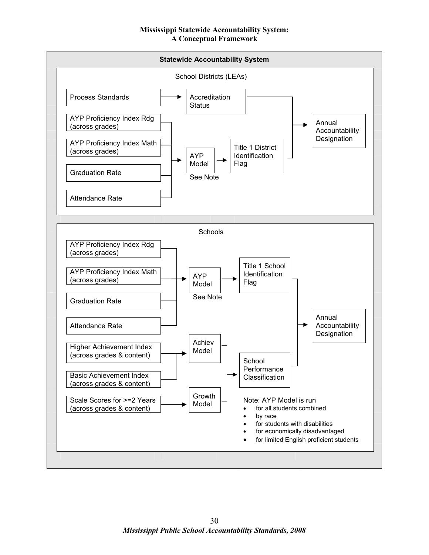#### **Mississippi Statewide Accountability System: A Conceptual Framework**

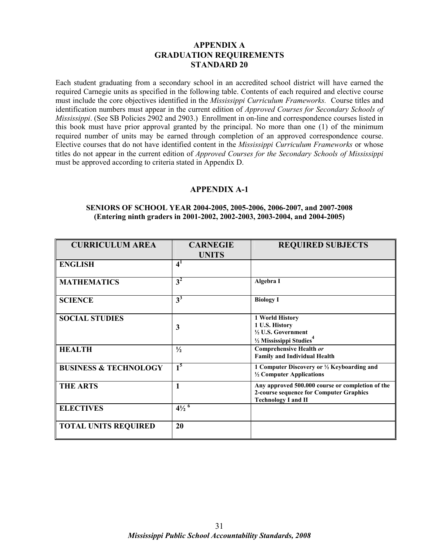# **APPENDIX A GRADUATION REQUIREMENTS STANDARD 20**

Each student graduating from a secondary school in an accredited school district will have earned the required Carnegie units as specified in the following table. Contents of each required and elective course must include the core objectives identified in the *Mississippi Curriculum Frameworks.* Course titles and identification numbers must appear in the current edition of *Approved Courses for Secondary Schools of Mississippi*. (See SB Policies 2902 and 2903.) Enrollment in on-line and correspondence courses listed in this book must have prior approval granted by the principal. No more than one (1) of the minimum required number of units may be earned through completion of an approved correspondence course. Elective courses that do not have identified content in the *Mississippi Curriculum Frameworks* or whose titles do not appear in the current edition of *Approved Courses for the Secondary Schools of Mississippi* must be approved according to criteria stated in Appendix D.

# **APPENDIX A-1**

#### **SENIORS OF SCHOOL YEAR 2004-2005, 2005-2006, 2006-2007, and 2007-2008 (Entering ninth graders in 2001-2002, 2002-2003, 2003-2004, and 2004-2005)**

| <b>CURRICULUM AREA</b>           | <b>CARNEGIE</b>             | <b>REQUIRED SUBJECTS</b>                         |
|----------------------------------|-----------------------------|--------------------------------------------------|
|                                  | <b>UNITS</b>                |                                                  |
| <b>ENGLISH</b>                   | 4 <sup>1</sup>              |                                                  |
| <b>MATHEMATICS</b>               | 3 <sup>2</sup>              | Algebra I                                        |
| <b>SCIENCE</b>                   | $3^3$                       | <b>Biology I</b>                                 |
| <b>SOCIAL STUDIES</b>            |                             | 1 World History                                  |
|                                  | $\mathbf{3}$                | 1 U.S. History                                   |
|                                  |                             | 1/2 U.S. Government                              |
|                                  |                             | 1/2 Mississippi Studies <sup>4</sup>             |
| <b>HEALTH</b>                    | $\frac{1}{2}$               | <b>Comprehensive Health or</b>                   |
|                                  |                             | <b>Family and Individual Health</b>              |
| <b>BUSINESS &amp; TECHNOLOGY</b> | 1 <sup>5</sup>              | 1 Computer Discovery or 1/2 Keyboarding and      |
|                                  |                             | 1/2 Computer Applications                        |
| <b>THE ARTS</b>                  | $\mathbf{1}$                | Any approved 500.000 course or completion of the |
|                                  |                             | 2-course sequence for Computer Graphics          |
|                                  |                             | <b>Technology I and II</b>                       |
| <b>ELECTIVES</b>                 | $4\frac{1}{2}$ <sup>6</sup> |                                                  |
| <b>TOTAL UNITS REQUIRED</b>      | 20                          |                                                  |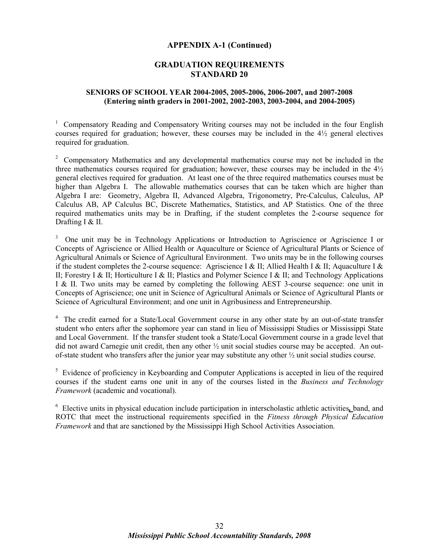#### **APPENDIX A-1 (Continued)**

# **GRADUATION REQUIREMENTS STANDARD 20**

## **SENIORS OF SCHOOL YEAR 2004-2005, 2005-2006, 2006-2007, and 2007-2008 (Entering ninth graders in 2001-2002, 2002-2003, 2003-2004, and 2004-2005)**

<sup>1</sup> Compensatory Reading and Compensatory Writing courses may not be included in the four English courses required for graduation; however, these courses may be included in the  $4\frac{1}{2}$  general electives required for graduation.

<sup>2</sup> Compensatory Mathematics and any developmental mathematics course may not be included in the three mathematics courses required for graduation; however, these courses may be included in the  $4\frac{1}{2}$ general electives required for graduation. At least one of the three required mathematics courses must be higher than Algebra I. The allowable mathematics courses that can be taken which are higher than Algebra I are: Geometry, Algebra II, Advanced Algebra, Trigonometry, Pre-Calculus, Calculus, AP Calculus AB, AP Calculus BC, Discrete Mathematics, Statistics, and AP Statistics. One of the three required mathematics units may be in Drafting, if the student completes the 2-course sequence for Drafting I & II.

 3 One unit may be in Technology Applications or Introduction to Agriscience or Agriscience I or Concepts of Agriscience or Allied Health or Aquaculture or Science of Agricultural Plants or Science of Agricultural Animals or Science of Agricultural Environment. Two units may be in the following courses if the student completes the 2-course sequence: Agriscience I & II; Allied Health I & II; Aquaculture I & II; Forestry I & II; Horticulture I & II; Plastics and Polymer Science I & II; and Technology Applications I & II. Two units may be earned by completing the following AEST 3-course sequence: one unit in Concepts of Agriscience; one unit in Science of Agricultural Animals or Science of Agricultural Plants or Science of Agricultural Environment; and one unit in Agribusiness and Entrepreneurship.

<sup>4</sup> The credit earned for a State/Local Government course in any other state by an out-of-state transfer student who enters after the sophomore year can stand in lieu of Mississippi Studies or Mississippi State and Local Government. If the transfer student took a State/Local Government course in a grade level that did not award Carnegie unit credit, then any other ½ unit social studies course may be accepted. An outof-state student who transfers after the junior year may substitute any other ½ unit social studies course.

<sup>5</sup> Evidence of proficiency in Keyboarding and Computer Applications is accepted in lieu of the required courses if the student earns one unit in any of the courses listed in the *Business and Technology Framework* (academic and vocational).

<sup>6</sup> Elective units in physical education include participation in interscholastic athletic activities, band, and ROTC that meet the instructional requirements specified in the *Fitness through Physical Education Framework* and that are sanctioned by the Mississippi High School Activities Association.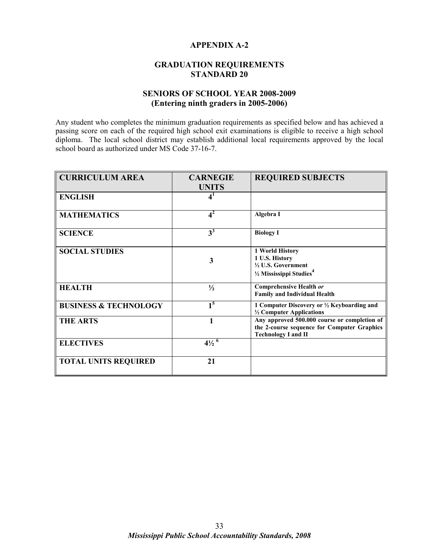# **APPENDIX A-2**

# **GRADUATION REQUIREMENTS STANDARD 20**

# **SENIORS OF SCHOOL YEAR 2008-2009 (Entering ninth graders in 2005-2006)**

Any student who completes the minimum graduation requirements as specified below and has achieved a passing score on each of the required high school exit examinations is eligible to receive a high school diploma. The local school district may establish additional local requirements approved by the local school board as authorized under MS Code 37-16-7.

| <b>CURRICULUM AREA</b>           | <b>CARNEGIE</b><br><b>UNITS</b> | <b>REQUIRED SUBJECTS</b>                                                                                                  |
|----------------------------------|---------------------------------|---------------------------------------------------------------------------------------------------------------------------|
| <b>ENGLISH</b>                   | $\mathbf{4}^{\mathbf{1}}$       |                                                                                                                           |
| <b>MATHEMATICS</b>               | 4 <sup>2</sup>                  | Algebra I                                                                                                                 |
| <b>SCIENCE</b>                   | $3^3$                           | <b>Biology I</b>                                                                                                          |
| <b>SOCIAL STUDIES</b>            | 3                               | 1 World History<br>1 U.S. History<br>1/2 U.S. Government<br>$\frac{1}{2}$ Mississippi Studies <sup>4</sup>                |
| <b>HEALTH</b>                    | $\frac{1}{2}$                   | <b>Comprehensive Health or</b><br><b>Family and Individual Health</b>                                                     |
| <b>BUSINESS &amp; TECHNOLOGY</b> | 1 <sup>5</sup>                  | 1 Computer Discovery or ½ Keyboarding and<br>1/2 Computer Applications                                                    |
| <b>THE ARTS</b>                  |                                 | Any approved 500.000 course or completion of<br>the 2-course sequence for Computer Graphics<br><b>Technology I and II</b> |
| <b>ELECTIVES</b>                 | $4\frac{1}{2}$ <sup>6</sup>     |                                                                                                                           |
| <b>TOTAL UNITS REQUIRED</b>      | 21                              |                                                                                                                           |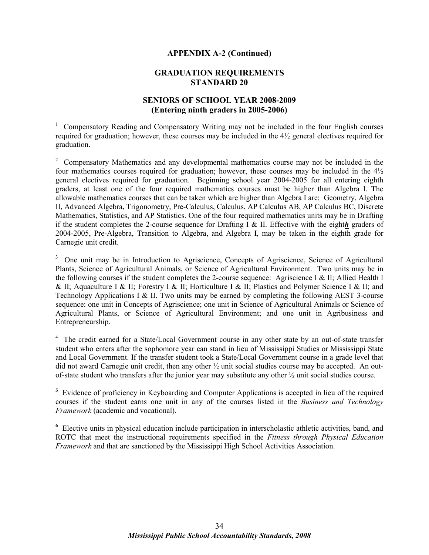#### **APPENDIX A-2 (Continued)**

# **GRADUATION REQUIREMENTS STANDARD 20**

# **SENIORS OF SCHOOL YEAR 2008-2009 (Entering ninth graders in 2005-2006)**

<sup>1</sup> Compensatory Reading and Compensatory Writing may not be included in the four English courses required for graduation; however, these courses may be included in the 4½ general electives required for graduation.

<sup>2</sup> Compensatory Mathematics and any developmental mathematics course may not be included in the four mathematics courses required for graduation; however, these courses may be included in the 4½ general electives required for graduation. Beginning school year 2004-2005 for all entering eighth graders, at least one of the four required mathematics courses must be higher than Algebra I. The allowable mathematics courses that can be taken which are higher than Algebra I are: Geometry, Algebra II, Advanced Algebra, Trigonometry, Pre-Calculus, Calculus, AP Calculus AB, AP Calculus BC, Discrete Mathematics, Statistics, and AP Statistics. One of the four required mathematics units may be in Drafting if the student completes the 2-course sequence for Drafting I & II. Effective with the eight*h* graders of 2004-2005, Pre-Algebra, Transition to Algebra, and Algebra I, may be taken in the eighth grade for Carnegie unit credit.

<sup>3</sup> One unit may be in Introduction to Agriscience, Concepts of Agriscience, Science of Agricultural Plants, Science of Agricultural Animals, or Science of Agricultural Environment. Two units may be in the following courses if the student completes the 2-course sequence: Agriscience I & II; Allied Health I & II; Aquaculture I & II; Forestry I & II; Horticulture I & II; Plastics and Polymer Science I & II; and Technology Applications I & II. Two units may be earned by completing the following AEST 3-course sequence: one unit in Concepts of Agriscience; one unit in Science of Agricultural Animals or Science of Agricultural Plants, or Science of Agricultural Environment; and one unit in Agribusiness and Entrepreneurship.

<sup>4</sup> The credit earned for a State/Local Government course in any other state by an out-of-state transfer student who enters after the sophomore year can stand in lieu of Mississippi Studies or Mississippi State and Local Government. If the transfer student took a State/Local Government course in a grade level that did not award Carnegie unit credit, then any other ½ unit social studies course may be accepted. An outof-state student who transfers after the junior year may substitute any other ½ unit social studies course.

<sup>5</sup> Evidence of proficiency in Keyboarding and Computer Applications is accepted in lieu of the required courses if the student earns one unit in any of the courses listed in the *Business and Technology Framework* (academic and vocational).

<sup>6</sup> Elective units in physical education include participation in interscholastic athletic activities, band, and ROTC that meet the instructional requirements specified in the *Fitness through Physical Education Framework* and that are sanctioned by the Mississippi High School Activities Association.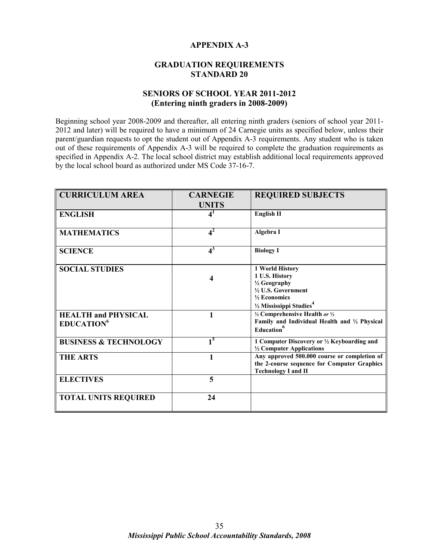# **APPENDIX A-3**

# **GRADUATION REQUIREMENTS STANDARD 20**

# **SENIORS OF SCHOOL YEAR 2011-2012 (Entering ninth graders in 2008-2009)**

Beginning school year 2008-2009 and thereafter, all entering ninth graders (seniors of school year 2011- 2012 and later) will be required to have a minimum of 24 Carnegie units as specified below, unless their parent/guardian requests to opt the student out of Appendix A-3 requirements. Any student who is taken out of these requirements of Appendix A-3 will be required to complete the graduation requirements as specified in Appendix A-2. The local school district may establish additional local requirements approved by the local school board as authorized under MS Code 37-16-7.

| <b>CURRICULUM AREA</b>                                      | <b>CARNEGIE</b>           | <b>REQUIRED SUBJECTS</b>                                                                                                                     |
|-------------------------------------------------------------|---------------------------|----------------------------------------------------------------------------------------------------------------------------------------------|
|                                                             | <b>UNITS</b>              |                                                                                                                                              |
| <b>ENGLISH</b>                                              | $\mathbf{4}^{\mathbf{1}}$ | <b>English II</b>                                                                                                                            |
|                                                             | $4^2$                     |                                                                                                                                              |
| <b>MATHEMATICS</b>                                          |                           | Algebra I                                                                                                                                    |
| <b>SCIENCE</b>                                              | $4^3$                     | <b>Biology I</b>                                                                                                                             |
| <b>SOCIAL STUDIES</b>                                       | 4                         | 1 World History<br>1 U.S. History<br>1/2 Geography<br>1/2 U.S. Government<br>$\frac{1}{2}$ Economics<br>1/2 Mississippi Studies <sup>4</sup> |
| <b>HEALTH and PHYSICAL</b><br><b>EDUCATION</b> <sup>6</sup> |                           | 1/2 Comprehensive Health or 1/2<br>Family and Individual Health and 1/2 Physical<br>Education                                                |
| <b>BUSINESS &amp; TECHNOLOGY</b>                            | 1 <sup>5</sup>            | 1 Computer Discovery or 1/2 Keyboarding and<br>1/2 Computer Applications                                                                     |
| <b>THE ARTS</b>                                             |                           | Any approved 500.000 course or completion of<br>the 2-course sequence for Computer Graphics<br><b>Technology I and II</b>                    |
| <b>ELECTIVES</b>                                            | 5                         |                                                                                                                                              |
| <b>TOTAL UNITS REQUIRED</b>                                 | 24                        |                                                                                                                                              |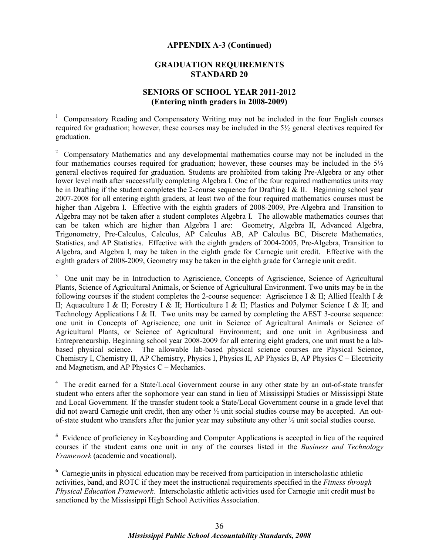#### **APPENDIX A-3 (Continued)**

# **GRADUATION REQUIREMENTS STANDARD 20**

# **SENIORS OF SCHOOL YEAR 2011-2012 (Entering ninth graders in 2008-2009)**

<sup>1</sup> Compensatory Reading and Compensatory Writing may not be included in the four English courses required for graduation; however, these courses may be included in the 5½ general electives required for graduation.

<sup>2</sup> Compensatory Mathematics and any developmental mathematics course may not be included in the four mathematics courses required for graduation; however, these courses may be included in the  $5\frac{1}{2}$ general electives required for graduation. Students are prohibited from taking Pre-Algebra or any other lower level math after successfully completing Algebra I. One of the four required mathematics units may be in Drafting if the student completes the 2-course sequence for Drafting I & II. Beginning school year 2007-2008 for all entering eighth graders, at least two of the four required mathematics courses must be higher than Algebra I. Effective with the eighth graders of 2008-2009, Pre-Algebra and Transition to Algebra may not be taken after a student completes Algebra I. The allowable mathematics courses that can be taken which are higher than Algebra I are: Geometry, Algebra II, Advanced Algebra, Trigonometry, Pre-Calculus, Calculus, AP Calculus AB, AP Calculus BC, Discrete Mathematics, Statistics, and AP Statistics. Effective with the eighth graders of 2004-2005, Pre-Algebra, Transition to Algebra, and Algebra I, may be taken in the eighth grade for Carnegie unit credit. Effective with the eighth graders of 2008-2009, Geometry may be taken in the eighth grade for Carnegie unit credit.

<sup>3</sup> One unit may be in Introduction to Agriscience, Concepts of Agriscience, Science of Agricultural Plants, Science of Agricultural Animals, or Science of Agricultural Environment. Two units may be in the following courses if the student completes the 2-course sequence: Agriscience I & II; Allied Health I & II; Aquaculture I & II; Forestry I & II; Horticulture I & II; Plastics and Polymer Science I & II; and Technology Applications I & II. Two units may be earned by completing the AEST 3-course sequence: one unit in Concepts of Agriscience; one unit in Science of Agricultural Animals or Science of Agricultural Plants, or Science of Agricultural Environment; and one unit in Agribusiness and Entrepreneurship. Beginning school year 2008-2009 for all entering eight graders, one unit must be a labbased physical science. The allowable lab-based physical science courses are Physical Science, Chemistry I, Chemistry II, AP Chemistry, Physics I, Physics II, AP Physics B, AP Physics C – Electricity and Magnetism, and AP Physics C – Mechanics.

<sup>4</sup> The credit earned for a State/Local Government course in any other state by an out-of-state transfer student who enters after the sophomore year can stand in lieu of Mississippi Studies or Mississippi State and Local Government. If the transfer student took a State/Local Government course in a grade level that did not award Carnegie unit credit, then any other ½ unit social studies course may be accepted. An outof-state student who transfers after the junior year may substitute any other ½ unit social studies course.

<sup>5</sup> Evidence of proficiency in Keyboarding and Computer Applications is accepted in lieu of the required courses if the student earns one unit in any of the courses listed in the *Business and Technology Framework* (academic and vocational).

<sup>6</sup> Carnegie units in physical education may be received from participation in interscholastic athletic activities, band, and ROTC if they meet the instructional requirements specified in the *Fitness through Physical Education Framework.* Interscholastic athletic activities used for Carnegie unit credit must be sanctioned by the Mississippi High School Activities Association.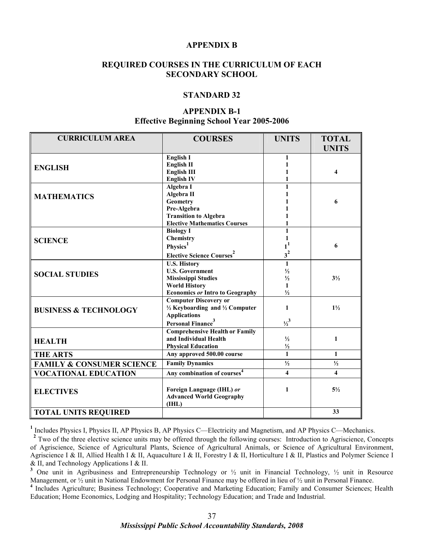#### **APPENDIX B**

# **REQUIRED COURSES IN THE CURRICULUM OF EACH SECONDARY SCHOOL**

#### **STANDARD 32**

# **APPENDIX B-1**

# **Effective Beginning School Year 2005-2006**

| <b>CURRICULUM AREA</b>               | <b>COURSES</b>                                       | <b>UNITS</b>            | <b>TOTAL</b><br><b>UNITS</b> |
|--------------------------------------|------------------------------------------------------|-------------------------|------------------------------|
|                                      |                                                      |                         |                              |
|                                      | <b>English I</b>                                     | 1                       |                              |
| <b>ENGLISH</b>                       | <b>English II</b>                                    |                         |                              |
|                                      | <b>English III</b>                                   |                         | $\boldsymbol{A}$             |
|                                      | <b>English IV</b>                                    |                         |                              |
|                                      | Algebra I                                            | $\mathbf{1}$            |                              |
| <b>MATHEMATICS</b>                   | Algebra II                                           |                         |                              |
|                                      | <b>Geometry</b>                                      |                         | 6                            |
|                                      | Pre-Algebra                                          |                         |                              |
|                                      | <b>Transition to Algebra</b>                         |                         |                              |
|                                      | <b>Elective Mathematics Courses</b>                  |                         |                              |
|                                      | <b>Biology I</b>                                     | 1                       |                              |
| <b>SCIENCE</b>                       | Chemistry                                            |                         |                              |
|                                      | Physics <sup>1</sup>                                 |                         | 6                            |
|                                      | <b>Elective Science Courses</b> <sup>2</sup>         | $3^2$                   |                              |
|                                      | <b>U.S. History</b>                                  | $\mathbf{1}$            |                              |
| <b>SOCIAL STUDIES</b>                | <b>U.S. Government</b>                               | $\frac{1}{2}$           |                              |
|                                      | <b>Mississippi Studies</b>                           | $\frac{1}{2}$           | $3\frac{1}{2}$               |
|                                      | <b>World History</b>                                 | $\mathbf{1}$            |                              |
|                                      | <b>Economics or Intro to Geography</b>               | $\frac{1}{2}$           |                              |
|                                      | <b>Computer Discovery or</b>                         |                         |                              |
| <b>BUSINESS &amp; TECHNOLOGY</b>     | $\frac{1}{2}$ Keyboarding and $\frac{1}{2}$ Computer | 1                       | $1\frac{1}{2}$               |
|                                      | <b>Applications</b>                                  |                         |                              |
|                                      | Personal Finance <sup>3</sup>                        | $\frac{1}{2}^{3}$       |                              |
|                                      | <b>Comprehensive Health or Family</b>                |                         |                              |
| <b>HEALTH</b>                        | and Individual Health                                | $\frac{1}{2}$           | 1                            |
|                                      | <b>Physical Education</b>                            | $\frac{1}{2}$           |                              |
| <b>THE ARTS</b>                      | Any approved 500.00 course                           | $\mathbf{1}$            | $\mathbf{1}$                 |
| <b>FAMILY &amp; CONSUMER SCIENCE</b> | <b>Family Dynamics</b>                               | $\frac{1}{2}$           | $\frac{1}{2}$                |
| <b>VOCATIONAL EDUCATION</b>          | Any combination of courses <sup>4</sup>              | $\overline{\mathbf{4}}$ | $\boldsymbol{\Lambda}$       |
|                                      |                                                      |                         |                              |
| <b>ELECTIVES</b>                     | Foreign Language (IHL) or                            | 1                       | $5\frac{1}{2}$               |
|                                      | <b>Advanced World Geography</b><br>(IHL)             |                         |                              |
|                                      |                                                      |                         | 33                           |
| <b>TOTAL UNITS REQUIRED</b>          |                                                      |                         |                              |

<sup>1</sup> Includes Physics I, Physics II, AP Physics B, AP Physics C—Electricity and Magnetism, and AP Physics C—Mechanics.

<sup>2</sup> Two of the three elective science units may be offered through the following courses: Introduction to Agriscience, Concepts of Agriscience, Science of Agricultural Plants, Science of Agricultural Animals, or Science of Agricultural Environment, Agriscience I & II, Allied Health I & II, Aquaculture I & II, Forestry I & II, Horticulture I & II, Plastics and Polymer Science I & II, and Technology Applications I & II.

**3** One unit in Agribusiness and Entrepreneurship Technology or ½ unit in Financial Technology, ½ unit in Resource Management, or  $\frac{1}{2}$  unit in National Endowment for Personal Finance may be offered in lieu of  $\frac{1}{2}$  unit in Personal Finance.

<sup>4</sup> Includes Agriculture; Business Technology; Cooperative and Marketing Education; Family and Consumer Sciences; Health Education; Home Economics, Lodging and Hospitality; Technology Education; and Trade and Industrial.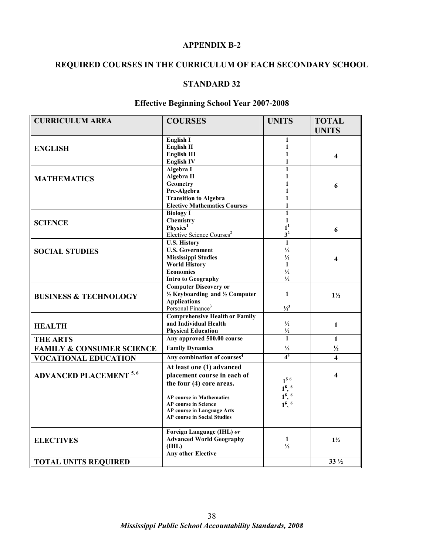# **APPENDIX B-2**

# **REQUIRED COURSES IN THE CURRICULUM OF EACH SECONDARY SCHOOL**

## **STANDARD 32**

# **Effective Beginning School Year 2007-2008**

| <b>CURRICULUM AREA</b>               | <b>COURSES</b>                                       | <b>UNITS</b>                                                         | <b>TOTAL</b><br><b>UNITS</b> |
|--------------------------------------|------------------------------------------------------|----------------------------------------------------------------------|------------------------------|
|                                      |                                                      |                                                                      |                              |
|                                      | English I                                            | 1                                                                    |                              |
| <b>ENGLISH</b>                       | <b>English II</b>                                    | 1                                                                    |                              |
|                                      | <b>English III</b>                                   | 1<br>1                                                               | 4                            |
|                                      | <b>English IV</b>                                    |                                                                      |                              |
|                                      | Algebra I                                            | 1<br>1                                                               |                              |
| <b>MATHEMATICS</b>                   | Algebra II<br><b>Geometry</b>                        |                                                                      |                              |
|                                      | Pre-Algebra                                          |                                                                      | 6                            |
|                                      | <b>Transition to Algebra</b>                         | 1                                                                    |                              |
|                                      | <b>Elective Mathematics Courses</b>                  | 1                                                                    |                              |
|                                      | <b>Biology I</b>                                     | $\mathbf{1}$                                                         |                              |
|                                      | Chemistry                                            | 1                                                                    |                              |
| <b>SCIENCE</b>                       | Physics <sup>1</sup>                                 | 1 <sup>1</sup>                                                       |                              |
|                                      | Elective Science Courses <sup>2</sup>                | 3 <sup>2</sup>                                                       | 6                            |
|                                      | <b>U.S. History</b>                                  | $\mathbf{1}$                                                         |                              |
| <b>SOCIAL STUDIES</b>                | <b>U.S. Government</b>                               | $\frac{1}{2}$                                                        |                              |
|                                      | <b>Mississippi Studies</b>                           | $\frac{1}{2}$                                                        |                              |
|                                      | <b>World History</b>                                 | $\mathbf{1}$                                                         | 4                            |
|                                      | <b>Economics</b>                                     | $\frac{1}{2}$                                                        |                              |
|                                      | <b>Intro to Geography</b>                            | $\frac{1}{2}$                                                        |                              |
|                                      | <b>Computer Discovery or</b>                         |                                                                      |                              |
|                                      | $\frac{1}{2}$ Keyboarding and $\frac{1}{2}$ Computer | $\mathbf{1}$                                                         | $1\frac{1}{2}$               |
| <b>BUSINESS &amp; TECHNOLOGY</b>     | <b>Applications</b>                                  |                                                                      |                              |
|                                      | Personal Finance <sup>3</sup>                        | $\frac{1}{2}$                                                        |                              |
|                                      | <b>Comprehensive Health or Family</b>                |                                                                      |                              |
| <b>HEALTH</b>                        | and Individual Health                                | $\frac{1}{2}$                                                        | $\mathbf{1}$                 |
|                                      | <b>Physical Education</b>                            | $\frac{1}{2}$                                                        |                              |
| <b>THE ARTS</b>                      | Any approved 500.00 course                           | $\mathbf{1}$                                                         | $\mathbf{1}$                 |
| <b>FAMILY &amp; CONSUMER SCIENCE</b> | <b>Family Dynamics</b>                               | $\frac{1}{2}$                                                        | $\frac{1}{2}$                |
| <b>VOCATIONAL EDUCATION</b>          | Any combination of courses <sup>4</sup>              | 4 <sup>4</sup>                                                       | $\overline{\mathbf{4}}$      |
|                                      | At least one (1) advanced                            |                                                                      |                              |
| <b>ADVANCED PLACEMENT 5, 6</b>       | placement course in each of                          |                                                                      | 4                            |
|                                      | the four (4) core areas.                             | 1 <sup>5.6</sup>                                                     |                              |
|                                      |                                                      |                                                                      |                              |
|                                      | <b>AP</b> course in Mathematics                      |                                                                      |                              |
|                                      | <b>AP</b> course in Science                          | $1^{\frac{5}{1}, 6}$<br>$1^{\frac{5}{1}, 6}$<br>$1^{\frac{5}{1}, 6}$ |                              |
|                                      | <b>AP course in Language Arts</b>                    |                                                                      |                              |
|                                      | <b>AP course in Social Studies</b>                   |                                                                      |                              |
|                                      | Foreign Language (IHL) or                            |                                                                      |                              |
| <b>ELECTIVES</b>                     | <b>Advanced World Geography</b>                      | 1                                                                    | $1\frac{1}{2}$               |
|                                      | (IHL)                                                | $\frac{1}{2}$                                                        |                              |
|                                      | <b>Any other Elective</b>                            |                                                                      |                              |
| <b>TOTAL UNITS REQUIRED</b>          |                                                      |                                                                      | $33\frac{1}{2}$              |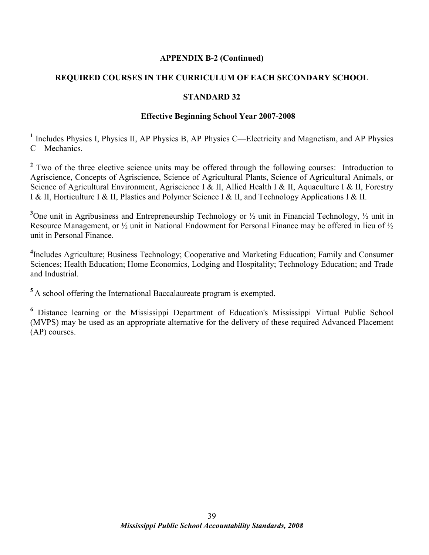# **APPENDIX B-2 (Continued)**

# **REQUIRED COURSES IN THE CURRICULUM OF EACH SECONDARY SCHOOL**

# **STANDARD 32**

## **Effective Beginning School Year 2007-2008**

<sup>1</sup> Includes Physics I, Physics II, AP Physics B, AP Physics C—Electricity and Magnetism, and AP Physics C—Mechanics.

<sup>2</sup> Two of the three elective science units may be offered through the following courses: Introduction to Agriscience, Concepts of Agriscience, Science of Agricultural Plants, Science of Agricultural Animals, or Science of Agricultural Environment, Agriscience I & II, Allied Health I & II, Aquaculture I & II, Forestry I & II, Horticulture I & II, Plastics and Polymer Science I & II, and Technology Applications I & II.

<sup>3</sup>One unit in Agribusiness and Entrepreneurship Technology or  $\frac{1}{2}$  unit in Financial Technology,  $\frac{1}{2}$  unit in Resource Management, or ½ unit in National Endowment for Personal Finance may be offered in lieu of ½ unit in Personal Finance.

**4** Includes Agriculture; Business Technology; Cooperative and Marketing Education; Family and Consumer Sciences; Health Education; Home Economics, Lodging and Hospitality; Technology Education; and Trade and Industrial.

**<sup>5</sup>** A school offering the International Baccalaureate program is exempted.

<sup>6</sup> Distance learning or the Mississippi Department of Education's Mississippi Virtual Public School (MVPS) may be used as an appropriate alternative for the delivery of these required Advanced Placement (AP) courses.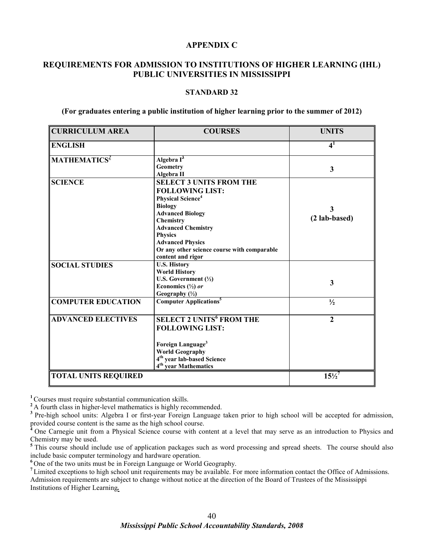## **APPENDIX C**

# **REQUIREMENTS FOR ADMISSION TO INSTITUTIONS OF HIGHER LEARNING (IHL) PUBLIC UNIVERSITIES IN MISSISSIPPI**

#### **STANDARD 32**

#### **(For graduates entering a public institution of higher learning prior to the summer of 2012)**

| <b>CURRICULUM AREA</b>      | <b>COURSES</b>                                                                                                                                                                                                                                                                                           | <b>UNITS</b>       |
|-----------------------------|----------------------------------------------------------------------------------------------------------------------------------------------------------------------------------------------------------------------------------------------------------------------------------------------------------|--------------------|
| <b>ENGLISH</b>              |                                                                                                                                                                                                                                                                                                          | $\mathbf{4}^1$     |
| MATHEMATICS <sup>2</sup>    | Algebra I <sup>3</sup><br>Geometry<br>Algebra II                                                                                                                                                                                                                                                         | 3                  |
| <b>SCIENCE</b>              | <b>SELECT 3 UNITS FROM THE</b><br><b>FOLLOWING LIST:</b><br><b>Physical Science</b> <sup>4</sup><br><b>Biology</b><br><b>Advanced Biology</b><br>Chemistry<br><b>Advanced Chemistry</b><br><b>Physics</b><br><b>Advanced Physics</b><br>Or any other science course with comparable<br>content and rigor | 3<br>(2 lab-based) |
| <b>SOCIAL STUDIES</b>       | <b>U.S. History</b><br><b>World History</b><br>U.S. Government $(\frac{1}{2})$<br>Economics $(\frac{1}{2})$ or<br>Geography $(\frac{1}{2})$                                                                                                                                                              | 3                  |
| <b>COMPUTER EDUCATION</b>   | <b>Computer Applications<sup>5</sup></b>                                                                                                                                                                                                                                                                 | $\frac{1}{2}$      |
| <b>ADVANCED ELECTIVES</b>   | <b>SELECT 2 UNITS<sup>6</sup> FROM THE</b><br><b>FOLLOWING LIST:</b><br>Foreign Language <sup>3</sup><br><b>World Geography</b><br>4 <sup>th</sup> year lab-based Science<br>4 <sup>th</sup> year Mathematics                                                                                            | $\overline{2}$     |
| <b>TOTAL UNITS REQUIRED</b> |                                                                                                                                                                                                                                                                                                          | $15\frac{1}{2}$    |

**<sup>1</sup>**Courses must require substantial communication skills.

<sup>2</sup>A fourth class in higher-level mathematics is highly recommended.

<sup>3</sup> Pre-high school units: Algebra I or first-year Foreign Language taken prior to high school will be accepted for admission, provided course content is the same as the high school course.

**<sup>4</sup>** One Carnegie unit from a Physical Science course with content at a level that may serve as an introduction to Physics and Chemistry may be used.

<sup>5</sup>This course should include use of application packages such as word processing and spread sheets. The course should also include basic computer terminology and hardware operation.

**<sup>6</sup>** One of the two units must be in Foreign Language or World Geography.

**<sup>7</sup>** Limited exceptions to high school unit requirements may be available. For more information contact the Office of Admissions. Admission requirements are subject to change without notice at the direction of the Board of Trustees of the Mississippi

Institutions of Higher Learning*.*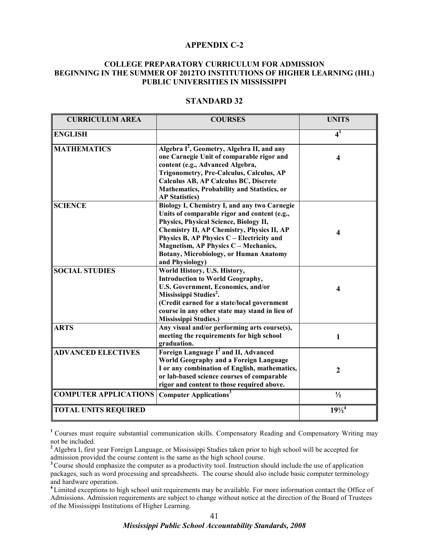#### **APPENDIX C-2**

#### **COLLEGE PREPARATORY CURRICULUM FOR ADMISSION BEGINNING IN THE SUMMER OF 2012TO INSTITUTIONS OF HIGHER LEARNING (IHL) PUBLIC UNIVERSITIES IN MISSISSIPPI**

| <b>CURRICULUM AREA</b>       | <b>COURSES</b>                                                                                                                                                                                                                                                                                                                                       | <b>UNITS</b>                 |
|------------------------------|------------------------------------------------------------------------------------------------------------------------------------------------------------------------------------------------------------------------------------------------------------------------------------------------------------------------------------------------------|------------------------------|
| <b>ENGLISH</b>               |                                                                                                                                                                                                                                                                                                                                                      | $\overline{4}^1$             |
| <b>MATHEMATICS</b>           | Algebra I <sup>2</sup> , Geometry, Algebra II, and any<br>one Carnegie Unit of comparable rigor and<br>content (e.g., Advanced Algebra,<br>Trigonometry, Pre-Calculus, Calculus, AP<br><b>Calculus AB, AP Calculus BC, Discrete</b><br>Mathematics, Probability and Statistics, or<br><b>AP Statistics)</b>                                          | $\overline{\mathbf{4}}$      |
| <b>SCIENCE</b>               | Biology I, Chemistry I, and any two Carnegie<br>Units of comparable rigor and content (e.g.,<br>Physics, Physical Science, Biology II,<br><b>Chemistry II, AP Chemistry, Physics II, AP</b><br>Physics B, AP Physics C - Electricity and<br><b>Magnetism, AP Physics C - Mechanics,</b><br>Botany, Microbiology, or Human Anatomy<br>and Physiology) | $\overline{\mathbf{4}}$      |
| <b>SOCIAL STUDIES</b>        | World History, U.S. History,<br><b>Introduction to World Geography,</b><br>U.S. Government, Economics, and/or<br>Mississippi Studies <sup>2</sup> .<br>(Credit earned for a state/local government<br>course in any other state may stand in lieu of<br><b>Mississippi Studies.)</b>                                                                 | $\boldsymbol{4}$             |
| <b>ARTS</b>                  | Any visual and/or performing arts course(s),<br>meeting the requirements for high school<br>graduation.                                                                                                                                                                                                                                              | $\mathbf{1}$                 |
| <b>ADVANCED ELECTIVES</b>    | Foreign Language I <sup>2</sup> and II, Advanced<br>World Geography and a Foreign Language<br>I or any combination of English, mathematics,<br>or lab-based science courses of comparable<br>rigor and content to those required above.                                                                                                              | $\overline{2}$               |
| <b>COMPUTER APPLICATIONS</b> | <b>Computer Applications</b>                                                                                                                                                                                                                                                                                                                         | $\frac{1}{2}$                |
| <b>TOTAL UNITS REQUIRED</b>  |                                                                                                                                                                                                                                                                                                                                                      | $19\frac{1}{2}$ <sup>4</sup> |

#### **STANDARD 32**

<sup>1</sup> Courses must require substantial communication skills. Compensatory Reading and Compensatory Writing may not be included.

**<sup>2</sup>**Algebra I, first year Foreign Language, or Mississippi Studies taken prior to high school will be accepted for admission provided the course content is the same as the high school course.

<sup>3</sup> Course should emphasize the computer as a productivity tool. Instruction should include the use of application packages, such as word processing and spreadsheets. The course should also include basic computer terminology and hardware operation.

**<sup>4</sup>**Limited exceptions to high school unit requirements may be available. For more information contact the Office of Admissions. Admission requirements are subject to change without notice at the direction of the Board of Trustees of the Mississippi Institutions of Higher Learning.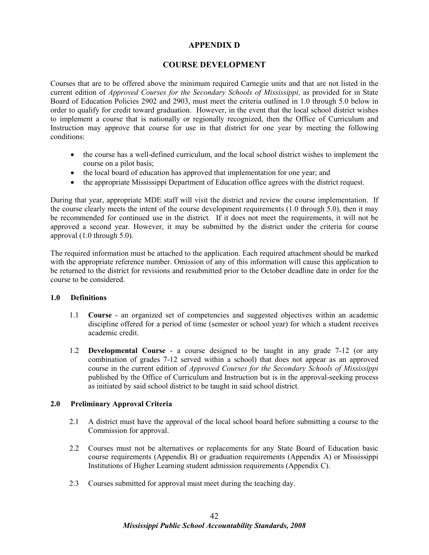# **APPENDIX D**

# **COURSE DEVELOPMENT**

Courses that are to be offered above the minimum required Carnegie units and that are not listed in the current edition of *Approved Courses for the Secondary Schools of Mississippi,* as provided for in State Board of Education Policies 2902 and 2903, must meet the criteria outlined in 1.0 through 5.0 below in order to qualify for credit toward graduation. However, in the event that the local school district wishes to implement a course that is nationally or regionally recognized, then the Office of Curriculum and Instruction may approve that course for use in that district for one year by meeting the following conditions:

- the course has a well-defined curriculum, and the local school district wishes to implement the course on a pilot basis;
- the local board of education has approved that implementation for one year; and
- the appropriate Mississippi Department of Education office agrees with the district request.

During that year, appropriate MDE staff will visit the district and review the course implementation. If the course clearly meets the intent of the course development requirements (1.0 through 5.0), then it may be recommended for continued use in the district*.* If it does not meet the requirements, it will not be approved a second year. However, it may be submitted by the district under the criteria for course approval (1.0 through 5.0).

The required information must be attached to the application. Each required attachment should be marked with the appropriate reference number. Omission of any of this information will cause this application to be returned to the district for revisions and resubmitted prior to the October deadline date in order for the course to be considered.

#### **1.0 Definitions**

- 1.1 **Course** an organized set of competencies and suggested objectives within an academic discipline offered for a period of time (semester or school year) for which a student receives academic credit.
- 1.2 **Developmental Course** a course designed to be taught in any grade 7-12 (or any combination of grades 7-12 served within a school) that does not appear as an approved course in the current edition of *Approved Courses for the Secondary Schools of Mississippi* published by the Office of Curriculum and Instruction but is in the approval-seeking process as initiated by said school district to be taught in said school district.

#### **2.0 Preliminary Approval Criteria**

- 2.1 A district must have the approval of the local school board before submitting a course to the Commission for approval.
- 2.2 Courses must not be alternatives or replacements for any State Board of Education basic course requirements (Appendix B) or graduation requirements (Appendix A) or Mississippi Institutions of Higher Learning student admission requirements (Appendix C).
- 2.3 Courses submitted for approval must meet during the teaching day.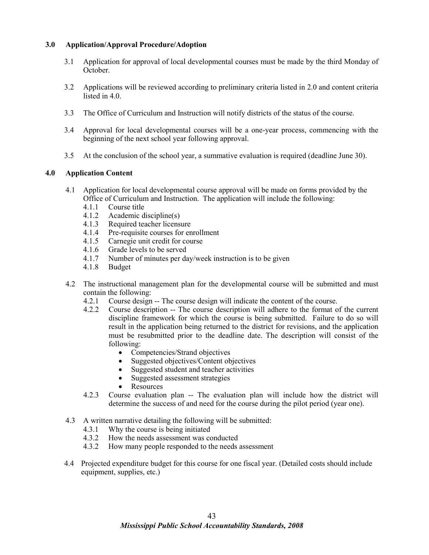## **3.0 Application/Approval Procedure/Adoption**

- 3.1 Application for approval of local developmental courses must be made by the third Monday of October.
- 3.2 Applications will be reviewed according to preliminary criteria listed in 2.0 and content criteria listed in 4.0.
- 3.3 The Office of Curriculum and Instruction will notify districts of the status of the course.
- 3.4 Approval for local developmental courses will be a one-year process, commencing with the beginning of the next school year following approval.
- 3.5 At the conclusion of the school year, a summative evaluation is required (deadline June 30).

## **4.0 Application Content**

- 4.1 Application for local developmental course approval will be made on forms provided by the Office of Curriculum and Instruction. The application will include the following:
	- 4.1.1 Course title<br>4.1.2 Academic d
	- Academic discipline $(s)$
	- 4.1.3 Required teacher licensure
	- 4.1.4 Pre-requisite courses for enrollment
	- 4.1.5 Carnegie unit credit for course
	- 4.1.6 Grade levels to be served<br>4.1.7 Number of minutes per da
	- Number of minutes per day/week instruction is to be given
	- 4.1.8 Budget
- 4.2 The instructional management plan for the developmental course will be submitted and must contain the following:
	- 4.2.1 Course design -- The course design will indicate the content of the course.
	- 4.2.2 Course description -- The course description will adhere to the format of the current discipline framework for which the course is being submitted. Failure to do so will result in the application being returned to the district for revisions, and the application must be resubmitted prior to the deadline date. The description will consist of the following:
		- Competencies/Strand objectives
		- Suggested objectives/Content objectives
		- Suggested student and teacher activities
		- Suggested assessment strategies
		- **Resources**
	- 4.2.3 Course evaluation plan -- The evaluation plan will include how the district will determine the success of and need for the course during the pilot period (year one).
- 4.3 A written narrative detailing the following will be submitted:
	- 4.3.1 Why the course is being initiated<br>4.3.2 How the needs assessment was co
	- How the needs assessment was conducted
	- 4.3.2 How many people responded to the needs assessment
- 4.4 Projected expenditure budget for this course for one fiscal year. (Detailed costs should include equipment, supplies, etc.)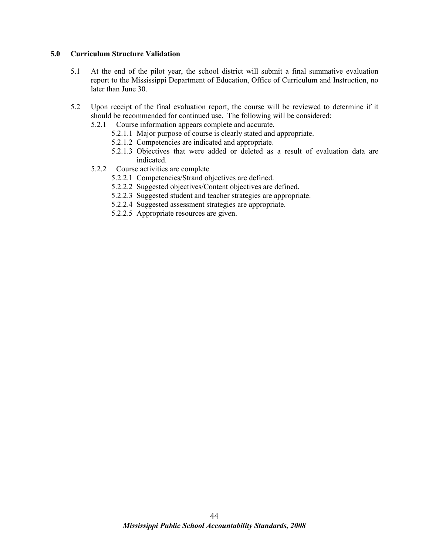#### **5.0 Curriculum Structure Validation**

- 5.1 At the end of the pilot year, the school district will submit a final summative evaluation report to the Mississippi Department of Education, Office of Curriculum and Instruction, no later than June 30.
- 5.2 Upon receipt of the final evaluation report, the course will be reviewed to determine if it should be recommended for continued use. The following will be considered:
	- 5.2.1 Course information appears complete and accurate.
		- 5.2.1.1 Major purpose of course is clearly stated and appropriate.
		- 5.2.1.2 Competencies are indicated and appropriate.
		- 5.2.1.3 Objectives that were added or deleted as a result of evaluation data are indicated.
	- 5.2.2 Course activities are complete
		- 5.2.2.1 Competencies/Strand objectives are defined.
		- 5.2.2.2 Suggested objectives/Content objectives are defined.
		- 5.2.2.3 Suggested student and teacher strategies are appropriate.
		- 5.2.2.4 Suggested assessment strategies are appropriate.
		- 5.2.2.5 Appropriate resources are given.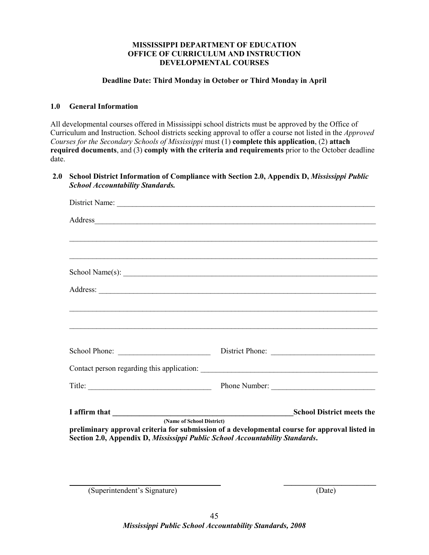#### **MISSISSIPPI DEPARTMENT OF EDUCATION OFFICE OF CURRICULUM AND INSTRUCTION DEVELOPMENTAL COURSES**

#### **Deadline Date: Third Monday in October or Third Monday in April**

#### **1.0 General Information**

All developmental courses offered in Mississippi school districts must be approved by the Office of Curriculum and Instruction. School districts seeking approval to offer a course not listed in the *Approved Courses for the Secondary Schools of Mississippi* must (1) **complete this application**, (2) **attach required documents**, and (3) **comply with the criteria and requirements** prior to the October deadline date.

#### **2.0 School District Information of Compliance with Section 2.0, Appendix D,** *Mississippi Public School Accountability Standards.*

| ,我们也不会有什么。""我们的人,我们也不会有什么?""我们的人,我们也不会有什么?""我们的人,我们也不会有什么?""我们的人,我们也不会有什么?""我们的人                                                                                                                           |  |                                  |  |
|------------------------------------------------------------------------------------------------------------------------------------------------------------------------------------------------------------|--|----------------------------------|--|
| ,我们也不能在这里的时候,我们也不能在这里的时候,我们也不能会在这里,我们也不能会在这里,我们也不能会在这里的时候,我们也不能会在这里的时候,我们也不能会在这里                                                                                                                           |  |                                  |  |
| $\text{School Name(s):}$                                                                                                                                                                                   |  |                                  |  |
|                                                                                                                                                                                                            |  |                                  |  |
| ,我们也不会有什么。""我们的人,我们也不会有什么?""我们的人,我们也不会有什么?""我们的人,我们也不会有什么?""我们的人,我们也不会有什么?""我们的人                                                                                                                           |  |                                  |  |
|                                                                                                                                                                                                            |  |                                  |  |
|                                                                                                                                                                                                            |  |                                  |  |
| School Phone:                                                                                                                                                                                              |  | District Phone:                  |  |
|                                                                                                                                                                                                            |  |                                  |  |
| Title: $\qquad \qquad$                                                                                                                                                                                     |  | Phone Number:                    |  |
|                                                                                                                                                                                                            |  | <b>School District meets the</b> |  |
| (Name of School District)<br>preliminary approval criteria for submission of a developmental course for approval listed in<br>Section 2.0, Appendix D, Mississippi Public School Accountability Standards. |  |                                  |  |

(Superintendent's Signature) (Date)

 **\_\_\_\_\_\_\_\_\_\_\_\_\_\_\_\_\_\_\_\_\_\_\_\_**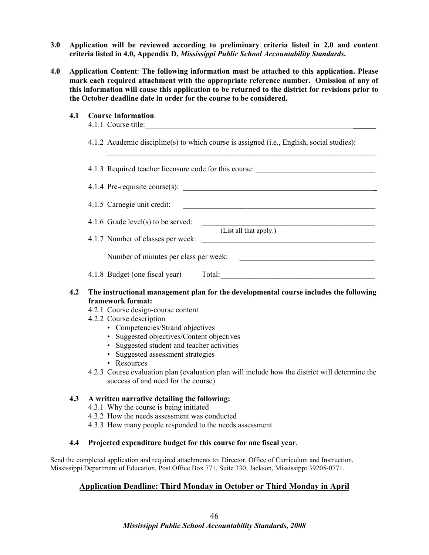- **3.0 Application will be reviewed according to preliminary criteria listed in 2.0 and content criteria listed in 4.0, Appendix D,** *Mississippi Public School Accountability Standards***.**
- **4.0 Application Content**: **The following information must be attached to this application. Please mark each required attachment with the appropriate reference number. Omission of any of this information will cause this application to be returned to the district for revisions prior to the October deadline date in order for the course to be considered.**
	- **4.1 Course Information**:
		- 4.1.1 Course title:

4.1.2 Academic discipline(s) to which course is assigned (i.e., English, social studies):

4.1.3 Required teacher licensure code for this course: 4.1.4 Pre-requisite course(s): \_ 4.1.5 Carnegie unit credit: \_\_\_\_\_\_\_\_\_\_\_\_\_\_\_\_\_\_\_\_\_\_\_\_\_\_\_\_\_\_\_\_\_\_\_\_\_\_\_\_\_\_\_\_\_\_\_\_\_\_

 $\_$ 

 $4.1.6$  Grade level(s) to be served:

 (List all that apply.) 4.1.7 Number of classes per week:

Number of minutes per class per week:

4.1.8 Budget (one fiscal year) Total:

## **4.2 The instructional management plan for the developmental course includes the following framework format:**

- 4.2.1 Course design-course content
- 4.2.2 Course description
	- Competencies/Strand objectives
	- Suggested objectives/Content objectives
	- Suggested student and teacher activities
	- Suggested assessment strategies
	- Resources
- 4.2.3 Course evaluation plan (evaluation plan will include how the district will determine the success of and need for the course)

#### **4.3 A written narrative detailing the following:**

- 4.3.1 Why the course is being initiated
- 4.3.2 How the needs assessment was conducted
- 4.3.3 How many people responded to the needs assessment

#### **4.4 Projected expenditure budget for this course for one fiscal year**.

Send the completed application and required attachments to: Director, Office of Curriculum and Instruction, Mississippi Department of Education, Post Office Box 771, Suite 330, Jackson, Mississippi 39205-0771.

#### **Application Deadline: Third Monday in October or Third Monday in April**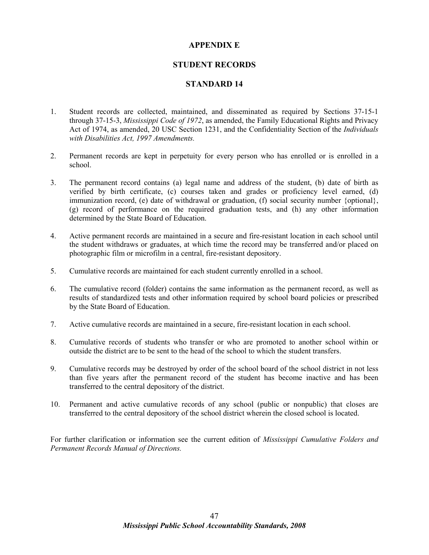## **APPENDIX E**

## **STUDENT RECORDS**

## **STANDARD 14**

- 1. Student records are collected, maintained, and disseminated as required by Sections 37-15-1 through 37-15-3, *Mississippi Code of 1972*, as amended, the Family Educational Rights and Privacy Act of 1974, as amended, 20 USC Section 1231, and the Confidentiality Section of the *Individuals with Disabilities Act, 1997 Amendments.*
- 2. Permanent records are kept in perpetuity for every person who has enrolled or is enrolled in a school.
- 3. The permanent record contains (a) legal name and address of the student, (b) date of birth as verified by birth certificate, (c) courses taken and grades or proficiency level earned, (d) immunization record, (e) date of withdrawal or graduation, (f) social security number {optional}, (g) record of performance on the required graduation tests, and (h) any other information determined by the State Board of Education.
- 4. Active permanent records are maintained in a secure and fire-resistant location in each school until the student withdraws or graduates, at which time the record may be transferred and/or placed on photographic film or microfilm in a central, fire-resistant depository.
- 5. Cumulative records are maintained for each student currently enrolled in a school.
- 6. The cumulative record (folder) contains the same information as the permanent record, as well as results of standardized tests and other information required by school board policies or prescribed by the State Board of Education.
- 7. Active cumulative records are maintained in a secure, fire-resistant location in each school.
- 8. Cumulative records of students who transfer or who are promoted to another school within or outside the district are to be sent to the head of the school to which the student transfers.
- 9. Cumulative records may be destroyed by order of the school board of the school district in not less than five years after the permanent record of the student has become inactive and has been transferred to the central depository of the district.
- 10. Permanent and active cumulative records of any school (public or nonpublic) that closes are transferred to the central depository of the school district wherein the closed school is located.

For further clarification or information see the current edition of *Mississippi Cumulative Folders and Permanent Records Manual of Directions.*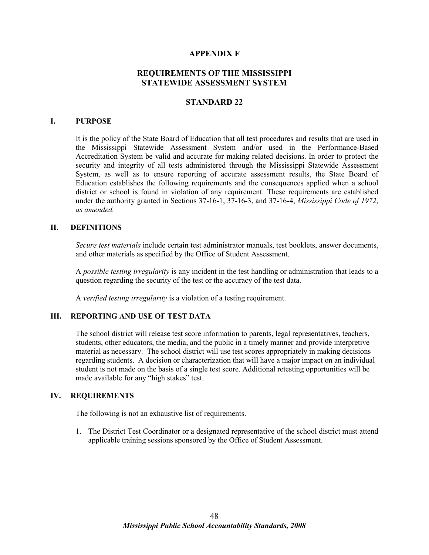#### **APPENDIX F**

# **REQUIREMENTS OF THE MISSISSIPPI STATEWIDE ASSESSMENT SYSTEM**

#### **STANDARD 22**

#### **I. PURPOSE**

It is the policy of the State Board of Education that all test procedures and results that are used in the Mississippi Statewide Assessment System and/or used in the Performance-Based Accreditation System be valid and accurate for making related decisions. In order to protect the security and integrity of all tests administered through the Mississippi Statewide Assessment System, as well as to ensure reporting of accurate assessment results, the State Board of Education establishes the following requirements and the consequences applied when a school district or school is found in violation of any requirement. These requirements are established under the authority granted in Sections 37-16-1, 37-16-3, and 37-16-4, *Mississippi Code of 1972*, *as amended.*

#### **II. DEFINITIONS**

*Secure test materials* include certain test administrator manuals, test booklets, answer documents, and other materials as specified by the Office of Student Assessment.

A *possible testing irregularity* is any incident in the test handling or administration that leads to a question regarding the security of the test or the accuracy of the test data.

A *verified testing irregularity* is a violation of a testing requirement.

#### **III. REPORTING AND USE OF TEST DATA**

The school district will release test score information to parents, legal representatives, teachers, students, other educators, the media, and the public in a timely manner and provide interpretive material as necessary. The school district will use test scores appropriately in making decisions regarding students. A decision or characterization that will have a major impact on an individual student is not made on the basis of a single test score. Additional retesting opportunities will be made available for any "high stakes" test.

#### **IV. REQUIREMENTS**

The following is not an exhaustive list of requirements.

1. The District Test Coordinator or a designated representative of the school district must attend applicable training sessions sponsored by the Office of Student Assessment.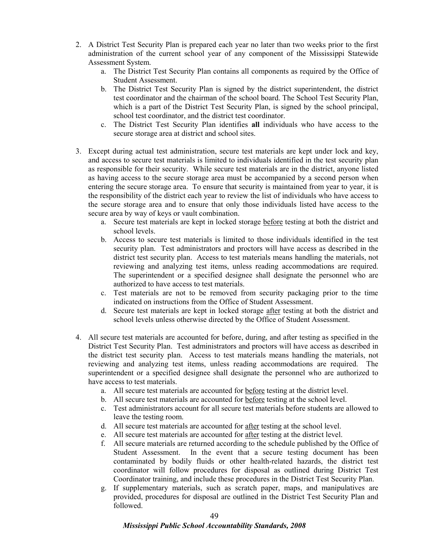- 2. A District Test Security Plan is prepared each year no later than two weeks prior to the first administration of the current school year of any component of the Mississippi Statewide Assessment System.
	- a. The District Test Security Plan contains all components as required by the Office of Student Assessment.
	- b. The District Test Security Plan is signed by the district superintendent, the district test coordinator and the chairman of the school board. The School Test Security Plan, which is a part of the District Test Security Plan, is signed by the school principal, school test coordinator, and the district test coordinator.
	- c. The District Test Security Plan identifies **all** individuals who have access to the secure storage area at district and school sites.
- 3. Except during actual test administration, secure test materials are kept under lock and key, and access to secure test materials is limited to individuals identified in the test security plan as responsible for their security. While secure test materials are in the district, anyone listed as having access to the secure storage area must be accompanied by a second person when entering the secure storage area. To ensure that security is maintained from year to year, it is the responsibility of the district each year to review the list of individuals who have access to the secure storage area and to ensure that only those individuals listed have access to the secure area by way of keys or vault combination.
	- a. Secure test materials are kept in locked storage before testing at both the district and school levels.
	- b. Access to secure test materials is limited to those individuals identified in the test security plan. Test administrators and proctors will have access as described in the district test security plan. Access to test materials means handling the materials, not reviewing and analyzing test items, unless reading accommodations are required. The superintendent or a specified designee shall designate the personnel who are authorized to have access to test materials.
	- c. Test materials are not to be removed from security packaging prior to the time indicated on instructions from the Office of Student Assessment.
	- d. Secure test materials are kept in locked storage after testing at both the district and school levels unless otherwise directed by the Office of Student Assessment.
- 4. All secure test materials are accounted for before, during, and after testing as specified in the District Test Security Plan. Test administrators and proctors will have access as described in the district test security plan. Access to test materials means handling the materials, not reviewing and analyzing test items, unless reading accommodations are required. The superintendent or a specified designee shall designate the personnel who are authorized to have access to test materials.
	- a. All secure test materials are accounted for before testing at the district level.
	- b. All secure test materials are accounted for before testing at the school level.
	- c. Test administrators account for all secure test materials before students are allowed to leave the testing room.
	- d. All secure test materials are accounted for after testing at the school level.
	- e. All secure test materials are accounted for after testing at the district level.
	- f. All secure materials are returned according to the schedule published by the Office of Student Assessment. In the event that a secure testing document has been contaminated by bodily fluids or other health-related hazards, the district test coordinator will follow procedures for disposal as outlined during District Test Coordinator training, and include these procedures in the District Test Security Plan.
	- g. If supplementary materials, such as scratch paper, maps, and manipulatives are provided, procedures for disposal are outlined in the District Test Security Plan and followed.

# *Mississippi Public School Accountability Standards, 2008*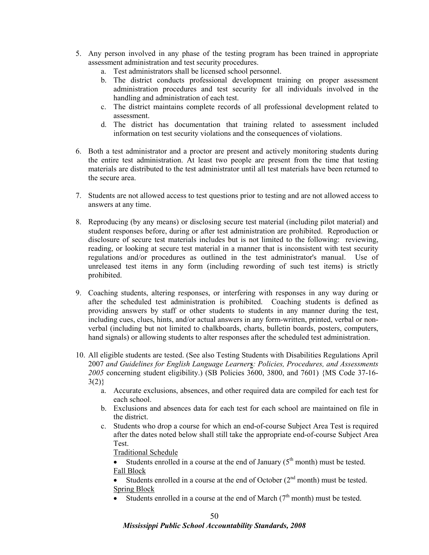- 5. Any person involved in any phase of the testing program has been trained in appropriate assessment administration and test security procedures.
	- a. Test administrators shall be licensed school personnel.
	- b. The district conducts professional development training on proper assessment administration procedures and test security for all individuals involved in the handling and administration of each test.
	- c. The district maintains complete records of all professional development related to assessment.
	- d. The district has documentation that training related to assessment included information on test security violations and the consequences of violations.
- 6. Both a test administrator and a proctor are present and actively monitoring students during the entire test administration. At least two people are present from the time that testing materials are distributed to the test administrator until all test materials have been returned to the secure area.
- 7. Students are not allowed access to test questions prior to testing and are not allowed access to answers at any time.
- 8. Reproducing (by any means) or disclosing secure test material (including pilot material) and student responses before, during or after test administration are prohibited. Reproduction or disclosure of secure test materials includes but is not limited to the following: reviewing, reading, or looking at secure test material in a manner that is inconsistent with test security regulations and/or procedures as outlined in the test administrator's manual. Use of unreleased test items in any form (including rewording of such test items) is strictly prohibited.
- 9. Coaching students, altering responses, or interfering with responses in any way during or after the scheduled test administration is prohibited. Coaching students is defined as providing answers by staff or other students to students in any manner during the test, including cues, clues, hints, and/or actual answers in any form-written, printed, verbal or nonverbal (including but not limited to chalkboards, charts, bulletin boards, posters, computers, hand signals) or allowing students to alter responses after the scheduled test administration.
- 10. All eligible students are tested. (See also Testing Students with Disabilities Regulations April 2007 *and Guidelines for English Language Learners: Policies, Procedures, and Assessments 2005* concerning student eligibility.) (SB Policies 3600, 3800, and 7601) {MS Code 37-16-  $3(2)$ 
	- a. Accurate exclusions, absences, and other required data are compiled for each test for each school.
	- b. Exclusions and absences data for each test for each school are maintained on file in the district.
	- c. Students who drop a course for which an end-of-course Subject Area Test is required after the dates noted below shall still take the appropriate end-of-course Subject Area Test.

Traditional Schedule

• Students enrolled in a course at the end of January  $(5<sup>th</sup>$  month) must be tested. Fall Block

• Students enrolled in a course at the end of October  $(2<sup>nd</sup>$  month) must be tested. Spring Block

• Students enrolled in a course at the end of March  $(7<sup>th</sup>$  month) must be tested.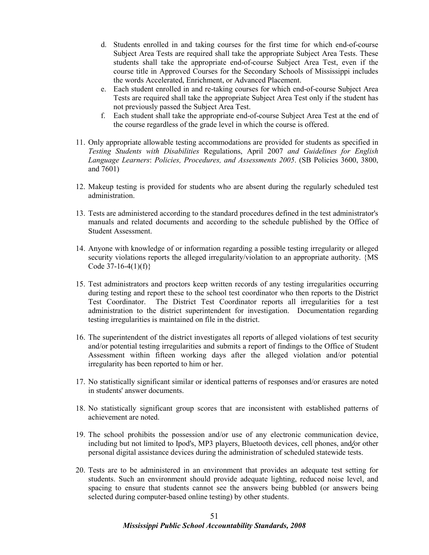- d. Students enrolled in and taking courses for the first time for which end-of-course Subject Area Tests are required shall take the appropriate Subject Area Tests. These students shall take the appropriate end-of-course Subject Area Test, even if the course title in Approved Courses for the Secondary Schools of Mississippi includes the words Accelerated, Enrichment, or Advanced Placement.
- e. Each student enrolled in and re-taking courses for which end-of-course Subject Area Tests are required shall take the appropriate Subject Area Test only if the student has not previously passed the Subject Area Test.
- f. Each student shall take the appropriate end-of-course Subject Area Test at the end of the course regardless of the grade level in which the course is offered.
- 11. Only appropriate allowable testing accommodations are provided for students as specified in *Testing Students with Disabilities* Regulations, April 2007 *and Guidelines for English Language Learners*: *Policies, Procedures, and Assessments 2005*. (SB Policies 3600, 3800, and 7601)
- 12. Makeup testing is provided for students who are absent during the regularly scheduled test administration.
- 13. Tests are administered according to the standard procedures defined in the test administrator's manuals and related documents and according to the schedule published by the Office of Student Assessment.
- 14. Anyone with knowledge of or information regarding a possible testing irregularity or alleged security violations reports the alleged irregularity/violation to an appropriate authority. {MS Code  $37-16-4(1)(f)$
- 15. Test administrators and proctors keep written records of any testing irregularities occurring during testing and report these to the school test coordinator who then reports to the District Test Coordinator. The District Test Coordinator reports all irregularities for a test administration to the district superintendent for investigation. Documentation regarding testing irregularities is maintained on file in the district.
- 16. The superintendent of the district investigates all reports of alleged violations of test security and/or potential testing irregularities and submits a report of findings to the Office of Student Assessment within fifteen working days after the alleged violation and/or potential irregularity has been reported to him or her.
- 17. No statistically significant similar or identical patterns of responses and/or erasures are noted in students' answer documents.
- 18. No statistically significant group scores that are inconsistent with established patterns of achievement are noted.
- 19. The school prohibits the possession and/or use of any electronic communication device, including but not limited to Ipod's, MP3 players, Bluetooth devices, cell phones, and*/*or other personal digital assistance devices during the administration of scheduled statewide tests.
- 20. Tests are to be administered in an environment that provides an adequate test setting for students. Such an environment should provide adequate lighting, reduced noise level, and spacing to ensure that students cannot see the answers being bubbled (or answers being selected during computer-based online testing) by other students.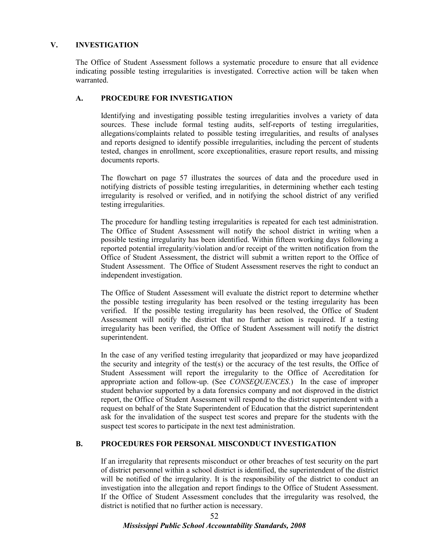## **V. INVESTIGATION**

The Office of Student Assessment follows a systematic procedure to ensure that all evidence indicating possible testing irregularities is investigated. Corrective action will be taken when warranted.

## **A. PROCEDURE FOR INVESTIGATION**

Identifying and investigating possible testing irregularities involves a variety of data sources. These include formal testing audits, self-reports of testing irregularities, allegations/complaints related to possible testing irregularities, and results of analyses and reports designed to identify possible irregularities, including the percent of students tested, changes in enrollment, score exceptionalities, erasure report results, and missing documents reports.

The flowchart on page 57 illustrates the sources of data and the procedure used in notifying districts of possible testing irregularities, in determining whether each testing irregularity is resolved or verified, and in notifying the school district of any verified testing irregularities.

The procedure for handling testing irregularities is repeated for each test administration. The Office of Student Assessment will notify the school district in writing when a possible testing irregularity has been identified. Within fifteen working days following a reported potential irregularity/violation and/or receipt of the written notification from the Office of Student Assessment, the district will submit a written report to the Office of Student Assessment. The Office of Student Assessment reserves the right to conduct an independent investigation.

The Office of Student Assessment will evaluate the district report to determine whether the possible testing irregularity has been resolved or the testing irregularity has been verified. If the possible testing irregularity has been resolved, the Office of Student Assessment will notify the district that no further action is required. If a testing irregularity has been verified, the Office of Student Assessment will notify the district superintendent.

In the case of any verified testing irregularity that jeopardized or may have jeopardized the security and integrity of the test(s) or the accuracy of the test results, the Office of Student Assessment will report the irregularity to the Office of Accreditation for appropriate action and follow-up. (See *CONSEQUENCES*.) In the case of improper student behavior supported by a data forensics company and not disproved in the district report, the Office of Student Assessment will respond to the district superintendent with a request on behalf of the State Superintendent of Education that the district superintendent ask for the invalidation of the suspect test scores and prepare for the students with the suspect test scores to participate in the next test administration.

#### **B. PROCEDURES FOR PERSONAL MISCONDUCT INVESTIGATION**

If an irregularity that represents misconduct or other breaches of test security on the part of district personnel within a school district is identified, the superintendent of the district will be notified of the irregularity. It is the responsibility of the district to conduct an investigation into the allegation and report findings to the Office of Student Assessment. If the Office of Student Assessment concludes that the irregularity was resolved, the district is notified that no further action is necessary.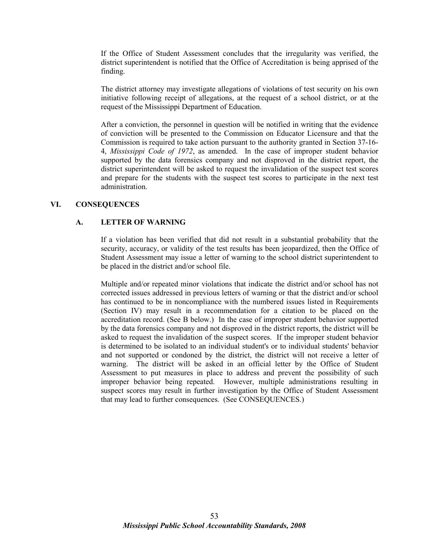If the Office of Student Assessment concludes that the irregularity was verified, the district superintendent is notified that the Office of Accreditation is being apprised of the finding.

The district attorney may investigate allegations of violations of test security on his own initiative following receipt of allegations, at the request of a school district, or at the request of the Mississippi Department of Education.

After a conviction, the personnel in question will be notified in writing that the evidence of conviction will be presented to the Commission on Educator Licensure and that the Commission is required to take action pursuant to the authority granted in Section 37-16- 4, *Mississippi Code of 1972*, as amended. In the case of improper student behavior supported by the data forensics company and not disproved in the district report, the district superintendent will be asked to request the invalidation of the suspect test scores and prepare for the students with the suspect test scores to participate in the next test administration.

#### **VI. CONSEQUENCES**

## **A. LETTER OF WARNING**

If a violation has been verified that did not result in a substantial probability that the security, accuracy, or validity of the test results has been jeopardized, then the Office of Student Assessment may issue a letter of warning to the school district superintendent to be placed in the district and/or school file.

Multiple and/or repeated minor violations that indicate the district and/or school has not corrected issues addressed in previous letters of warning or that the district and/or school has continued to be in noncompliance with the numbered issues listed in Requirements (Section IV) may result in a recommendation for a citation to be placed on the accreditation record. (See B below.) In the case of improper student behavior supported by the data forensics company and not disproved in the district reports, the district will be asked to request the invalidation of the suspect scores. If the improper student behavior is determined to be isolated to an individual student's or to individual students' behavior and not supported or condoned by the district, the district will not receive a letter of warning. The district will be asked in an official letter by the Office of Student Assessment to put measures in place to address and prevent the possibility of such improper behavior being repeated. However, multiple administrations resulting in suspect scores may result in further investigation by the Office of Student Assessment that may lead to further consequences. (See CONSEQUENCES.)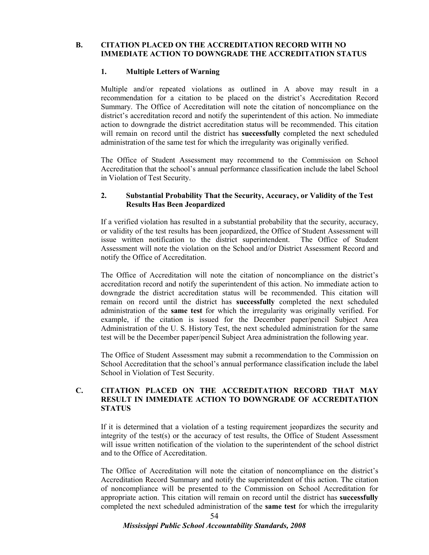## **B. CITATION PLACED ON THE ACCREDITATION RECORD WITH NO IMMEDIATE ACTION TO DOWNGRADE THE ACCREDITATION STATUS**

## **1. Multiple Letters of Warning**

Multiple and/or repeated violations as outlined in A above may result in a recommendation for a citation to be placed on the district's Accreditation Record Summary. The Office of Accreditation will note the citation of noncompliance on the district's accreditation record and notify the superintendent of this action. No immediate action to downgrade the district accreditation status will be recommended. This citation will remain on record until the district has **successfully** completed the next scheduled administration of the same test for which the irregularity was originally verified.

The Office of Student Assessment may recommend to the Commission on School Accreditation that the school's annual performance classification include the label School in Violation of Test Security.

## **2. Substantial Probability That the Security, Accuracy, or Validity of the Test Results Has Been Jeopardized**

If a verified violation has resulted in a substantial probability that the security, accuracy, or validity of the test results has been jeopardized, the Office of Student Assessment will issue written notification to the district superintendent. The Office of Student Assessment will note the violation on the School and/or District Assessment Record and notify the Office of Accreditation.

The Office of Accreditation will note the citation of noncompliance on the district's accreditation record and notify the superintendent of this action. No immediate action to downgrade the district accreditation status will be recommended. This citation will remain on record until the district has **successfully** completed the next scheduled administration of the **same test** for which the irregularity was originally verified. For example, if the citation is issued for the December paper/pencil Subject Area Administration of the U. S. History Test, the next scheduled administration for the same test will be the December paper/pencil Subject Area administration the following year.

The Office of Student Assessment may submit a recommendation to the Commission on School Accreditation that the school's annual performance classification include the label School in Violation of Test Security.

## **C. CITATION PLACED ON THE ACCREDITATION RECORD THAT MAY RESULT IN IMMEDIATE ACTION TO DOWNGRADE OF ACCREDITATION STATUS**

 If it is determined that a violation of a testing requirement jeopardizes the security and integrity of the test(s) or the accuracy of test results, the Office of Student Assessment will issue written notification of the violation to the superintendent of the school district and to the Office of Accreditation.

The Office of Accreditation will note the citation of noncompliance on the district's Accreditation Record Summary and notify the superintendent of this action. The citation of noncompliance will be presented to the Commission on School Accreditation for appropriate action. This citation will remain on record until the district has **successfully** completed the next scheduled administration of the **same test** for which the irregularity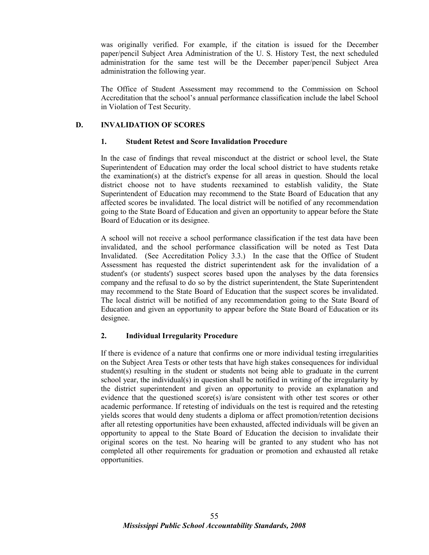was originally verified. For example, if the citation is issued for the December paper/pencil Subject Area Administration of the U. S. History Test, the next scheduled administration for the same test will be the December paper/pencil Subject Area administration the following year.

 The Office of Student Assessment may recommend to the Commission on School Accreditation that the school's annual performance classification include the label School in Violation of Test Security.

## **D. INVALIDATION OF SCORES**

#### **1. Student Retest and Score Invalidation Procedure**

In the case of findings that reveal misconduct at the district or school level, the State Superintendent of Education may order the local school district to have students retake the examination(s) at the district's expense for all areas in question. Should the local district choose not to have students reexamined to establish validity, the State Superintendent of Education may recommend to the State Board of Education that any affected scores be invalidated. The local district will be notified of any recommendation going to the State Board of Education and given an opportunity to appear before the State Board of Education or its designee.

A school will not receive a school performance classification if the test data have been invalidated, and the school performance classification will be noted as Test Data Invalidated. (See Accreditation Policy 3.3.) In the case that the Office of Student Assessment has requested the district superintendent ask for the invalidation of a student's (or students') suspect scores based upon the analyses by the data forensics company and the refusal to do so by the district superintendent, the State Superintendent may recommend to the State Board of Education that the suspect scores be invalidated. The local district will be notified of any recommendation going to the State Board of Education and given an opportunity to appear before the State Board of Education or its designee.

#### **2. Individual Irregularity Procedure**

If there is evidence of a nature that confirms one or more individual testing irregularities on the Subject Area Tests or other tests that have high stakes consequences for individual student(s) resulting in the student or students not being able to graduate in the current school year, the individual(s) in question shall be notified in writing of the irregularity by the district superintendent and given an opportunity to provide an explanation and evidence that the questioned score(s) is/are consistent with other test scores or other academic performance. If retesting of individuals on the test is required and the retesting yields scores that would deny students a diploma or affect promotion/retention decisions after all retesting opportunities have been exhausted, affected individuals will be given an opportunity to appeal to the State Board of Education the decision to invalidate their original scores on the test. No hearing will be granted to any student who has not completed all other requirements for graduation or promotion and exhausted all retake opportunities.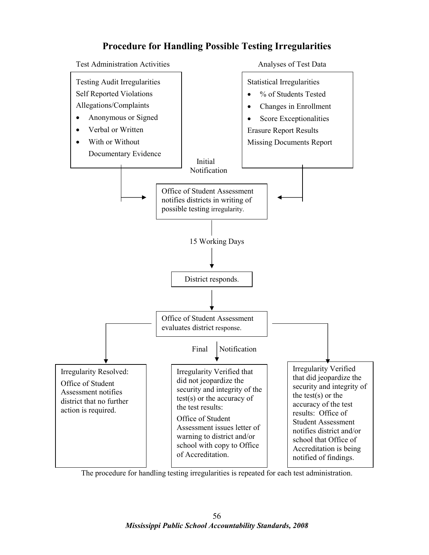# **Procedure for Handling Possible Testing Irregularities**



The procedure for handling testing irregularities is repeated for each test administration.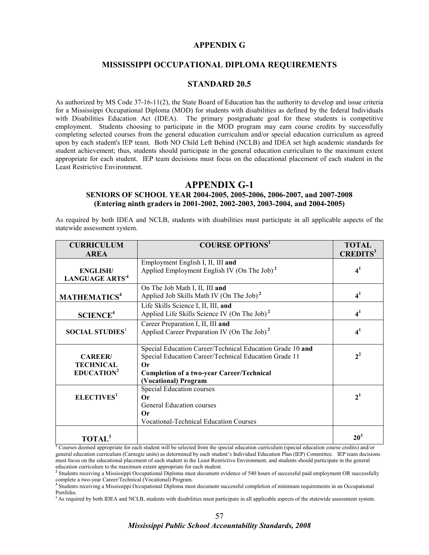#### **APPENDIX G**

## **MISSISSIPPI OCCUPATIONAL DIPLOMA REQUIREMENTS**

#### **STANDARD 20.5**

As authorized by MS Code 37-16-11(2), the State Board of Education has the authority to develop and issue criteria for a Mississippi Occupational Diploma (MOD) for students with disabilities as defined by the federal Individuals with Disabilities Education Act (IDEA). The primary postgraduate goal for these students is competitive employment. Students choosing to participate in the MOD program may earn course credits by successfully completing selected courses from the general education curriculum and/or special education curriculum as agreed upon by each student's IEP team. Both NO Child Left Behind (NCLB) and IDEA set high academic standards for student achievement; thus, students should participate in the general education curriculum to the maximum extent appropriate for each student. IEP team decisions must focus on the educational placement of each student in the Least Restrictive Environment.

#### **APPENDIX G-1**

#### **SENIORS OF SCHOOL YEAR 2004-2005, 2005-2006, 2006-2007, and 2007-2008 (Entering ninth graders in 2001-2002, 2002-2003, 2003-2004, and 2004-2005)**

As required by both IDEA and NCLB, students with disabilities must participate in all applicable aspects of the statewide assessment system.

| <b>CURRICULUM</b>                                           | <b>COURSE OPTIONS</b> <sup>1</sup>                                                                                                                                                                   | <b>TOTAL</b>                |
|-------------------------------------------------------------|------------------------------------------------------------------------------------------------------------------------------------------------------------------------------------------------------|-----------------------------|
| <b>AREA</b>                                                 |                                                                                                                                                                                                      | <b>CREDITS</b> <sup>3</sup> |
| <b>ENGLISH/</b><br>LANGUAGE ARTS <sup>4</sup>               | Employment English I, II, III and<br>Applied Employment English IV (On The Job) <sup>2</sup>                                                                                                         | 4 <sup>1</sup>              |
| MATHEMATICS <sup>4</sup>                                    | On The Job Math I, II, III and<br>Applied Job Skills Math IV (On The Job) <sup>2</sup>                                                                                                               | 4 <sup>1</sup>              |
| <b>SCIENCE<sup>4</sup></b>                                  | Life Skills Science I, II, III, and<br>Applied Life Skills Science IV (On The Job) <sup>2</sup>                                                                                                      | 4 <sup>1</sup>              |
| <b>SOCIAL STUDIES</b> <sup>1</sup>                          | Career Preparation I, II, III and<br>Applied Career Preparation IV (On The Job) <sup>2</sup>                                                                                                         | 4 <sup>1</sup>              |
| <b>CAREER</b><br><b>TECHNICAL</b><br>EDUCATION <sup>2</sup> | Special Education Career/Technical Education Grade 10 and<br>Special Education Career/Technical Education Grade 11<br>0r<br><b>Completion of a two-year Career/Technical</b><br>(Vocational) Program | $2^2$                       |
| ELECTIVES <sup>1</sup>                                      | Special Education courses<br>$\alpha$<br>General Education courses<br>$\alpha$<br><b>Vocational-Technical Education Courses</b>                                                                      | 2 <sup>1</sup>              |
| <b>TOTAL</b> <sup>3</sup>                                   |                                                                                                                                                                                                      | 20 <sup>3</sup>             |

**<sup>1</sup>** Courses deemed appropriate for each student will be selected from the special education curriculum (special education course credits) and/or general education curriculum (Carnegie units) as determined by each student's Individual Education Plan (IEP) Committee.IEP team decisions must focus on the educational placement of each student in the Least Restrictive Environment, and students should participate in the general education curriculum to the maximum extent appropriate for each student.

**2** Students receiving a Mississippi Occupational Diploma must document evidence of 540 hours of successful paid employment OR successfully complete a two-year Career/Technical (Vocational) Program.

**3** Students receiving a Mississippi Occupational Diploma must document successful completion of minimum requirements in an Occupational Portfolio.

<sup>4</sup> As required by both IDEA and NCLB, students with disabilities must participate in all applicable aspects of the statewide assessment system.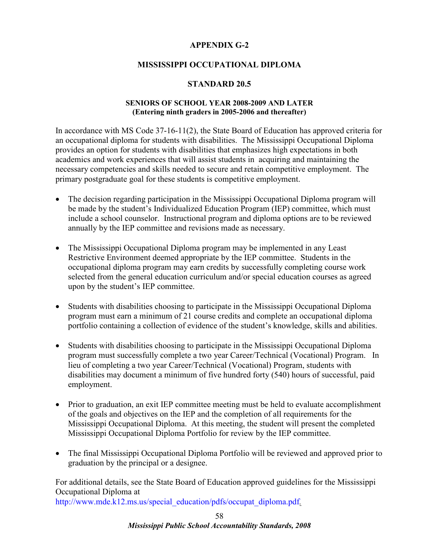# **APPENDIX G-2**

# **MISSISSIPPI OCCUPATIONAL DIPLOMA**

## **STANDARD 20.5**

## **SENIORS OF SCHOOL YEAR 2008-2009 AND LATER (Entering ninth graders in 2005-2006 and thereafter)**

In accordance with MS Code 37-16-11(2), the State Board of Education has approved criteria for an occupational diploma for students with disabilities. The Mississippi Occupational Diploma provides an option for students with disabilities that emphasizes high expectations in both academics and work experiences that will assist students in acquiring and maintaining the necessary competencies and skills needed to secure and retain competitive employment. The primary postgraduate goal for these students is competitive employment.

- The decision regarding participation in the Mississippi Occupational Diploma program will be made by the student's Individualized Education Program (IEP) committee, which must include a school counselor. Instructional program and diploma options are to be reviewed annually by the IEP committee and revisions made as necessary.
- The Mississippi Occupational Diploma program may be implemented in any Least Restrictive Environment deemed appropriate by the IEP committee. Students in the occupational diploma program may earn credits by successfully completing course work selected from the general education curriculum and/or special education courses as agreed upon by the student's IEP committee.
- Students with disabilities choosing to participate in the Mississippi Occupational Diploma program must earn a minimum of 21 course credits and complete an occupational diploma portfolio containing a collection of evidence of the student's knowledge, skills and abilities.
- Students with disabilities choosing to participate in the Mississippi Occupational Diploma program must successfully complete a two year Career/Technical (Vocational) Program. In lieu of completing a two year Career/Technical (Vocational) Program, students with disabilities may document a minimum of five hundred forty (540) hours of successful, paid employment.
- Prior to graduation, an exit IEP committee meeting must be held to evaluate accomplishment of the goals and objectives on the IEP and the completion of all requirements for the Mississippi Occupational Diploma. At this meeting, the student will present the completed Mississippi Occupational Diploma Portfolio for review by the IEP committee.
- The final Mississippi Occupational Diploma Portfolio will be reviewed and approved prior to graduation by the principal or a designee.

For additional details, see the State Board of Education approved guidelines for the Mississippi Occupational Diploma at

http://www.mde.k12.ms.us/special\_education/pdfs/occupat\_diploma.pdf*.*

*Mississippi Public School Accountability Standards, 2008*  58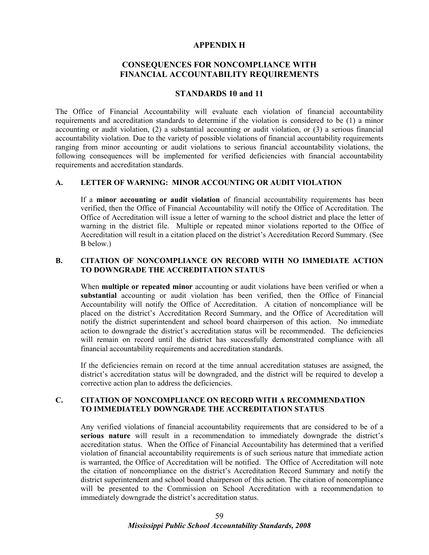#### **APPENDIX H**

# **CONSEQUENCES FOR NONCOMPLIANCE WITH FINANCIAL ACCOUNTABILITY REQUIREMENTS**

#### **STANDARDS 10 and 11**

The Office of Financial Accountability will evaluate each violation of financial accountability requirements and accreditation standards to determine if the violation is considered to be (1) a minor accounting or audit violation, (2) a substantial accounting or audit violation, or (3) a serious financial accountability violation. Due to the variety of possible violations of financial accountability requirements ranging from minor accounting or audit violations to serious financial accountability violations, the following consequences will be implemented for verified deficiencies with financial accountability requirements and accreditation standards.

#### **A. LETTER OF WARNING: MINOR ACCOUNTING OR AUDIT VIOLATION**

If a **minor accounting or audit violation** of financial accountability requirements has been verified, then the Office of Financial Accountability will notify the Office of Accreditation. The Office of Accreditation will issue a letter of warning to the school district and place the letter of warning in the district file. Multiple or repeated minor violations reported to the Office of Accreditation will result in a citation placed on the district's Accreditation Record Summary. (See B below.)

#### **B. CITATION OF NONCOMPLIANCE ON RECORD WITH NO IMMEDIATE ACTION TO DOWNGRADE THE ACCREDITATION STATUS**

When **multiple or repeated minor** accounting or audit violations have been verified or when a **substantial** accounting or audit violation has been verified, then the Office of Financial Accountability will notify the Office of Accreditation. A citation of noncompliance will be placed on the district's Accreditation Record Summary, and the Office of Accreditation will notify the district superintendent and school board chairperson of this action. No immediate action to downgrade the district's accreditation status will be recommended. The deficiencies will remain on record until the district has successfully demonstrated compliance with all financial accountability requirements and accreditation standards.

If the deficiencies remain on record at the time annual accreditation statuses are assigned, the district's accreditation status will be downgraded, and the district will be required to develop a corrective action plan to address the deficiencies.

#### **C. CITATION OF NONCOMPLIANCE ON RECORD WITH A RECOMMENDATION TO IMMEDIATELY DOWNGRADE THE ACCREDITATION STATUS**

Any verified violations of financial accountability requirements that are considered to be of a **serious nature** will result in a recommendation to immediately downgrade the district's accreditation status. When the Office of Financial Accountability has determined that a verified violation of financial accountability requirements is of such serious nature that immediate action is warranted, the Office of Accreditation will be notified. The Office of Accreditation will note the citation of noncompliance on the district's Accreditation Record Summary and notify the district superintendent and school board chairperson of this action. The citation of noncompliance will be presented to the Commission on School Accreditation with a recommendation to immediately downgrade the district's accreditation status.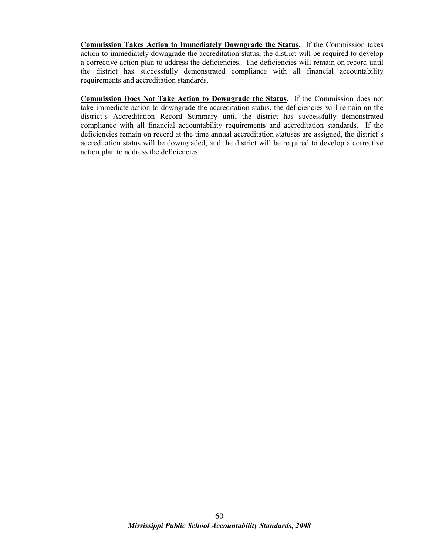**Commission Takes Action to Immediately Downgrade the Status.** If the Commission takes action to immediately downgrade the accreditation status, the district will be required to develop a corrective action plan to address the deficiencies. The deficiencies will remain on record until the district has successfully demonstrated compliance with all financial accountability requirements and accreditation standards.

**Commission Does Not Take Action to Downgrade the Status.** If the Commission does not take immediate action to downgrade the accreditation status, the deficiencies will remain on the district's Accreditation Record Summary until the district has successfully demonstrated compliance with all financial accountability requirements and accreditation standards. If the deficiencies remain on record at the time annual accreditation statuses are assigned, the district's accreditation status will be downgraded, and the district will be required to develop a corrective action plan to address the deficiencies.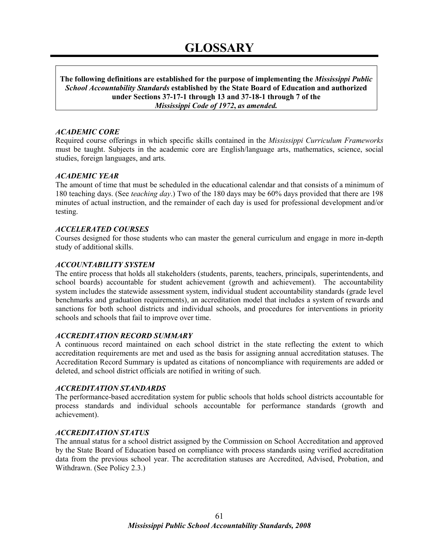**The following definitions are established for the purpose of implementing the** *Mississippi Public School Accountability Standards* **established by the State Board of Education and authorized under Sections 37-17-1 through 13 and 37-18-1 through 7 of the**  *Mississippi Code of 1972***,** *as amended.*

#### *ACADEMIC CORE*

Required course offerings in which specific skills contained in the *Mississippi Curriculum Frameworks* must be taught. Subjects in the academic core are English/language arts, mathematics, science, social studies, foreign languages, and arts.

#### *ACADEMIC YEAR*

The amount of time that must be scheduled in the educational calendar and that consists of a minimum of 180 teaching days. (See *teaching day*.) Two of the 180 days may be 60% days provided that there are 198 minutes of actual instruction, and the remainder of each day is used for professional development and/or testing.

#### *ACCELERATED COURSES*

Courses designed for those students who can master the general curriculum and engage in more in-depth study of additional skills.

#### *ACCOUNTABILITY SYSTEM*

The entire process that holds all stakeholders (students, parents, teachers, principals, superintendents, and school boards) accountable for student achievement (growth and achievement). The accountability system includes the statewide assessment system, individual student accountability standards (grade level benchmarks and graduation requirements), an accreditation model that includes a system of rewards and sanctions for both school districts and individual schools, and procedures for interventions in priority schools and schools that fail to improve over time.

#### *ACCREDITATION RECORD SUMMARY*

A continuous record maintained on each school district in the state reflecting the extent to which accreditation requirements are met and used as the basis for assigning annual accreditation statuses. The Accreditation Record Summary is updated as citations of noncompliance with requirements are added or deleted, and school district officials are notified in writing of such.

#### *ACCREDITATION STANDARDS*

The performance-based accreditation system for public schools that holds school districts accountable for process standards and individual schools accountable for performance standards (growth and achievement).

#### *ACCREDITATION STATUS*

The annual status for a school district assigned by the Commission on School Accreditation and approved by the State Board of Education based on compliance with process standards using verified accreditation data from the previous school year. The accreditation statuses are Accredited, Advised, Probation, and Withdrawn. (See Policy 2.3.)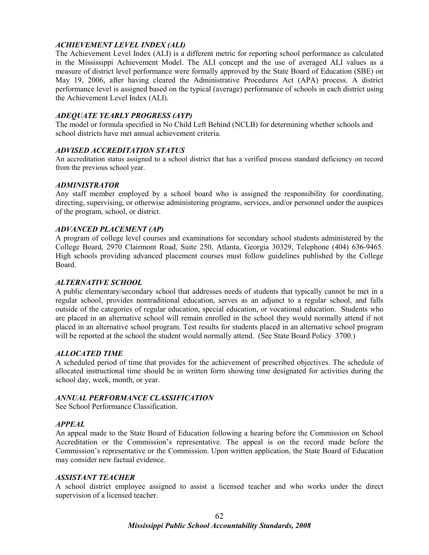# *ACHIEVEMENT LEVEL INDEX (ALI)*

The Achievement Level Index (ALI) is a different metric for reporting school performance as calculated in the Mississippi Achievement Model. The ALI concept and the use of averaged ALI values as a measure of district level performance were formally approved by the State Board of Education (SBE) on May 19, 2006, after having cleared the Administrative Procedures Act (APA) process. A district performance level is assigned based on the typical (average) performance of schools in each district using the Achievement Level Index (ALI).

## *ADEQUATE YEARLY PROGRESS (AYP)*

The model or formula specified in No Child Left Behind (NCLB) for determining whether schools and school districts have met annual achievement criteria.

#### *ADVISED ACCREDITATION STATUS*

An accreditation status assigned to a school district that has a verified process standard deficiency on record from the previous school year.

#### *ADMINISTRATOR*

Any staff member employed by a school board who is assigned the responsibility for coordinating, directing, supervising, or otherwise administering programs, services, and/or personnel under the auspices of the program, school, or district.

#### *ADVANCED PLACEMENT (AP)*

A program of college level courses and examinations for secondary school students administered by the College Board, 2970 Clairmont Road, Suite 250, Atlanta, Georgia 30329, Telephone (404) 636-9465. High schools providing advanced placement courses must follow guidelines published by the College Board.

#### *ALTERNATIVE SCHOOL*

A public elementary/secondary school that addresses needs of students that typically cannot be met in a regular school, provides nontraditional education, serves as an adjunct to a regular school, and falls outside of the categories of regular education, special education, or vocational education. Students who are placed in an alternative school will remain enrolled in the school they would normally attend if not placed in an alternative school program. Test results for students placed in an alternative school program will be reported at the school the student would normally attend. (See State Board Policy 3700.)

#### *ALLOCATED TIME*

A scheduled period of time that provides for the achievement of prescribed objectives. The schedule of allocated instructional time should be in written form showing time designated for activities during the school day, week, month, or year.

#### *ANNUAL PERFORMANCE CLASSIFICATION*

See School Performance Classification.

#### *APPEAL*

An appeal made to the State Board of Education following a hearing before the Commission on School Accreditation or the Commission's representative. The appeal is on the record made before the Commission's representative or the Commission. Upon written application, the State Board of Education may consider new factual evidence.

#### *ASSISTANT TEACHER*

A school district employee assigned to assist a licensed teacher and who works under the direct supervision of a licensed teacher.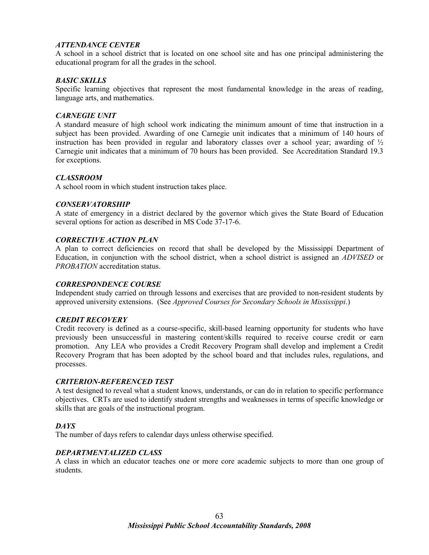# *ATTENDANCE CENTER*

A school in a school district that is located on one school site and has one principal administering the educational program for all the grades in the school.

#### *BASIC SKILLS*

Specific learning objectives that represent the most fundamental knowledge in the areas of reading, language arts, and mathematics.

#### *CARNEGIE UNIT*

A standard measure of high school work indicating the minimum amount of time that instruction in a subject has been provided. Awarding of one Carnegie unit indicates that a minimum of 140 hours of instruction has been provided in regular and laboratory classes over a school year; awarding of  $\frac{1}{2}$ Carnegie unit indicates that a minimum of 70 hours has been provided. See Accreditation Standard 19.3 for exceptions.

#### *CLASSROOM*

A school room in which student instruction takes place.

#### *CONSERVATORSHIP*

A state of emergency in a district declared by the governor which gives the State Board of Education several options for action as described in MS Code 37-17-6.

#### *CORRECTIVE ACTION PLAN*

A plan to correct deficiencies on record that shall be developed by the Mississippi Department of Education, in conjunction with the school district, when a school district is assigned an *ADVISED* or *PROBATION* accreditation status.

#### *CORRESPONDENCE COURSE*

Independent study carried on through lessons and exercises that are provided to non-resident students by approved university extensions. (See *Approved Courses for Secondary Schools in Mississippi*.)

#### *CREDIT RECOVERY*

Credit recovery is defined as a course-specific, skill-based learning opportunity for students who have previously been unsuccessful in mastering content/skills required to receive course credit or earn promotion. Any LEA who provides a Credit Recovery Program shall develop and implement a Credit Recovery Program that has been adopted by the school board and that includes rules, regulations, and processes.

#### *CRITERION-REFERENCED TEST*

A test designed to reveal what a student knows, understands, or can do in relation to specific performance objectives. CRTs are used to identify student strengths and weaknesses in terms of specific knowledge or skills that are goals of the instructional program.

#### *DAYS*

The number of days refers to calendar days unless otherwise specified.

#### *DEPARTMENTALIZED CLASS*

A class in which an educator teaches one or more core academic subjects to more than one group of students.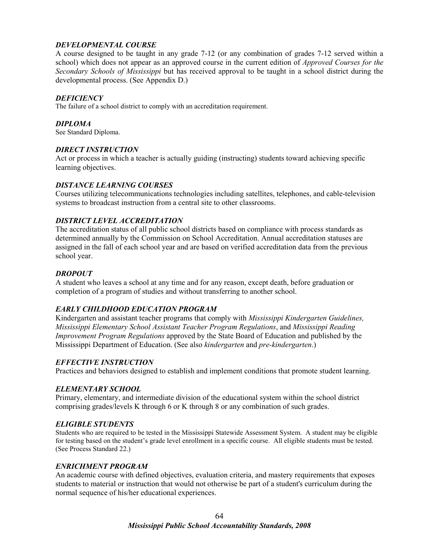# *DEVELOPMENTAL COURSE*

A course designed to be taught in any grade 7-12 (or any combination of grades 7-12 served within a school) which does not appear as an approved course in the current edition of *Approved Courses for the Secondary Schools of Mississippi* but has received approval to be taught in a school district during the developmental process. (See Appendix D.)

## *DEFICIENCY*

The failure of a school district to comply with an accreditation requirement.

#### *DIPLOMA*

See Standard Diploma.

## *DIRECT INSTRUCTION*

Act or process in which a teacher is actually guiding (instructing) students toward achieving specific learning objectives.

## *DISTANCE LEARNING COURSES*

Courses utilizing telecommunications technologies including satellites, telephones, and cable-television systems to broadcast instruction from a central site to other classrooms.

## *DISTRICT LEVEL ACCREDITATION*

The accreditation status of all public school districts based on compliance with process standards as determined annually by the Commission on School Accreditation. Annual accreditation statuses are assigned in the fall of each school year and are based on verified accreditation data from the previous school year.

# *DROPOUT*

A student who leaves a school at any time and for any reason, except death, before graduation or completion of a program of studies and without transferring to another school.

# *EARLY CHILDHOOD EDUCATION PROGRAM*

Kindergarten and assistant teacher programs that comply with *Mississippi Kindergarten Guidelines, Mississippi Elementary School Assistant Teacher Program Regulations*, and *Mississippi Reading Improvement Program Regulations* approved by the State Board of Education and published by the Mississippi Department of Education. (See also *kindergarten* and *pre-kindergarten*.)

# *EFFECTIVE INSTRUCTION*

Practices and behaviors designed to establish and implement conditions that promote student learning.

# *ELEMENTARY SCHOOL*

Primary, elementary, and intermediate division of the educational system within the school district comprising grades/levels K through 6 or K through 8 or any combination of such grades.

# *ELIGIBLE STUDENTS*

Students who are required to be tested in the Mississippi Statewide Assessment System. A student may be eligible for testing based on the student's grade level enrollment in a specific course. All eligible students must be tested. (See Process Standard 22.)

#### *ENRICHMENT PROGRAM*

An academic course with defined objectives, evaluation criteria, and mastery requirements that exposes students to material or instruction that would not otherwise be part of a student's curriculum during the normal sequence of his/her educational experiences.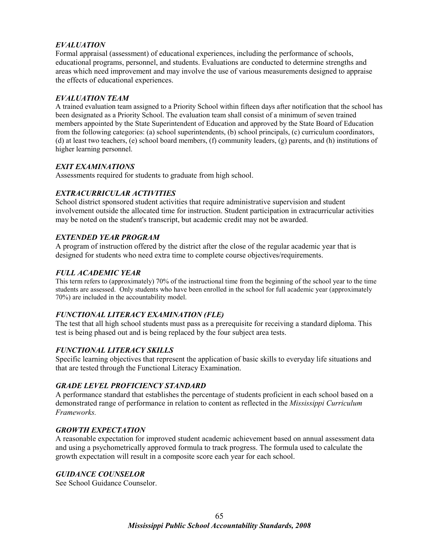# *EVALUATION*

Formal appraisal (assessment) of educational experiences, including the performance of schools, educational programs, personnel, and students. Evaluations are conducted to determine strengths and areas which need improvement and may involve the use of various measurements designed to appraise the effects of educational experiences.

## *EVALUATION TEAM*

A trained evaluation team assigned to a Priority School within fifteen days after notification that the school has been designated as a Priority School. The evaluation team shall consist of a minimum of seven trained members appointed by the State Superintendent of Education and approved by the State Board of Education from the following categories: (a) school superintendents, (b) school principals, (c) curriculum coordinators, (d) at least two teachers, (e) school board members, (f) community leaders, (g) parents, and (h) institutions of higher learning personnel.

## *EXIT EXAMINATIONS*

Assessments required for students to graduate from high school.

# *EXTRACURRICULAR ACTIVITIES*

School district sponsored student activities that require administrative supervision and student involvement outside the allocated time for instruction. Student participation in extracurricular activities may be noted on the student's transcript, but academic credit may not be awarded.

## *EXTENDED YEAR PROGRAM*

A program of instruction offered by the district after the close of the regular academic year that is designed for students who need extra time to complete course objectives/requirements.

## *FULL ACADEMIC YEAR*

This term refers to (approximately) 70% of the instructional time from the beginning of the school year to the time students are assessed. Only students who have been enrolled in the school for full academic year (approximately 70%) are included in the accountability model.

#### *FUNCTIONAL LITERACY EXAMINATION (FLE)*

The test that all high school students must pass as a prerequisite for receiving a standard diploma. This test is being phased out and is being replaced by the four subject area tests.

# *FUNCTIONAL LITERACY SKILLS*

Specific learning objectives that represent the application of basic skills to everyday life situations and that are tested through the Functional Literacy Examination.

#### *GRADE LEVEL PROFICIENCY STANDARD*

A performance standard that establishes the percentage of students proficient in each school based on a demonstrated range of performance in relation to content as reflected in the *Mississippi Curriculum Frameworks.* 

# *GROWTH EXPECTATION*

A reasonable expectation for improved student academic achievement based on annual assessment data and using a psychometrically approved formula to track progress. The formula used to calculate the growth expectation will result in a composite score each year for each school.

#### *GUIDANCE COUNSELOR*

See School Guidance Counselor.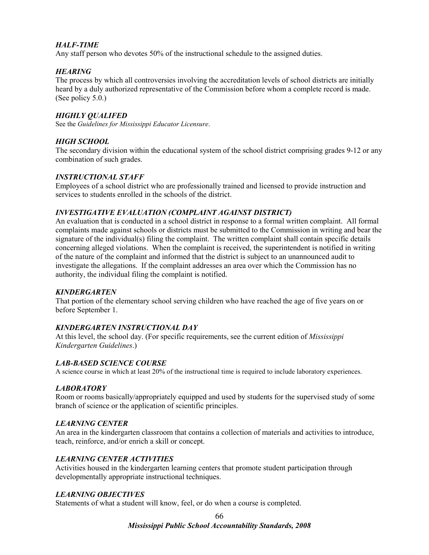# *HALF-TIME*

Any staff person who devotes 50% of the instructional schedule to the assigned duties.

# *HEARING*

The process by which all controversies involving the accreditation levels of school districts are initially heard by a duly authorized representative of the Commission before whom a complete record is made. (See policy 5.0.)

### *HIGHLY QUALIFED*

See the *Guidelines for Mississippi Educator Licensure*.

### *HIGH SCHOOL*

The secondary division within the educational system of the school district comprising grades 9-12 or any combination of such grades.

### *INSTRUCTIONAL STAFF*

Employees of a school district who are professionally trained and licensed to provide instruction and services to students enrolled in the schools of the district.

### *INVESTIGATIVE EVALUATION (COMPLAINT AGAINST DISTRICT)*

An evaluation that is conducted in a school district in response to a formal written complaint. All formal complaints made against schools or districts must be submitted to the Commission in writing and bear the signature of the individual(s) filing the complaint. The written complaint shall contain specific details concerning alleged violations. When the complaint is received, the superintendent is notified in writing of the nature of the complaint and informed that the district is subject to an unannounced audit to investigate the allegations. If the complaint addresses an area over which the Commission has no authority, the individual filing the complaint is notified.

### *KINDERGARTEN*

That portion of the elementary school serving children who have reached the age of five years on or before September 1.

# *KINDERGARTEN INSTRUCTIONAL DAY*

At this level, the school day. (For specific requirements, see the current edition of *Mississippi Kindergarten Guidelines*.)

### *LAB-BASED SCIENCE COURSE*

A science course in which at least 20% of the instructional time is required to include laboratory experiences.

### *LABORATORY*

Room or rooms basically/appropriately equipped and used by students for the supervised study of some branch of science or the application of scientific principles.

### *LEARNING CENTER*

An area in the kindergarten classroom that contains a collection of materials and activities to introduce, teach, reinforce, and/or enrich a skill or concept.

# *LEARNING CENTER ACTIVITIES*

Activities housed in the kindergarten learning centers that promote student participation through developmentally appropriate instructional techniques.

### *LEARNING OBJECTIVES*

Statements of what a student will know, feel, or do when a course is completed.

*Mississippi Public School Accountability Standards, 2008*  66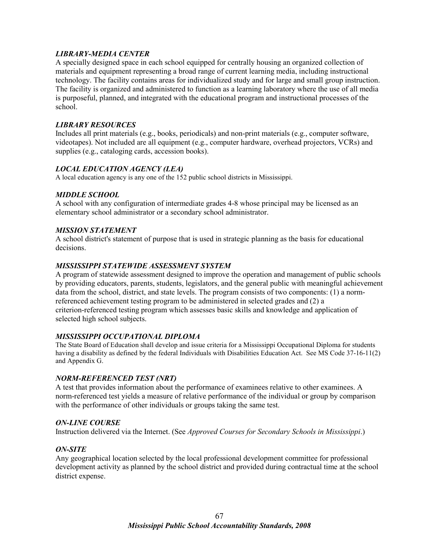# *LIBRARY-MEDIA CENTER*

A specially designed space in each school equipped for centrally housing an organized collection of materials and equipment representing a broad range of current learning media, including instructional technology. The facility contains areas for individualized study and for large and small group instruction. The facility is organized and administered to function as a learning laboratory where the use of all media is purposeful, planned, and integrated with the educational program and instructional processes of the school.

### *LIBRARY RESOURCES*

Includes all print materials (e.g., books, periodicals) and non-print materials (e.g., computer software, videotapes). Not included are all equipment (e.g., computer hardware, overhead projectors, VCRs) and supplies (e.g., cataloging cards, accession books).

### *LOCAL EDUCATION AGENCY (LEA)*

A local education agency is any one of the 152 public school districts in Mississippi.

### *MIDDLE SCHOOL*

A school with any configuration of intermediate grades 4-8 whose principal may be licensed as an elementary school administrator or a secondary school administrator.

### *MISSION STATEMENT*

A school district's statement of purpose that is used in strategic planning as the basis for educational decisions.

### *MISSISSIPPI STATEWIDE ASSESSMENT SYSTEM*

A program of statewide assessment designed to improve the operation and management of public schools by providing educators, parents, students, legislators, and the general public with meaningful achievement data from the school, district, and state levels. The program consists of two components: (1) a normreferenced achievement testing program to be administered in selected grades and (2) a criterion-referenced testing program which assesses basic skills and knowledge and application of selected high school subjects.

### *MISSISSIPPI OCCUPATIONAL DIPLOMA*

The State Board of Education shall develop and issue criteria for a Mississippi Occupational Diploma for students having a disability as defined by the federal Individuals with Disabilities Education Act. See MS Code 37-16-11(2) and Appendix G.

### *NORM-REFERENCED TEST (NRT)*

A test that provides information about the performance of examinees relative to other examinees. A norm-referenced test yields a measure of relative performance of the individual or group by comparison with the performance of other individuals or groups taking the same test.

### *ON-LINE COURSE*

Instruction delivered via the Internet. (See *Approved Courses for Secondary Schools in Mississippi*.)

### *ON-SITE*

Any geographical location selected by the local professional development committee for professional development activity as planned by the school district and provided during contractual time at the school district expense.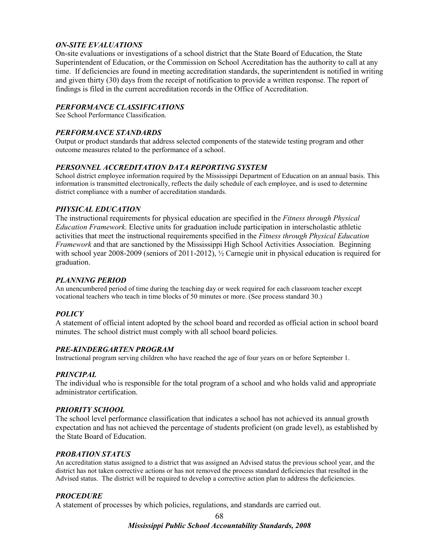# *ON-SITE EVALUATIONS*

On-site evaluations or investigations of a school district that the State Board of Education, the State Superintendent of Education, or the Commission on School Accreditation has the authority to call at any time. If deficiencies are found in meeting accreditation standards, the superintendent is notified in writing and given thirty (30) days from the receipt of notification to provide a written response. The report of findings is filed in the current accreditation records in the Office of Accreditation.

### *PERFORMANCE CLASSIFICATIONS*

See School Performance Classification.

### *PERFORMANCE STANDARDS*

Output or product standards that address selected components of the statewide testing program and other outcome measures related to the performance of a school.

### *PERSONNEL ACCREDITATION DATA REPORTING SYSTEM*

School district employee information required by the Mississippi Department of Education on an annual basis. This information is transmitted electronically, reflects the daily schedule of each employee, and is used to determine district compliance with a number of accreditation standards.

### *PHYSICAL EDUCATION*

The instructional requirements for physical education are specified in the *Fitness through Physical Education Framework*. Elective units for graduation include participation in interscholastic athletic activities that meet the instructional requirements specified in the *Fitness through Physical Education Framework* and that are sanctioned by the Mississippi High School Activities Association. Beginning with school year 2008-2009 (seniors of 2011-2012),  $\frac{1}{2}$  Carnegie unit in physical education is required for graduation.

### *PLANNING PERIOD*

An unencumbered period of time during the teaching day or week required for each classroom teacher except vocational teachers who teach in time blocks of 50 minutes or more. (See process standard 30.)

# *POLICY*

A statement of official intent adopted by the school board and recorded as official action in school board minutes. The school district must comply with all school board policies.

### *PRE-KINDERGARTEN PROGRAM*

Instructional program serving children who have reached the age of four years on or before September 1.

### *PRINCIPAL*

The individual who is responsible for the total program of a school and who holds valid and appropriate administrator certification.

### *PRIORITY SCHOOL*

The school level performance classification that indicates a school has not achieved its annual growth expectation and has not achieved the percentage of students proficient (on grade level), as established by the State Board of Education.

### *PROBATION STATUS*

An accreditation status assigned to a district that was assigned an Advised status the previous school year, and the district has not taken corrective actions or has not removed the process standard deficiencies that resulted in the Advised status. The district will be required to develop a corrective action plan to address the deficiencies.

# *PROCEDURE*

A statement of processes by which policies, regulations, and standards are carried out.

*Mississippi Public School Accountability Standards, 2008*  68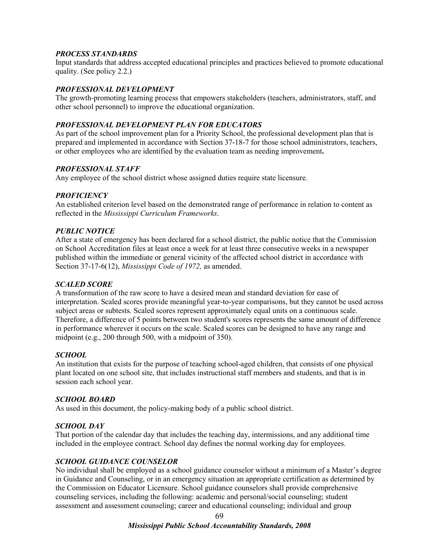### *PROCESS STANDARDS*

Input standards that address accepted educational principles and practices believed to promote educational quality. (See policy 2.2.)

### *PROFESSIONAL DEVELOPMENT*

The growth-promoting learning process that empowers stakeholders (teachers, administrators, staff, and other school personnel) to improve the educational organization.

### *PROFESSIONAL DEVELOPMENT PLAN FOR EDUCATORS*

As part of the school improvement plan for a Priority School, the professional development plan that is prepared and implemented in accordance with Section 37-18-7 for those school administrators, teachers, or other employees who are identified by the evaluation team as needing improvement**.** 

### *PROFESSIONAL STAFF*

Any employee of the school district whose assigned duties require state licensure.

### *PROFICIENCY*

An established criterion level based on the demonstrated range of performance in relation to content as reflected in the *Mississippi Curriculum Frameworks*.

### *PUBLIC NOTICE*

After a state of emergency has been declared for a school district, the public notice that the Commission on School Accreditation files at least once a week for at least three consecutive weeks in a newspaper published within the immediate or general vicinity of the affected school district in accordance with Section 37-17-6(12), *Mississippi Code of 1972,* as amended.

### *SCALED SCORE*

A transformation of the raw score to have a desired mean and standard deviation for ease of interpretation. Scaled scores provide meaningful year-to-year comparisons, but they cannot be used across subject areas or subtests. Scaled scores represent approximately equal units on a continuous scale. Therefore, a difference of 5 points between two student's scores represents the same amount of difference in performance wherever it occurs on the scale. Scaled scores can be designed to have any range and midpoint (e.g., 200 through 500, with a midpoint of 350).

### *SCHOOL*

An institution that exists for the purpose of teaching school-aged children, that consists of one physical plant located on one school site, that includes instructional staff members and students, and that is in session each school year.

### *SCHOOL BOARD*

As used in this document, the policy-making body of a public school district.

### *SCHOOL DAY*

That portion of the calendar day that includes the teaching day, intermissions, and any additional time included in the employee contract. School day defines the normal working day for employees.

### *SCHOOL GUIDANCE COUNSELOR*

No individual shall be employed as a school guidance counselor without a minimum of a Master's degree in Guidance and Counseling, or in an emergency situation an appropriate certification as determined by the Commission on Educator Licensure. School guidance counselors shall provide comprehensive counseling services, including the following: academic and personal/social counseling; student assessment and assessment counseling; career and educational counseling; individual and group

#### *Mississippi Public School Accountability Standards, 2008*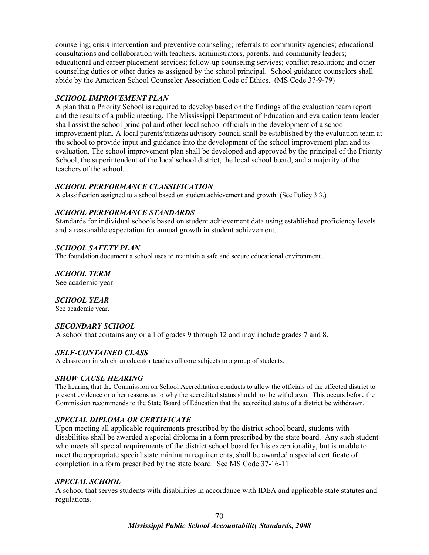counseling; crisis intervention and preventive counseling; referrals to community agencies; educational consultations and collaboration with teachers, administrators, parents, and community leaders; educational and career placement services; follow-up counseling services; conflict resolution; and other counseling duties or other duties as assigned by the school principal. School guidance counselors shall abide by the American School Counselor Association Code of Ethics. (MS Code 37-9-79)

# *SCHOOL IMPROVEMENT PLAN*

A plan that a Priority School is required to develop based on the findings of the evaluation team report and the results of a public meeting. The Mississippi Department of Education and evaluation team leader shall assist the school principal and other local school officials in the development of a school improvement plan. A local parents/citizens advisory council shall be established by the evaluation team at the school to provide input and guidance into the development of the school improvement plan and its evaluation. The school improvement plan shall be developed and approved by the principal of the Priority School, the superintendent of the local school district, the local school board, and a majority of the teachers of the school.

# *SCHOOL PERFORMANCE CLASSIFICATION*

A classification assigned to a school based on student achievement and growth. (See Policy 3.3.)

# *SCHOOL PERFORMANCE STANDARDS*

Standards for individual schools based on student achievement data using established proficiency levels and a reasonable expectation for annual growth in student achievement.

# *SCHOOL SAFETY PLAN*

The foundation document a school uses to maintain a safe and secure educational environment.

*SCHOOL TERM*

See academic year.

# *SCHOOL YEAR*

See academic year.

# *SECONDARY SCHOOL*

A school that contains any or all of grades 9 through 12 and may include grades 7 and 8.

# *SELF-CONTAINED CLASS*

A classroom in which an educator teaches all core subjects to a group of students.

# *SHOW CAUSE HEARING*

The hearing that the Commission on School Accreditation conducts to allow the officials of the affected district to present evidence or other reasons as to why the accredited status should not be withdrawn. This occurs before the Commission recommends to the State Board of Education that the accredited status of a district be withdrawn.

# *SPECIAL DIPLOMA OR CERTIFICATE*

Upon meeting all applicable requirements prescribed by the district school board, students with disabilities shall be awarded a special diploma in a form prescribed by the state board. Any such student who meets all special requirements of the district school board for his exceptionality, but is unable to meet the appropriate special state minimum requirements, shall be awarded a special certificate of completion in a form prescribed by the state board. See MS Code 37-16-11.

# *SPECIAL SCHOOL*

A school that serves students with disabilities in accordance with IDEA and applicable state statutes and regulations.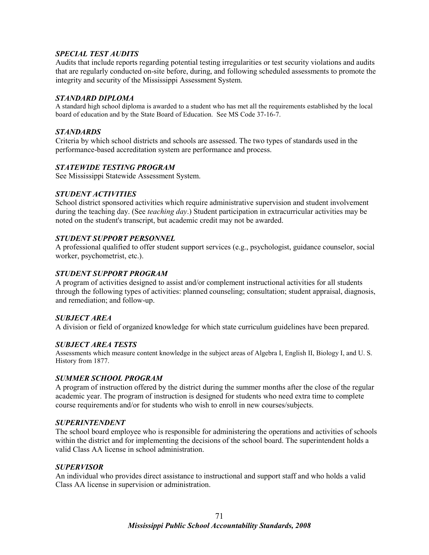# *SPECIAL TEST AUDITS*

Audits that include reports regarding potential testing irregularities or test security violations and audits that are regularly conducted on-site before, during, and following scheduled assessments to promote the integrity and security of the Mississippi Assessment System.

#### *STANDARD DIPLOMA*

A standard high school diploma is awarded to a student who has met all the requirements established by the local board of education and by the State Board of Education. See MS Code 37-16-7.

#### *STANDARDS*

Criteria by which school districts and schools are assessed. The two types of standards used in the performance-based accreditation system are performance and process.

### *STATEWIDE TESTING PROGRAM*

See Mississippi Statewide Assessment System.

### *STUDENT ACTIVITIES*

School district sponsored activities which require administrative supervision and student involvement during the teaching day. (See *teaching day*.) Student participation in extracurricular activities may be noted on the student's transcript, but academic credit may not be awarded.

#### *STUDENT SUPPORT PERSONNEL*

A professional qualified to offer student support services (e.g., psychologist, guidance counselor, social worker, psychometrist, etc.).

#### *STUDENT SUPPORT PROGRAM*

A program of activities designed to assist and/or complement instructional activities for all students through the following types of activities: planned counseling; consultation; student appraisal, diagnosis, and remediation; and follow-up.

### *SUBJECT AREA*

A division or field of organized knowledge for which state curriculum guidelines have been prepared.

### *SUBJECT AREA TESTS*

Assessments which measure content knowledge in the subject areas of Algebra I, English II, Biology I, and U. S. History from 1877.

### *SUMMER SCHOOL PROGRAM*

A program of instruction offered by the district during the summer months after the close of the regular academic year. The program of instruction is designed for students who need extra time to complete course requirements and/or for students who wish to enroll in new courses/subjects.

#### *SUPERINTENDENT*

The school board employee who is responsible for administering the operations and activities of schools within the district and for implementing the decisions of the school board. The superintendent holds a valid Class AA license in school administration.

#### *SUPERVISOR*

An individual who provides direct assistance to instructional and support staff and who holds a valid Class AA license in supervision or administration.